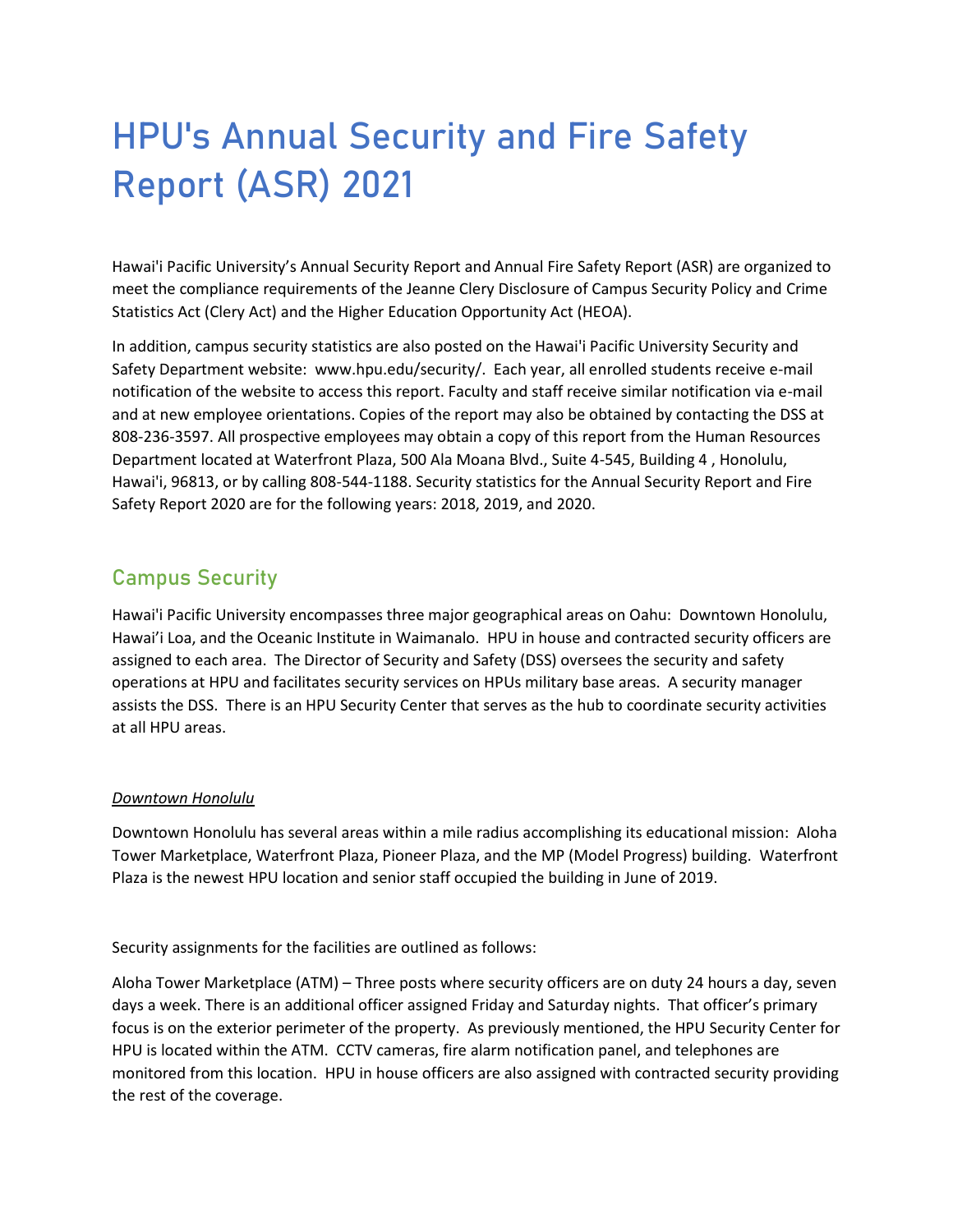# HPU's Annual Security and Fire Safety Report (ASR) 2021

Hawai'i Pacific University's Annual Security Report and Annual Fire Safety Report (ASR) are organized to meet the compliance requirements of the Jeanne Clery Disclosure of Campus Security Policy and Crime Statistics Act (Clery Act) and the Higher Education Opportunity Act (HEOA).

In addition, campus security statistics are also posted on the Hawai'i Pacific University Security and Safety Department website: www.hpu.edu/security/. Each year, all enrolled students receive e-mail notification of the website to access this report. Faculty and staff receive similar notification via e-mail and at new employee orientations. Copies of the report may also be obtained by contacting the DSS at 808-236-3597. All prospective employees may obtain a copy of this report from the Human Resources Department located at Waterfront Plaza, 500 Ala Moana Blvd., Suite 4-545, Building 4 , Honolulu, Hawai'i, 96813, or by calling 808-544-1188. Security statistics for the Annual Security Report and Fire Safety Report 2020 are for the following years: 2018, 2019, and 2020.

# Campus Security

Hawai'i Pacific University encompasses three major geographical areas on Oahu: Downtown Honolulu, Hawai'i Loa, and the Oceanic Institute in Waimanalo. HPU in house and contracted security officers are assigned to each area. The Director of Security and Safety (DSS) oversees the security and safety operations at HPU and facilitates security services on HPUs military base areas. A security manager assists the DSS. There is an HPU Security Center that serves as the hub to coordinate security activities at all HPU areas.

### *Downtown Honolulu*

Downtown Honolulu has several areas within a mile radius accomplishing its educational mission: Aloha Tower Marketplace, Waterfront Plaza, Pioneer Plaza, and the MP (Model Progress) building. Waterfront Plaza is the newest HPU location and senior staff occupied the building in June of 2019.

Security assignments for the facilities are outlined as follows:

Aloha Tower Marketplace (ATM) – Three posts where security officers are on duty 24 hours a day, seven days a week. There is an additional officer assigned Friday and Saturday nights. That officer's primary focus is on the exterior perimeter of the property. As previously mentioned, the HPU Security Center for HPU is located within the ATM. CCTV cameras, fire alarm notification panel, and telephones are monitored from this location. HPU in house officers are also assigned with contracted security providing the rest of the coverage.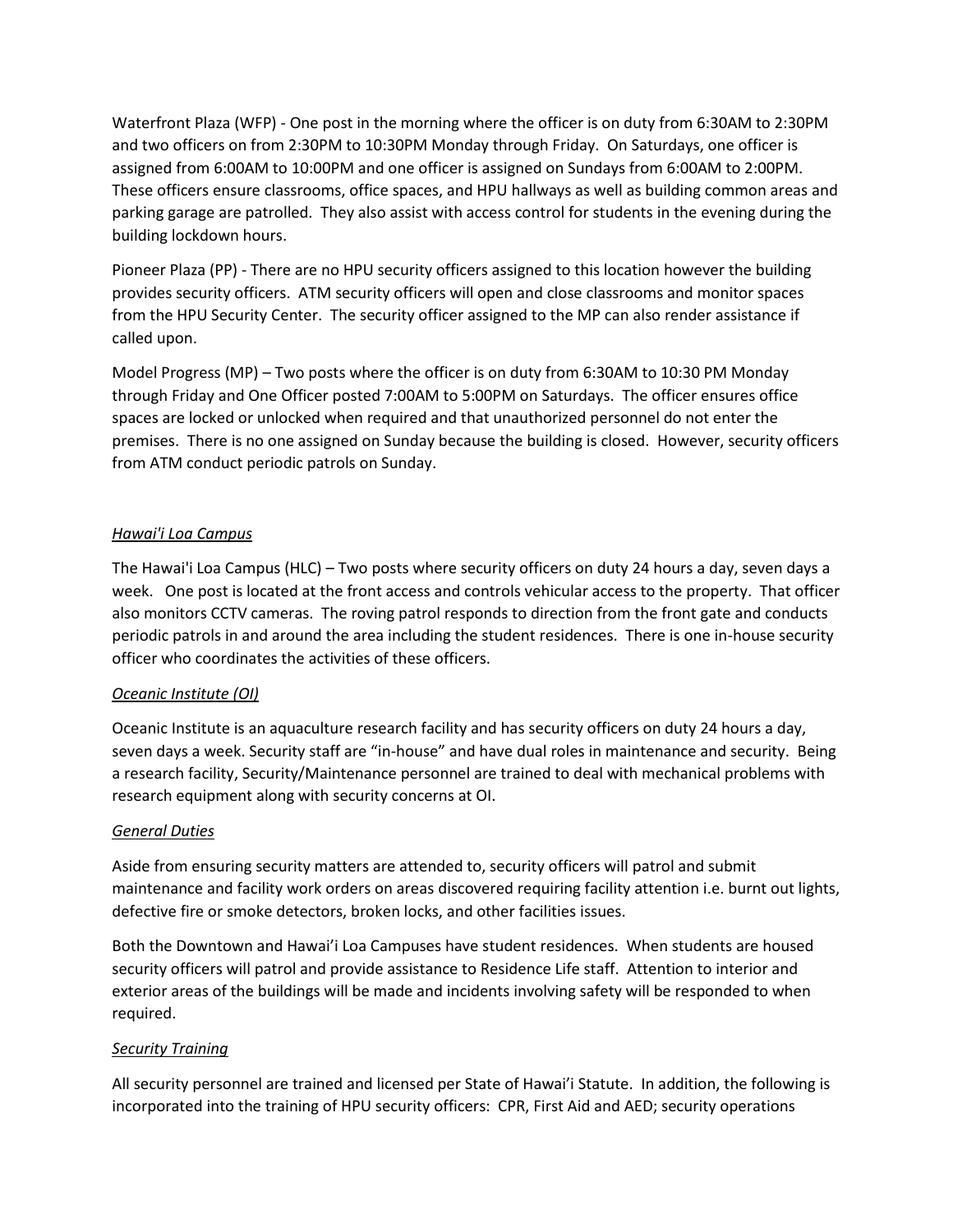Waterfront Plaza (WFP) - One post in the morning where the officer is on duty from 6:30AM to 2:30PM and two officers on from 2:30PM to 10:30PM Monday through Friday. On Saturdays, one officer is assigned from 6:00AM to 10:00PM and one officer is assigned on Sundays from 6:00AM to 2:00PM. These officers ensure classrooms, office spaces, and HPU hallways as well as building common areas and parking garage are patrolled. They also assist with access control for students in the evening during the building lockdown hours.

Pioneer Plaza (PP) - There are no HPU security officers assigned to this location however the building provides security officers. ATM security officers will open and close classrooms and monitor spaces from the HPU Security Center. The security officer assigned to the MP can also render assistance if called upon.

Model Progress (MP) – Two posts where the officer is on duty from 6:30AM to 10:30 PM Monday through Friday and One Officer posted 7:00AM to 5:00PM on Saturdays. The officer ensures office spaces are locked or unlocked when required and that unauthorized personnel do not enter the premises. There is no one assigned on Sunday because the building is closed. However, security officers from ATM conduct periodic patrols on Sunday.

### *Hawai'i Loa Campus*

The Hawai'i Loa Campus (HLC) – Two posts where security officers on duty 24 hours a day, seven days a week. One post is located at the front access and controls vehicular access to the property. That officer also monitors CCTV cameras. The roving patrol responds to direction from the front gate and conducts periodic patrols in and around the area including the student residences. There is one in-house security officer who coordinates the activities of these officers.

### *Oceanic Institute (OI)*

Oceanic Institute is an aquaculture research facility and has security officers on duty 24 hours a day, seven days a week. Security staff are "in-house" and have dual roles in maintenance and security. Being a research facility, Security/Maintenance personnel are trained to deal with mechanical problems with research equipment along with security concerns at OI.

#### *General Duties*

Aside from ensuring security matters are attended to, security officers will patrol and submit maintenance and facility work orders on areas discovered requiring facility attention i.e. burnt out lights, defective fire or smoke detectors, broken locks, and other facilities issues.

Both the Downtown and Hawai'i Loa Campuses have student residences. When students are housed security officers will patrol and provide assistance to Residence Life staff. Attention to interior and exterior areas of the buildings will be made and incidents involving safety will be responded to when required.

#### *Security Training*

All security personnel are trained and licensed per State of Hawai'i Statute. In addition, the following is incorporated into the training of HPU security officers: CPR, First Aid and AED; security operations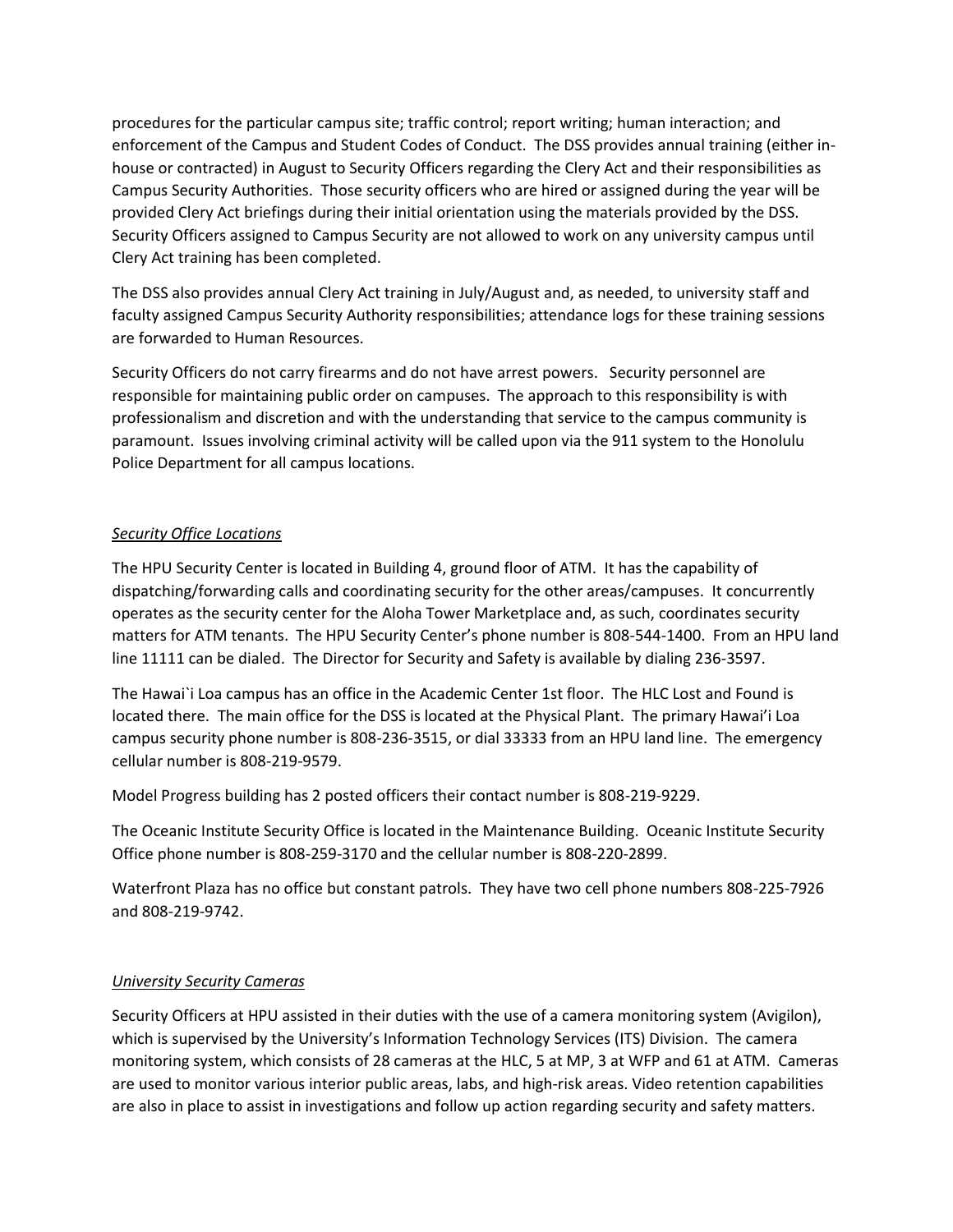procedures for the particular campus site; traffic control; report writing; human interaction; and enforcement of the Campus and Student Codes of Conduct. The DSS provides annual training (either inhouse or contracted) in August to Security Officers regarding the Clery Act and their responsibilities as Campus Security Authorities. Those security officers who are hired or assigned during the year will be provided Clery Act briefings during their initial orientation using the materials provided by the DSS. Security Officers assigned to Campus Security are not allowed to work on any university campus until Clery Act training has been completed.

The DSS also provides annual Clery Act training in July/August and, as needed, to university staff and faculty assigned Campus Security Authority responsibilities; attendance logs for these training sessions are forwarded to Human Resources.

Security Officers do not carry firearms and do not have arrest powers. Security personnel are responsible for maintaining public order on campuses. The approach to this responsibility is with professionalism and discretion and with the understanding that service to the campus community is paramount. Issues involving criminal activity will be called upon via the 911 system to the Honolulu Police Department for all campus locations.

#### *Security Office Locations*

The HPU Security Center is located in Building 4, ground floor of ATM. It has the capability of dispatching/forwarding calls and coordinating security for the other areas/campuses. It concurrently operates as the security center for the Aloha Tower Marketplace and, as such, coordinates security matters for ATM tenants. The HPU Security Center's phone number is 808-544-1400. From an HPU land line 11111 can be dialed. The Director for Security and Safety is available by dialing 236-3597.

The Hawai`i Loa campus has an office in the Academic Center 1st floor. The HLC Lost and Found is located there. The main office for the DSS is located at the Physical Plant. The primary Hawai'i Loa campus security phone number is 808-236-3515, or dial 33333 from an HPU land line. The emergency cellular number is 808-219-9579.

Model Progress building has 2 posted officers their contact number is 808-219-9229.

The Oceanic Institute Security Office is located in the Maintenance Building. Oceanic Institute Security Office phone number is 808-259-3170 and the cellular number is 808-220-2899.

Waterfront Plaza has no office but constant patrols. They have two cell phone numbers 808-225-7926 and 808-219-9742.

#### *University Security Cameras*

Security Officers at HPU assisted in their duties with the use of a camera monitoring system (Avigilon), which is supervised by the University's Information Technology Services (ITS) Division. The camera monitoring system, which consists of 28 cameras at the HLC, 5 at MP, 3 at WFP and 61 at ATM. Cameras are used to monitor various interior public areas, labs, and high-risk areas. Video retention capabilities are also in place to assist in investigations and follow up action regarding security and safety matters.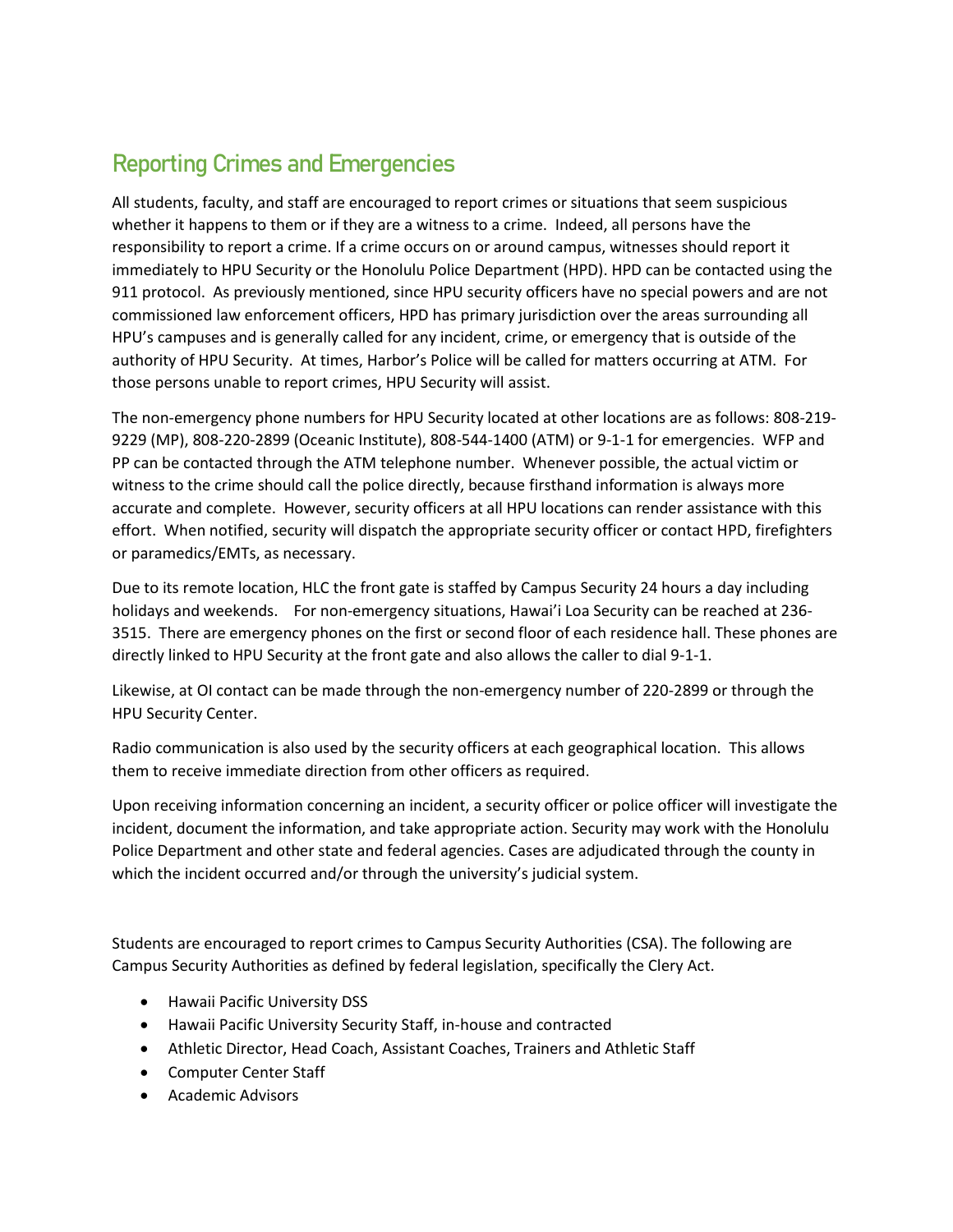# Reporting Crimes and Emergencies

All students, faculty, and staff are encouraged to report crimes or situations that seem suspicious whether it happens to them or if they are a witness to a crime. Indeed, all persons have the responsibility to report a crime. If a crime occurs on or around campus, witnesses should report it immediately to HPU Security or the Honolulu Police Department (HPD). HPD can be contacted using the 911 protocol. As previously mentioned, since HPU security officers have no special powers and are not commissioned law enforcement officers, HPD has primary jurisdiction over the areas surrounding all HPU's campuses and is generally called for any incident, crime, or emergency that is outside of the authority of HPU Security. At times, Harbor's Police will be called for matters occurring at ATM. For those persons unable to report crimes, HPU Security will assist.

The non-emergency phone numbers for HPU Security located at other locations are as follows: 808-219- 9229 (MP), 808-220-2899 (Oceanic Institute), 808-544-1400 (ATM) or 9-1-1 for emergencies. WFP and PP can be contacted through the ATM telephone number. Whenever possible, the actual victim or witness to the crime should call the police directly, because firsthand information is always more accurate and complete. However, security officers at all HPU locations can render assistance with this effort. When notified, security will dispatch the appropriate security officer or contact HPD, firefighters or paramedics/EMTs, as necessary.

Due to its remote location, HLC the front gate is staffed by Campus Security 24 hours a day including holidays and weekends. For non-emergency situations, Hawai'i Loa Security can be reached at 236- 3515. There are emergency phones on the first or second floor of each residence hall. These phones are directly linked to HPU Security at the front gate and also allows the caller to dial 9-1-1.

Likewise, at OI contact can be made through the non-emergency number of 220-2899 or through the HPU Security Center.

Radio communication is also used by the security officers at each geographical location. This allows them to receive immediate direction from other officers as required.

Upon receiving information concerning an incident, a security officer or police officer will investigate the incident, document the information, and take appropriate action. Security may work with the Honolulu Police Department and other state and federal agencies. Cases are adjudicated through the county in which the incident occurred and/or through the university's judicial system.

Students are encouraged to report crimes to Campus Security Authorities (CSA). The following are Campus Security Authorities as defined by federal legislation, specifically the Clery Act.

- Hawaii Pacific University DSS
- Hawaii Pacific University Security Staff, in-house and contracted
- Athletic Director, Head Coach, Assistant Coaches, Trainers and Athletic Staff
- Computer Center Staff
- Academic Advisors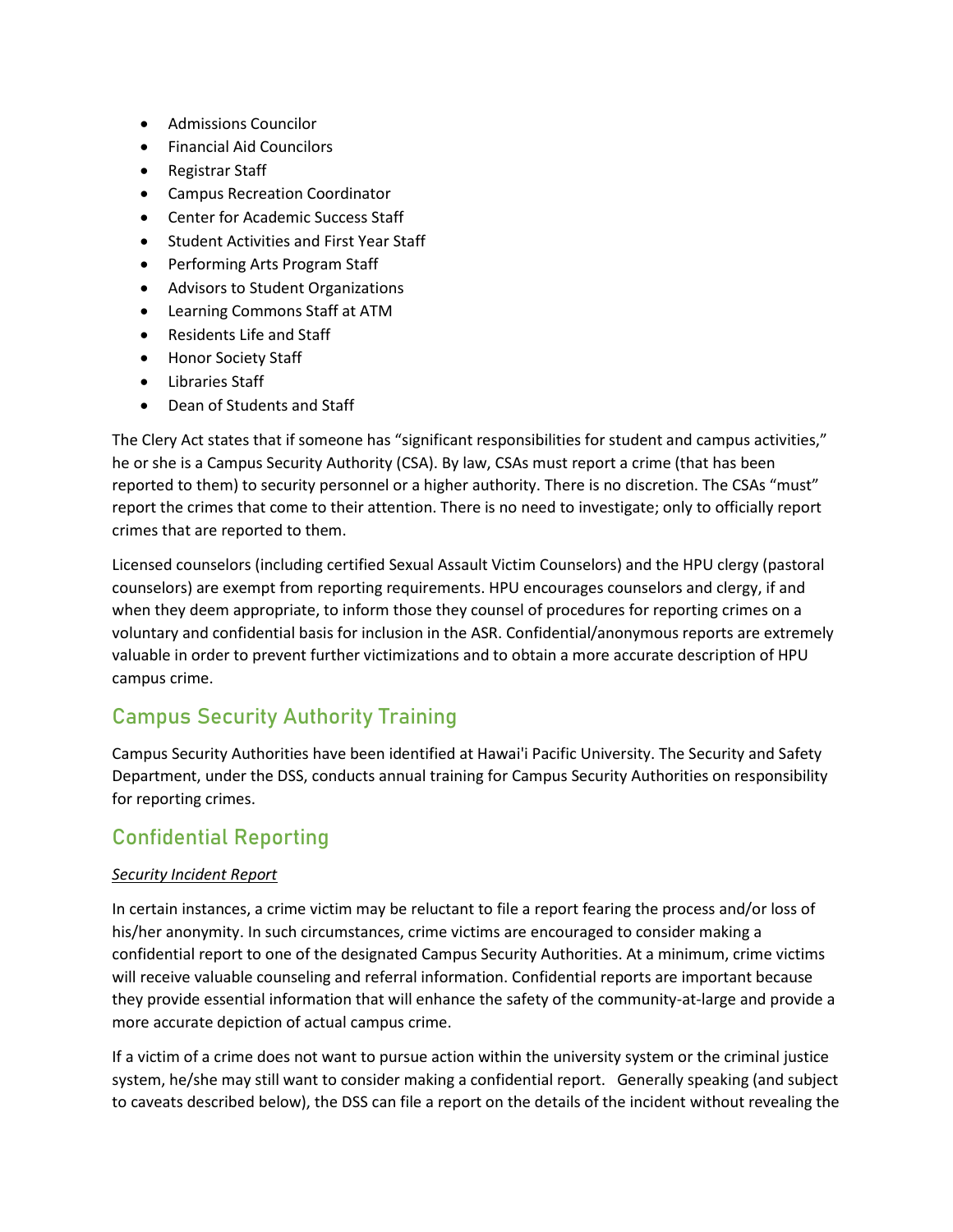- Admissions Councilor
- Financial Aid Councilors
- Registrar Staff
- Campus Recreation Coordinator
- Center for Academic Success Staff
- Student Activities and First Year Staff
- Performing Arts Program Staff
- Advisors to Student Organizations
- Learning Commons Staff at ATM
- Residents Life and Staff
- Honor Society Staff
- Libraries Staff
- Dean of Students and Staff

The Clery Act states that if someone has "significant responsibilities for student and campus activities," he or she is a Campus Security Authority (CSA). By law, CSAs must report a crime (that has been reported to them) to security personnel or a higher authority. There is no discretion. The CSAs "must" report the crimes that come to their attention. There is no need to investigate; only to officially report crimes that are reported to them.

Licensed counselors (including certified Sexual Assault Victim Counselors) and the HPU clergy (pastoral counselors) are exempt from reporting requirements. HPU encourages counselors and clergy, if and when they deem appropriate, to inform those they counsel of procedures for reporting crimes on a voluntary and confidential basis for inclusion in the ASR. Confidential/anonymous reports are extremely valuable in order to prevent further victimizations and to obtain a more accurate description of HPU campus crime.

# Campus Security Authority Training

Campus Security Authorities have been identified at Hawai'i Pacific University. The Security and Safety Department, under the DSS, conducts annual training for Campus Security Authorities on responsibility for reporting crimes.

# Confidential Reporting

### *Security Incident Report*

In certain instances, a crime victim may be reluctant to file a report fearing the process and/or loss of his/her anonymity. In such circumstances, crime victims are encouraged to consider making a confidential report to one of the designated Campus Security Authorities. At a minimum, crime victims will receive valuable counseling and referral information. Confidential reports are important because they provide essential information that will enhance the safety of the community-at-large and provide a more accurate depiction of actual campus crime.

If a victim of a crime does not want to pursue action within the university system or the criminal justice system, he/she may still want to consider making a confidential report. Generally speaking (and subject to caveats described below), the DSS can file a report on the details of the incident without revealing the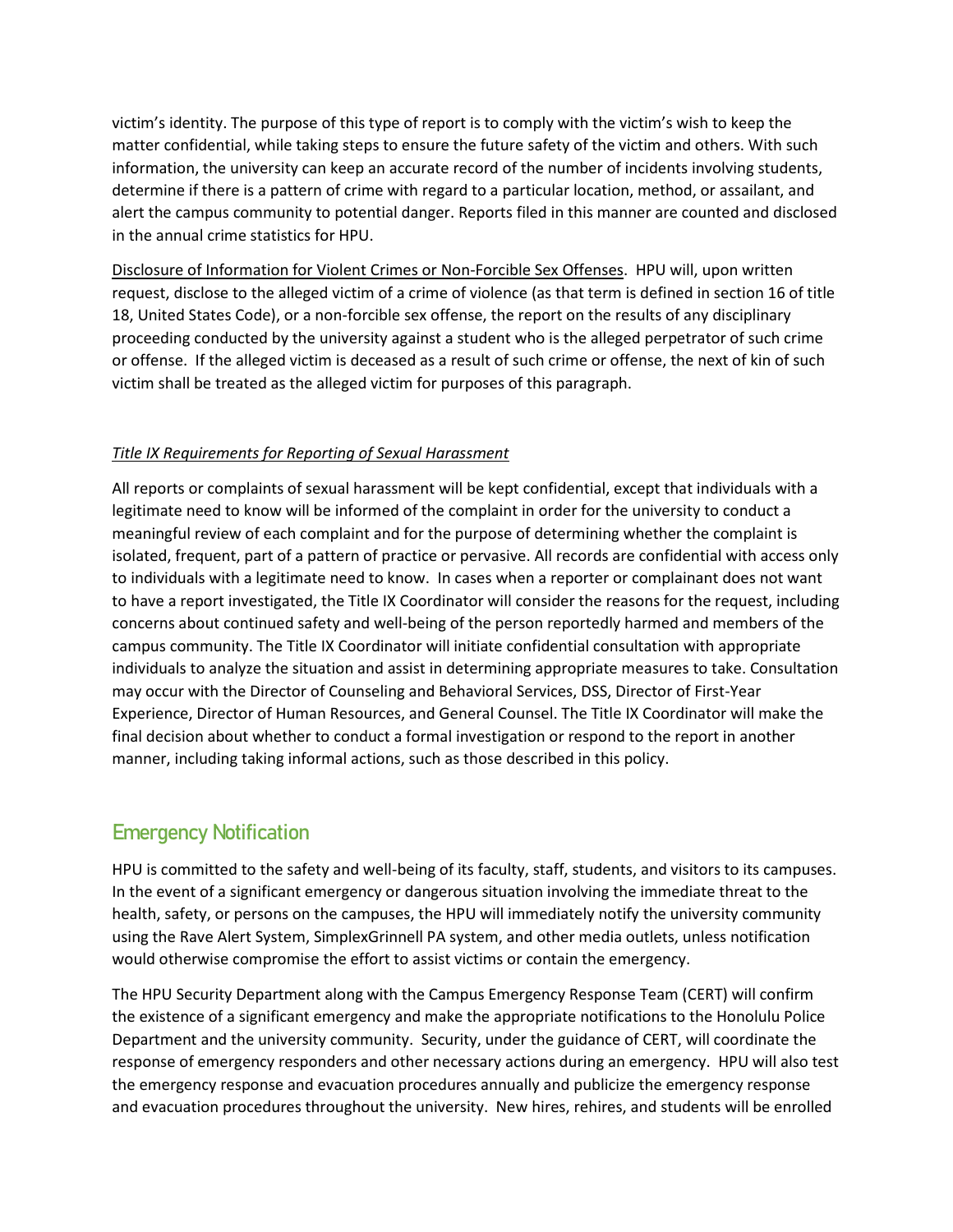victim's identity. The purpose of this type of report is to comply with the victim's wish to keep the matter confidential, while taking steps to ensure the future safety of the victim and others. With such information, the university can keep an accurate record of the number of incidents involving students, determine if there is a pattern of crime with regard to a particular location, method, or assailant, and alert the campus community to potential danger. Reports filed in this manner are counted and disclosed in the annual crime statistics for HPU.

Disclosure of Information for Violent Crimes or Non-Forcible Sex Offenses. HPU will, upon written request, disclose to the alleged victim of a crime of violence (as that term is defined in section 16 of title 18, United States Code), or a non-forcible sex offense, the report on the results of any disciplinary proceeding conducted by the university against a student who is the alleged perpetrator of such crime or offense. If the alleged victim is deceased as a result of such crime or offense, the next of kin of such victim shall be treated as the alleged victim for purposes of this paragraph.

#### *Title IX Requirements for Reporting of Sexual Harassment*

All reports or complaints of sexual harassment will be kept confidential, except that individuals with a legitimate need to know will be informed of the complaint in order for the university to conduct a meaningful review of each complaint and for the purpose of determining whether the complaint is isolated, frequent, part of a pattern of practice or pervasive. All records are confidential with access only to individuals with a legitimate need to know. In cases when a reporter or complainant does not want to have a report investigated, the Title IX Coordinator will consider the reasons for the request, including concerns about continued safety and well-being of the person reportedly harmed and members of the campus community. The Title IX Coordinator will initiate confidential consultation with appropriate individuals to analyze the situation and assist in determining appropriate measures to take. Consultation may occur with the Director of Counseling and Behavioral Services, DSS, Director of First-Year Experience, Director of Human Resources, and General Counsel. The Title IX Coordinator will make the final decision about whether to conduct a formal investigation or respond to the report in another manner, including taking informal actions, such as those described in this policy.

# Emergency Notification

HPU is committed to the safety and well-being of its faculty, staff, students, and visitors to its campuses. In the event of a significant emergency or dangerous situation involving the immediate threat to the health, safety, or persons on the campuses, the HPU will immediately notify the university community using the Rave Alert System, SimplexGrinnell PA system, and other media outlets, unless notification would otherwise compromise the effort to assist victims or contain the emergency.

The HPU Security Department along with the Campus Emergency Response Team (CERT) will confirm the existence of a significant emergency and make the appropriate notifications to the Honolulu Police Department and the university community. Security, under the guidance of CERT, will coordinate the response of emergency responders and other necessary actions during an emergency. HPU will also test the emergency response and evacuation procedures annually and publicize the emergency response and evacuation procedures throughout the university. New hires, rehires, and students will be enrolled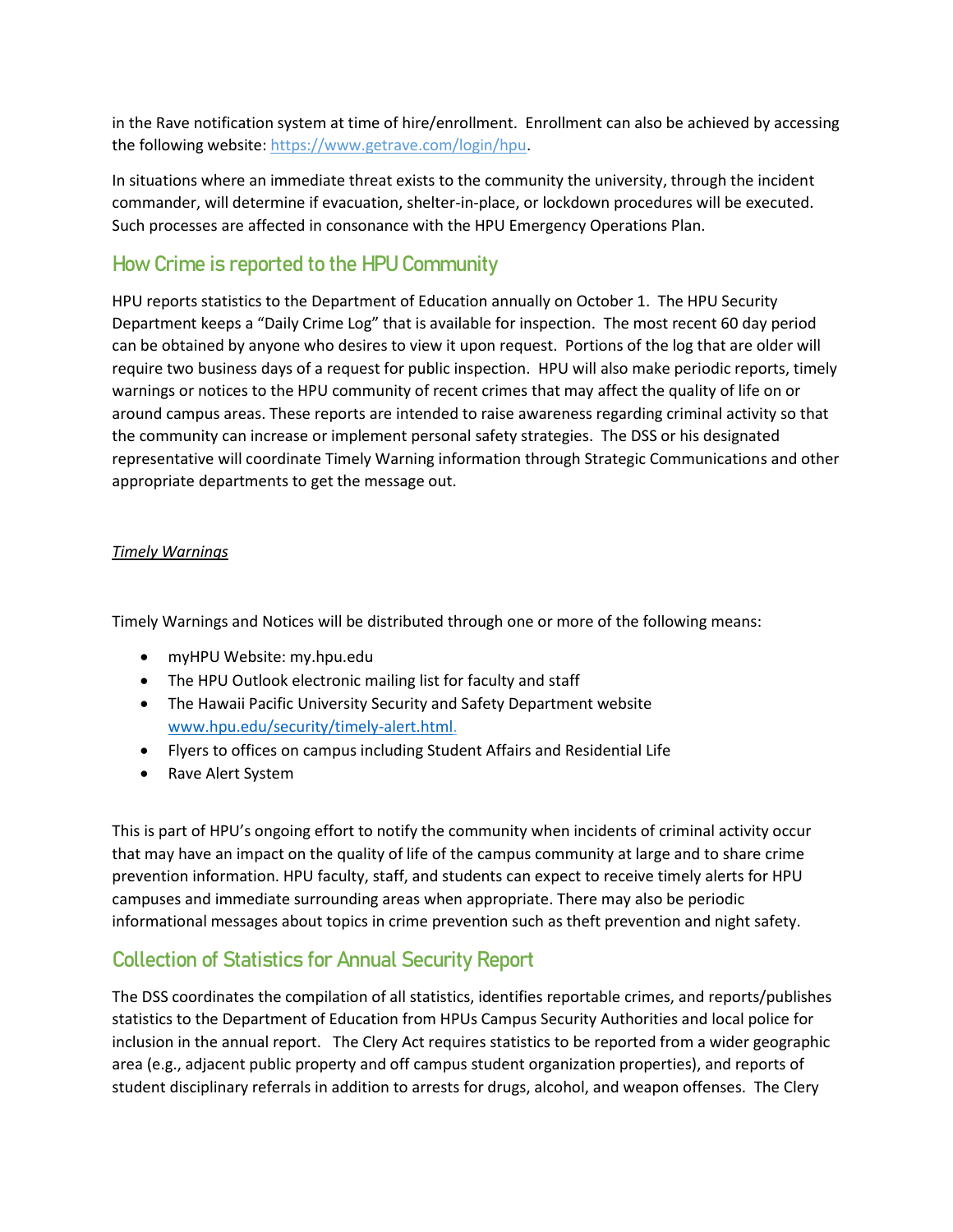in the Rave notification system at time of hire/enrollment. Enrollment can also be achieved by accessing the following website: https://www.getrave.com/login/hpu.

In situations where an immediate threat exists to the community the university, through the incident commander, will determine if evacuation, shelter-in-place, or lockdown procedures will be executed. Such processes are affected in consonance with the HPU Emergency Operations Plan.

# How Crime is reported to the HPU Community

HPU reports statistics to the Department of Education annually on October 1. The HPU Security Department keeps a "Daily Crime Log" that is available for inspection. The most recent 60 day period can be obtained by anyone who desires to view it upon request. Portions of the log that are older will require two business days of a request for public inspection. HPU will also make periodic reports, timely warnings or notices to the HPU community of recent crimes that may affect the quality of life on or around campus areas. These reports are intended to raise awareness regarding criminal activity so that the community can increase or implement personal safety strategies. The DSS or his designated representative will coordinate Timely Warning information through Strategic Communications and other appropriate departments to get the message out.

#### *Timely Warnings*

Timely Warnings and Notices will be distributed through one or more of the following means:

- myHPU Website: my.hpu.edu
- The HPU Outlook electronic mailing list for faculty and staff
- The Hawaii Pacific University Security and Safety Department website [www.hpu.edu/security/timely-alert.html.](http://www.hpu.edu/security/timely-alert.html)
- Flyers to offices on campus including Student Affairs and Residential Life
- Rave Alert System

This is part of HPU's ongoing effort to notify the community when incidents of criminal activity occur that may have an impact on the quality of life of the campus community at large and to share crime prevention information. HPU faculty, staff, and students can expect to receive timely alerts for HPU campuses and immediate surrounding areas when appropriate. There may also be periodic informational messages about topics in crime prevention such as theft prevention and night safety.

# Collection of Statistics for Annual Security Report

The DSS coordinates the compilation of all statistics, identifies reportable crimes, and reports/publishes statistics to the Department of Education from HPUs Campus Security Authorities and local police for inclusion in the annual report. The Clery Act requires statistics to be reported from a wider geographic area (e.g., adjacent public property and off campus student organization properties), and reports of student disciplinary referrals in addition to arrests for drugs, alcohol, and weapon offenses. The Clery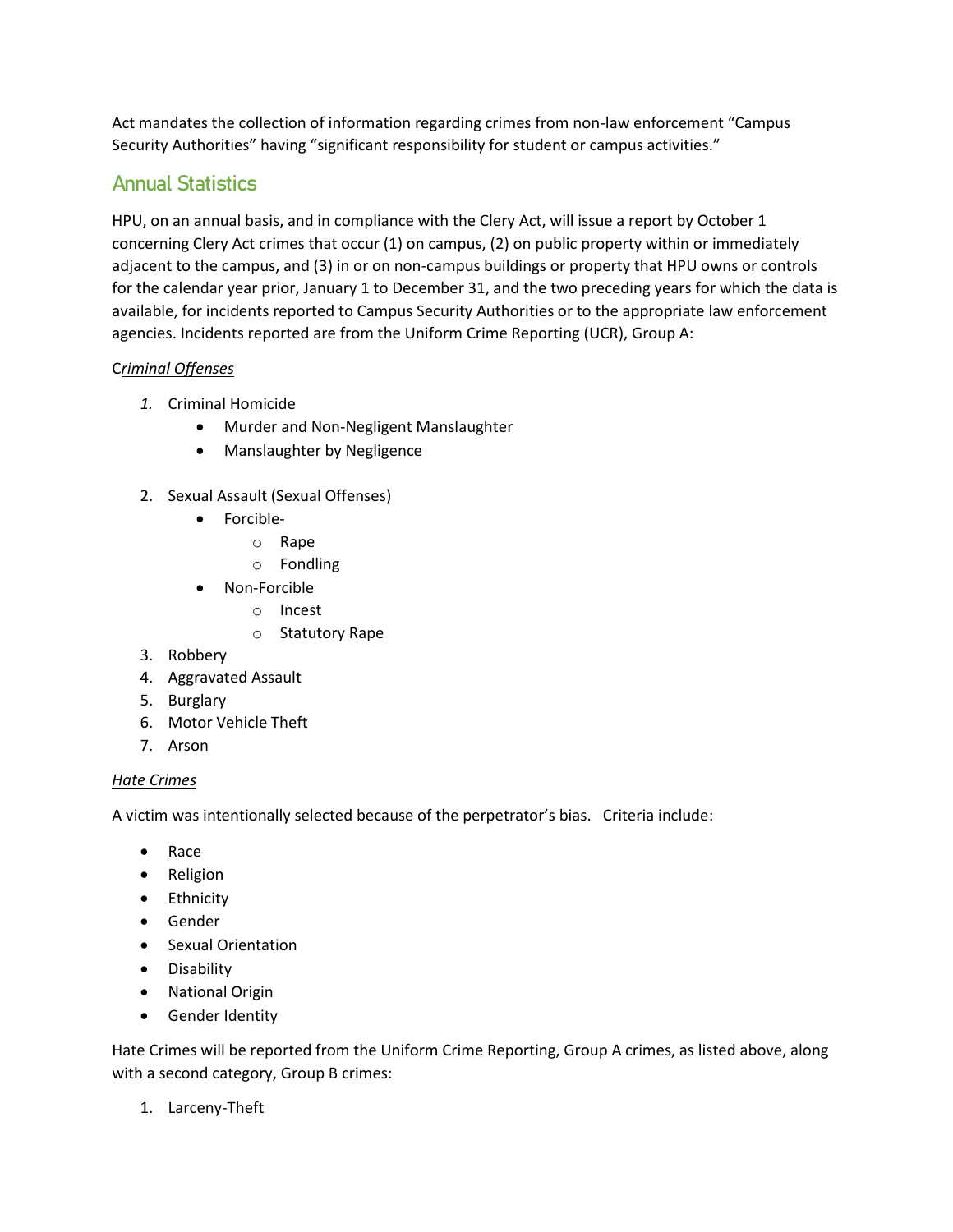Act mandates the collection of information regarding crimes from non-law enforcement "Campus Security Authorities" having "significant responsibility for student or campus activities."

# Annual Statistics

HPU, on an annual basis, and in compliance with the Clery Act, will issue a report by October 1 concerning Clery Act crimes that occur (1) on campus, (2) on public property within or immediately adjacent to the campus, and (3) in or on non-campus buildings or property that HPU owns or controls for the calendar year prior, January 1 to December 31, and the two preceding years for which the data is available, for incidents reported to Campus Security Authorities or to the appropriate law enforcement agencies. Incidents reported are from the Uniform Crime Reporting (UCR), Group A:

### C*riminal Offenses*

- *1.* Criminal Homicide
	- Murder and Non-Negligent Manslaughter
	- Manslaughter by Negligence
- 2. Sexual Assault (Sexual Offenses)
	- Forcible
		- o Rape
		- o Fondling
	- Non-Forcible
		- o Incest
			- o Statutory Rape
- 3. Robbery
- 4. Aggravated Assault
- 5. Burglary
- 6. Motor Vehicle Theft
- 7. Arson

### *Hate Crimes*

A victim was intentionally selected because of the perpetrator's bias. Criteria include:

- Race
- Religion
- Ethnicity
- Gender
- Sexual Orientation
- Disability
- National Origin
- Gender Identity

Hate Crimes will be reported from the Uniform Crime Reporting, Group A crimes, as listed above, along with a second category, Group B crimes:

1. Larceny-Theft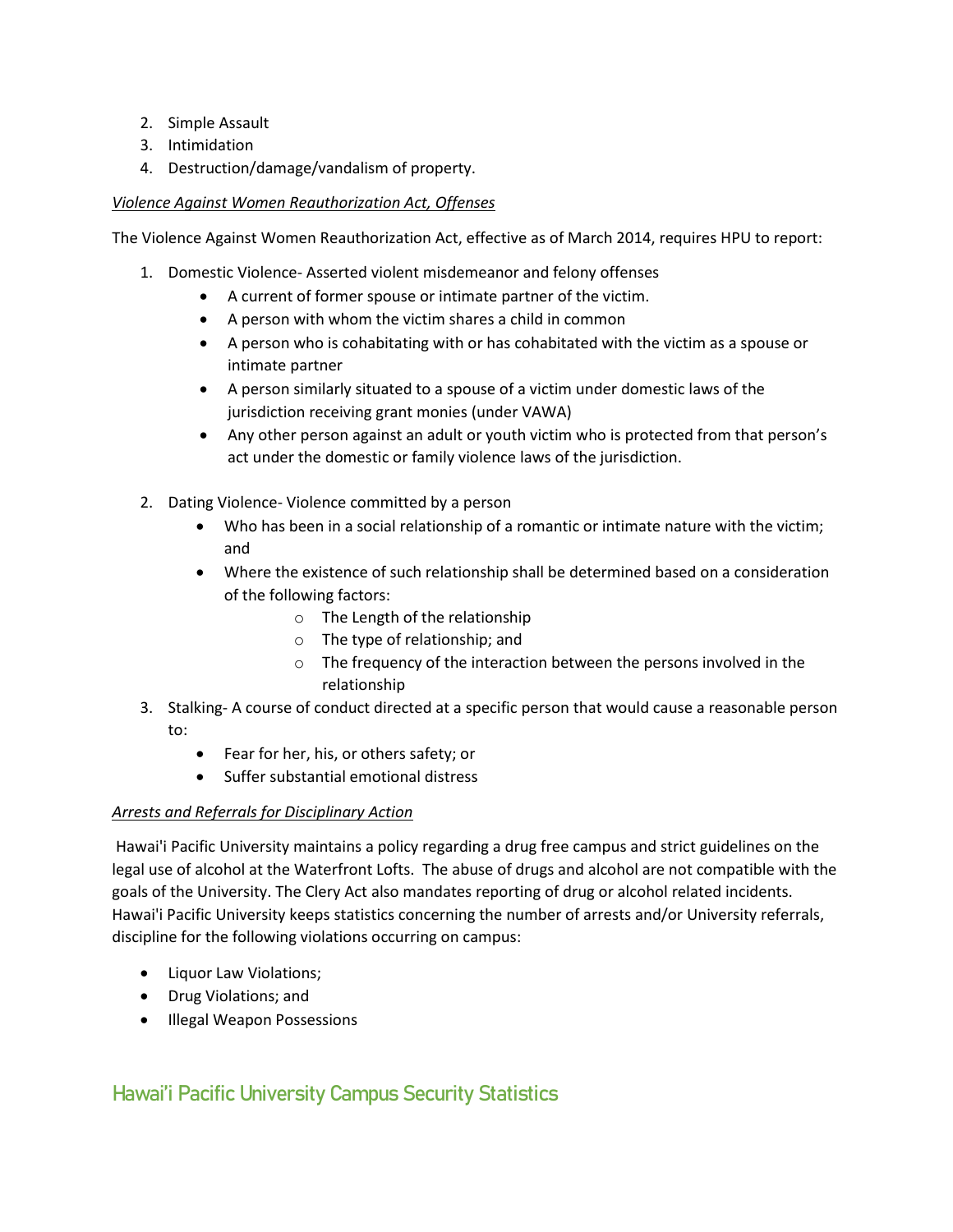- 2. Simple Assault
- 3. Intimidation
- 4. Destruction/damage/vandalism of property.

#### *Violence Against Women Reauthorization Act, Offenses*

The Violence Against Women Reauthorization Act, effective as of March 2014, requires HPU to report:

- 1. Domestic Violence- Asserted violent misdemeanor and felony offenses
	- A current of former spouse or intimate partner of the victim.
	- A person with whom the victim shares a child in common
	- A person who is cohabitating with or has cohabitated with the victim as a spouse or intimate partner
	- A person similarly situated to a spouse of a victim under domestic laws of the jurisdiction receiving grant monies (under VAWA)
	- Any other person against an adult or youth victim who is protected from that person's act under the domestic or family violence laws of the jurisdiction.
- 2. Dating Violence- Violence committed by a person
	- Who has been in a social relationship of a romantic or intimate nature with the victim; and
	- Where the existence of such relationship shall be determined based on a consideration of the following factors:
		- o The Length of the relationship
		- o The type of relationship; and
		- o The frequency of the interaction between the persons involved in the relationship
- 3. Stalking- A course of conduct directed at a specific person that would cause a reasonable person to:
	- Fear for her, his, or others safety; or
	- Suffer substantial emotional distress

### *Arrests and Referrals for Disciplinary Action*

Hawai'i Pacific University maintains a policy regarding a drug free campus and strict guidelines on the legal use of alcohol at the Waterfront Lofts. The abuse of drugs and alcohol are not compatible with the goals of the University. The Clery Act also mandates reporting of drug or alcohol related incidents. Hawai'i Pacific University keeps statistics concerning the number of arrests and/or University referrals, discipline for the following violations occurring on campus:

- Liquor Law Violations;
- Drug Violations; and
- Illegal Weapon Possessions

# Hawai'i Pacific University Campus Security Statistics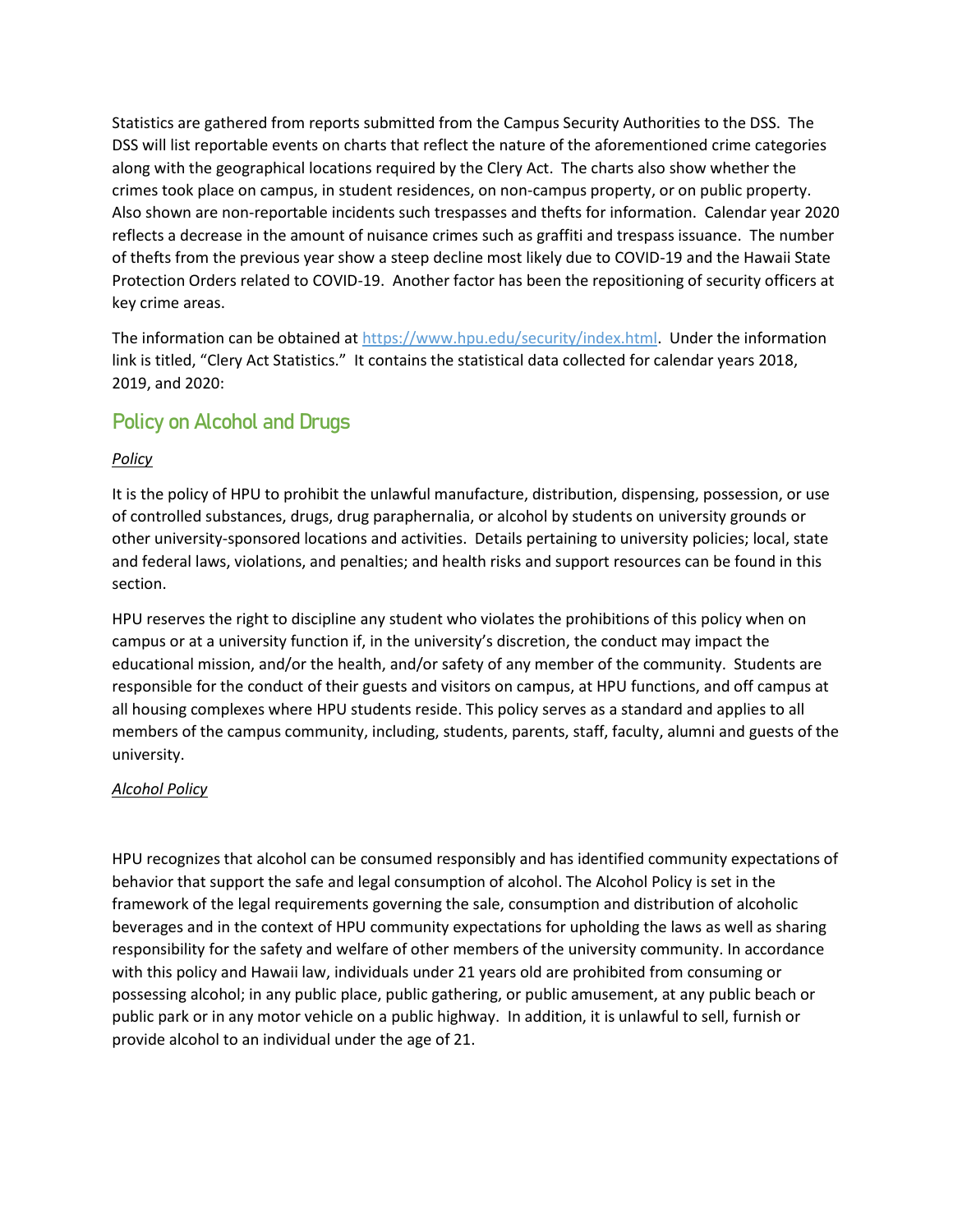Statistics are gathered from reports submitted from the Campus Security Authorities to the DSS. The DSS will list reportable events on charts that reflect the nature of the aforementioned crime categories along with the geographical locations required by the Clery Act. The charts also show whether the crimes took place on campus, in student residences, on non-campus property, or on public property. Also shown are non-reportable incidents such trespasses and thefts for information. Calendar year 2020 reflects a decrease in the amount of nuisance crimes such as graffiti and trespass issuance. The number of thefts from the previous year show a steep decline most likely due to COVID-19 and the Hawaii State Protection Orders related to COVID-19. Another factor has been the repositioning of security officers at key crime areas.

The information can be obtained at https://www.hpu.edu/security/index.html. Under the information link is titled, "Clery Act Statistics." It contains the statistical data collected for calendar years 2018, 2019, and 2020:

# Policy on Alcohol and Drugs

### *Policy*

It is the policy of HPU to prohibit the unlawful manufacture, distribution, dispensing, possession, or use of controlled substances, drugs, drug paraphernalia, or alcohol by students on university grounds or other university-sponsored locations and activities. Details pertaining to university policies; local, state and federal laws, violations, and penalties; and health risks and support resources can be found in this section.

HPU reserves the right to discipline any student who violates the prohibitions of this policy when on campus or at a university function if, in the university's discretion, the conduct may impact the educational mission, and/or the health, and/or safety of any member of the community. Students are responsible for the conduct of their guests and visitors on campus, at HPU functions, and off campus at all housing complexes where HPU students reside. This policy serves as a standard and applies to all members of the campus community, including, students, parents, staff, faculty, alumni and guests of the university.

### *Alcohol Policy*

HPU recognizes that alcohol can be consumed responsibly and has identified community expectations of behavior that support the safe and legal consumption of alcohol. The Alcohol Policy is set in the framework of the legal requirements governing the sale, consumption and distribution of alcoholic beverages and in the context of HPU community expectations for upholding the laws as well as sharing responsibility for the safety and welfare of other members of the university community. In accordance with this policy and Hawaii law, individuals under 21 years old are prohibited from consuming or possessing alcohol; in any public place, public gathering, or public amusement, at any public beach or public park or in any motor vehicle on a public highway. In addition, it is unlawful to sell, furnish or provide alcohol to an individual under the age of 21.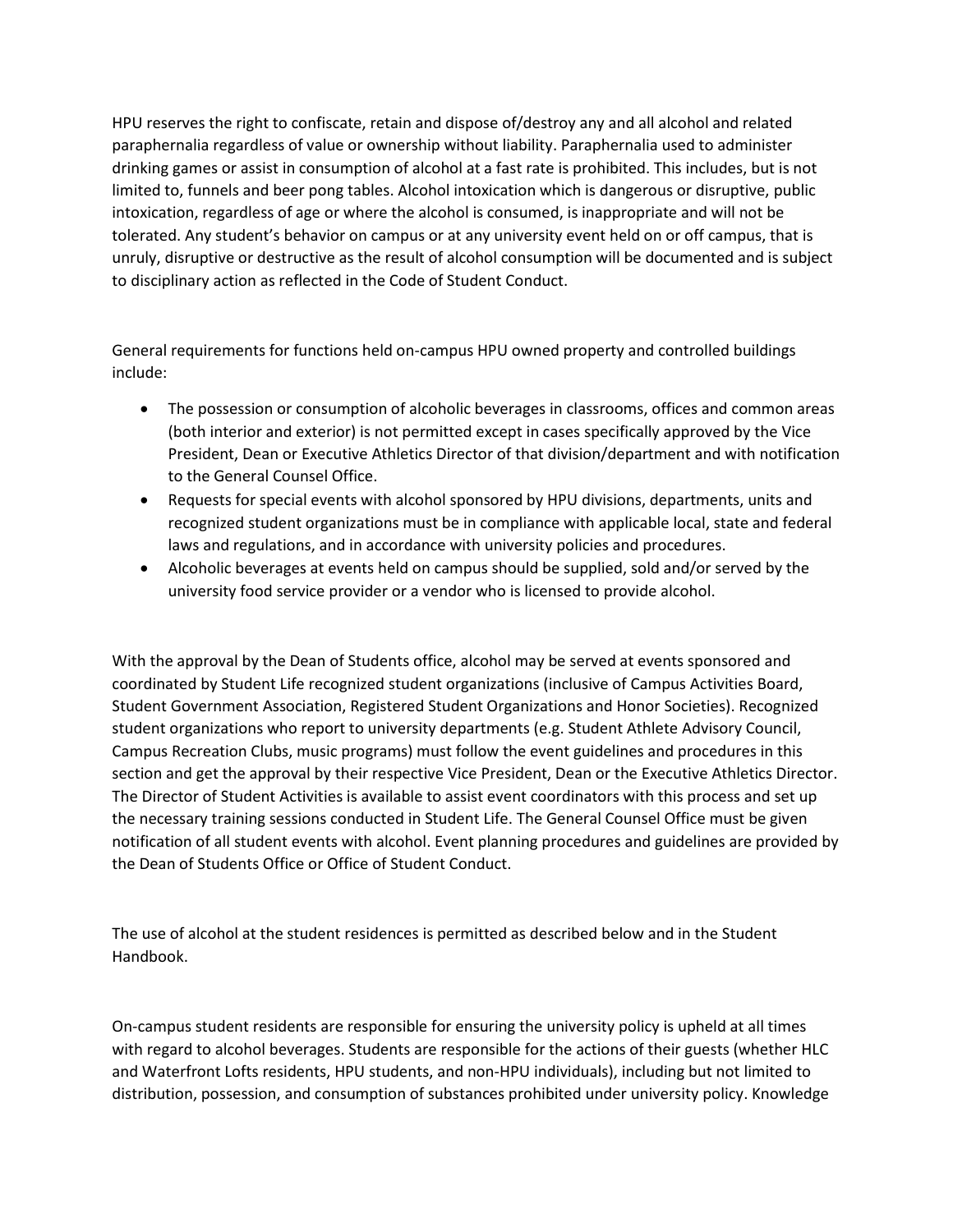HPU reserves the right to confiscate, retain and dispose of/destroy any and all alcohol and related paraphernalia regardless of value or ownership without liability. Paraphernalia used to administer drinking games or assist in consumption of alcohol at a fast rate is prohibited. This includes, but is not limited to, funnels and beer pong tables. Alcohol intoxication which is dangerous or disruptive, public intoxication, regardless of age or where the alcohol is consumed, is inappropriate and will not be tolerated. Any student's behavior on campus or at any university event held on or off campus, that is unruly, disruptive or destructive as the result of alcohol consumption will be documented and is subject to disciplinary action as reflected in the Code of Student Conduct.

General requirements for functions held on-campus HPU owned property and controlled buildings include:

- The possession or consumption of alcoholic beverages in classrooms, offices and common areas (both interior and exterior) is not permitted except in cases specifically approved by the Vice President, Dean or Executive Athletics Director of that division/department and with notification to the General Counsel Office.
- Requests for special events with alcohol sponsored by HPU divisions, departments, units and recognized student organizations must be in compliance with applicable local, state and federal laws and regulations, and in accordance with university policies and procedures.
- Alcoholic beverages at events held on campus should be supplied, sold and/or served by the university food service provider or a vendor who is licensed to provide alcohol.

With the approval by the Dean of Students office, alcohol may be served at events sponsored and coordinated by Student Life recognized student organizations (inclusive of Campus Activities Board, Student Government Association, Registered Student Organizations and Honor Societies). Recognized student organizations who report to university departments (e.g. Student Athlete Advisory Council, Campus Recreation Clubs, music programs) must follow the event guidelines and procedures in this section and get the approval by their respective Vice President, Dean or the Executive Athletics Director. The Director of Student Activities is available to assist event coordinators with this process and set up the necessary training sessions conducted in Student Life. The General Counsel Office must be given notification of all student events with alcohol. Event planning procedures and guidelines are provided by the Dean of Students Office or Office of Student Conduct.

The use of alcohol at the student residences is permitted as described below and in the Student Handbook.

On-campus student residents are responsible for ensuring the university policy is upheld at all times with regard to alcohol beverages. Students are responsible for the actions of their guests (whether HLC and Waterfront Lofts residents, HPU students, and non-HPU individuals), including but not limited to distribution, possession, and consumption of substances prohibited under university policy. Knowledge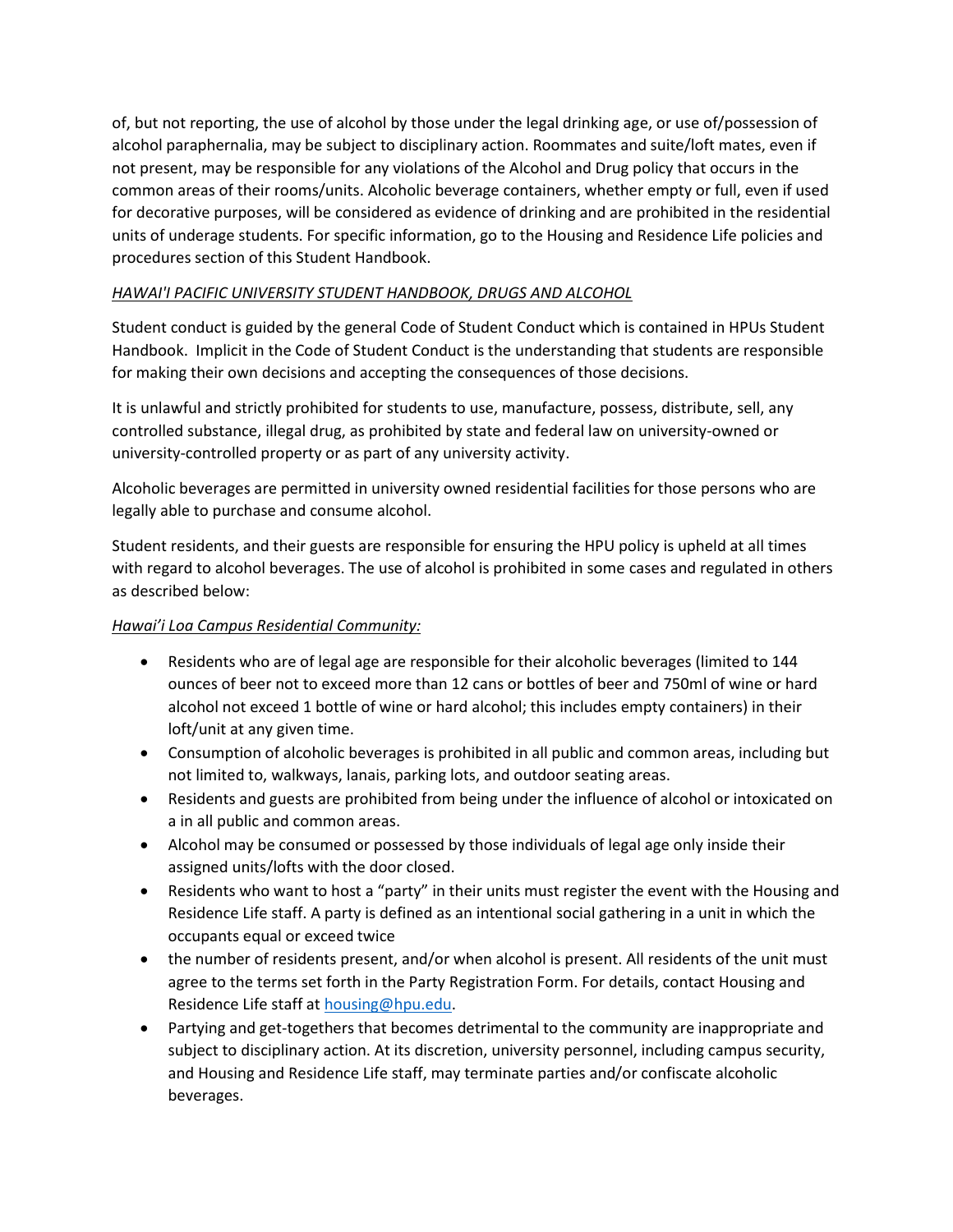of, but not reporting, the use of alcohol by those under the legal drinking age, or use of/possession of alcohol paraphernalia, may be subject to disciplinary action. Roommates and suite/loft mates, even if not present, may be responsible for any violations of the Alcohol and Drug policy that occurs in the common areas of their rooms/units. Alcoholic beverage containers, whether empty or full, even if used for decorative purposes, will be considered as evidence of drinking and are prohibited in the residential units of underage students. For specific information, go to the Housing and Residence Life policies and procedures section of this Student Handbook.

#### *HAWAI'I PACIFIC UNIVERSITY STUDENT HANDBOOK, DRUGS AND ALCOHOL*

Student conduct is guided by the general Code of Student Conduct which is contained in HPUs Student Handbook. Implicit in the Code of Student Conduct is the understanding that students are responsible for making their own decisions and accepting the consequences of those decisions.

It is unlawful and strictly prohibited for students to use, manufacture, possess, distribute, sell, any controlled substance, illegal drug, as prohibited by state and federal law on university-owned or university-controlled property or as part of any university activity.

Alcoholic beverages are permitted in university owned residential facilities for those persons who are legally able to purchase and consume alcohol.

Student residents, and their guests are responsible for ensuring the HPU policy is upheld at all times with regard to alcohol beverages. The use of alcohol is prohibited in some cases and regulated in others as described below:

### *Hawai'i Loa Campus Residential Community:*

- Residents who are of legal age are responsible for their alcoholic beverages (limited to 144 ounces of beer not to exceed more than 12 cans or bottles of beer and 750ml of wine or hard alcohol not exceed 1 bottle of wine or hard alcohol; this includes empty containers) in their loft/unit at any given time.
- Consumption of alcoholic beverages is prohibited in all public and common areas, including but not limited to, walkways, lanais, parking lots, and outdoor seating areas.
- Residents and guests are prohibited from being under the influence of alcohol or intoxicated on a in all public and common areas.
- Alcohol may be consumed or possessed by those individuals of legal age only inside their assigned units/lofts with the door closed.
- Residents who want to host a "party" in their units must register the event with the Housing and Residence Life staff. A party is defined as an intentional social gathering in a unit in which the occupants equal or exceed twice
- the number of residents present, and/or when alcohol is present. All residents of the unit must agree to the terms set forth in the Party Registration Form. For details, contact Housing and Residence Life staff at [housing@hpu.edu.](mailto:housing@hpu.edu)
- Partying and get-togethers that becomes detrimental to the community are inappropriate and subject to disciplinary action. At its discretion, university personnel, including campus security, and Housing and Residence Life staff, may terminate parties and/or confiscate alcoholic beverages.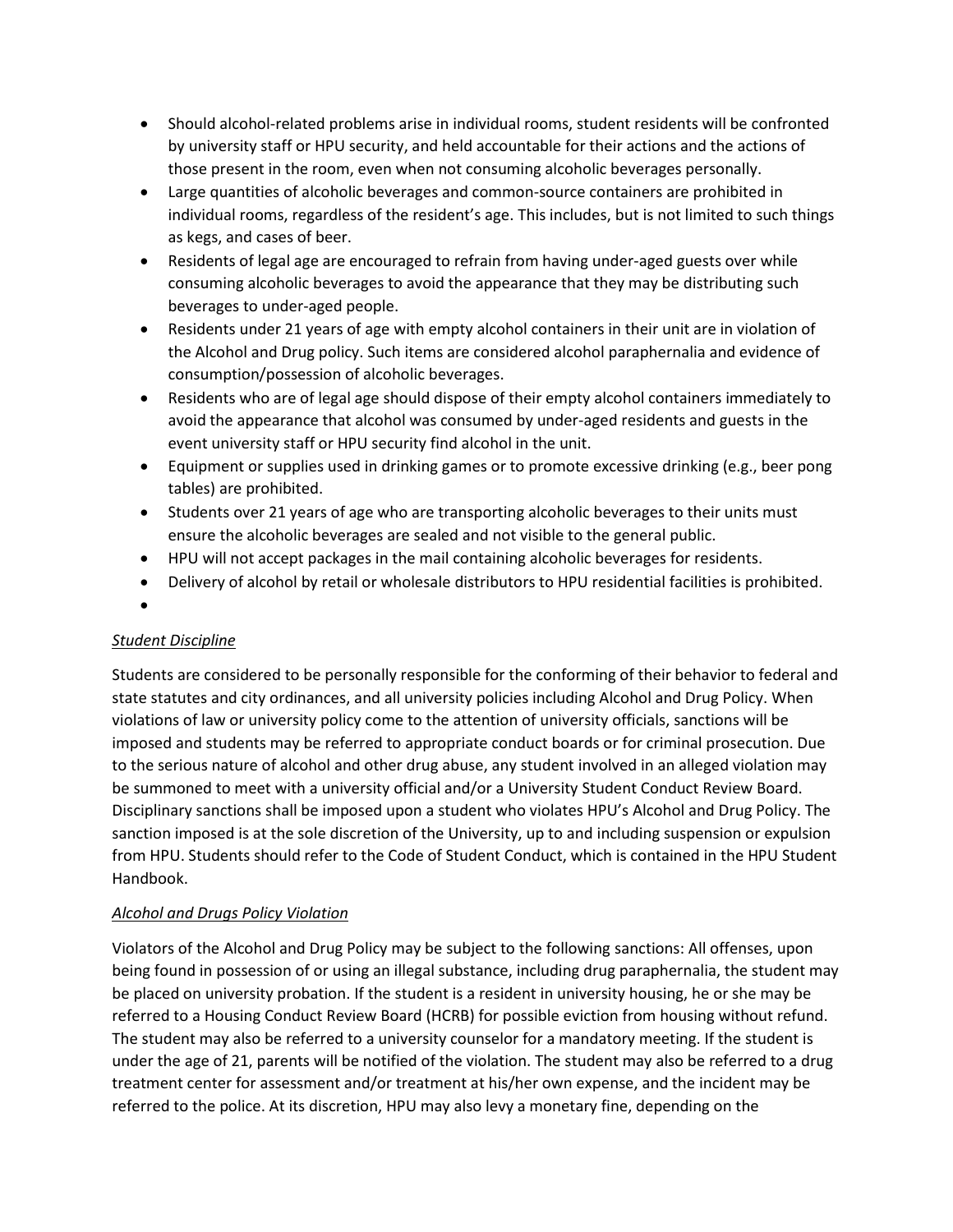- Should alcohol-related problems arise in individual rooms, student residents will be confronted by university staff or HPU security, and held accountable for their actions and the actions of those present in the room, even when not consuming alcoholic beverages personally.
- Large quantities of alcoholic beverages and common-source containers are prohibited in individual rooms, regardless of the resident's age. This includes, but is not limited to such things as kegs, and cases of beer.
- Residents of legal age are encouraged to refrain from having under-aged guests over while consuming alcoholic beverages to avoid the appearance that they may be distributing such beverages to under-aged people.
- Residents under 21 years of age with empty alcohol containers in their unit are in violation of the Alcohol and Drug policy. Such items are considered alcohol paraphernalia and evidence of consumption/possession of alcoholic beverages.
- Residents who are of legal age should dispose of their empty alcohol containers immediately to avoid the appearance that alcohol was consumed by under-aged residents and guests in the event university staff or HPU security find alcohol in the unit.
- Equipment or supplies used in drinking games or to promote excessive drinking (e.g., beer pong tables) are prohibited.
- Students over 21 years of age who are transporting alcoholic beverages to their units must ensure the alcoholic beverages are sealed and not visible to the general public.
- HPU will not accept packages in the mail containing alcoholic beverages for residents.
- Delivery of alcohol by retail or wholesale distributors to HPU residential facilities is prohibited.
- •

# *Student Discipline*

Students are considered to be personally responsible for the conforming of their behavior to federal and state statutes and city ordinances, and all university policies including Alcohol and Drug Policy. When violations of law or university policy come to the attention of university officials, sanctions will be imposed and students may be referred to appropriate conduct boards or for criminal prosecution. Due to the serious nature of alcohol and other drug abuse, any student involved in an alleged violation may be summoned to meet with a university official and/or a University Student Conduct Review Board. Disciplinary sanctions shall be imposed upon a student who violates HPU's Alcohol and Drug Policy. The sanction imposed is at the sole discretion of the University, up to and including suspension or expulsion from HPU. Students should refer to the Code of Student Conduct, which is contained in the HPU Student Handbook.

# *Alcohol and Drugs Policy Violation*

Violators of the Alcohol and Drug Policy may be subject to the following sanctions: All offenses, upon being found in possession of or using an illegal substance, including drug paraphernalia, the student may be placed on university probation. If the student is a resident in university housing, he or she may be referred to a Housing Conduct Review Board (HCRB) for possible eviction from housing without refund. The student may also be referred to a university counselor for a mandatory meeting. If the student is under the age of 21, parents will be notified of the violation. The student may also be referred to a drug treatment center for assessment and/or treatment at his/her own expense, and the incident may be referred to the police. At its discretion, HPU may also levy a monetary fine, depending on the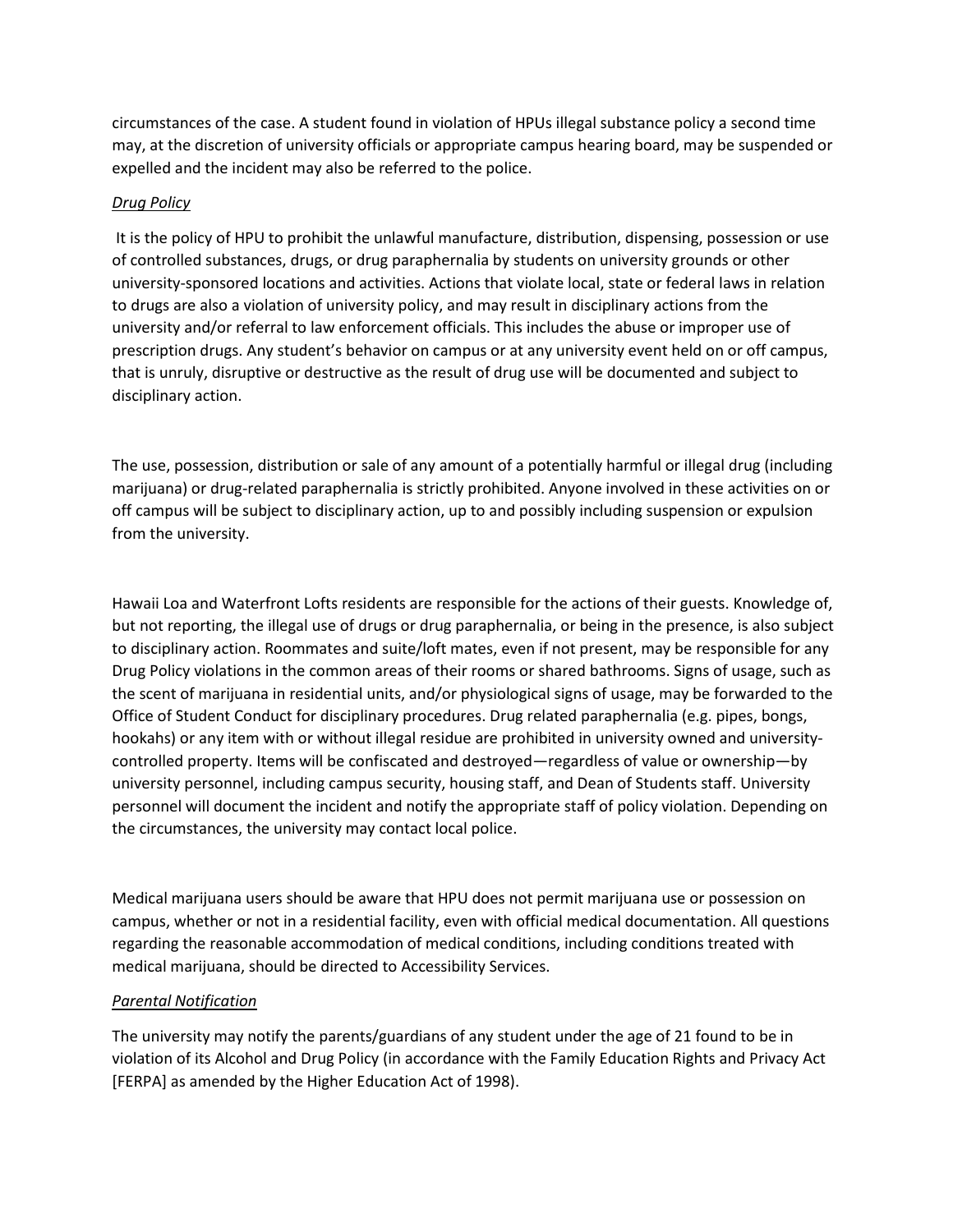circumstances of the case. A student found in violation of HPUs illegal substance policy a second time may, at the discretion of university officials or appropriate campus hearing board, may be suspended or expelled and the incident may also be referred to the police.

#### *Drug Policy*

It is the policy of HPU to prohibit the unlawful manufacture, distribution, dispensing, possession or use of controlled substances, drugs, or drug paraphernalia by students on university grounds or other university-sponsored locations and activities. Actions that violate local, state or federal laws in relation to drugs are also a violation of university policy, and may result in disciplinary actions from the university and/or referral to law enforcement officials. This includes the abuse or improper use of prescription drugs. Any student's behavior on campus or at any university event held on or off campus, that is unruly, disruptive or destructive as the result of drug use will be documented and subject to disciplinary action.

The use, possession, distribution or sale of any amount of a potentially harmful or illegal drug (including marijuana) or drug-related paraphernalia is strictly prohibited. Anyone involved in these activities on or off campus will be subject to disciplinary action, up to and possibly including suspension or expulsion from the university.

Hawaii Loa and Waterfront Lofts residents are responsible for the actions of their guests. Knowledge of, but not reporting, the illegal use of drugs or drug paraphernalia, or being in the presence, is also subject to disciplinary action. Roommates and suite/loft mates, even if not present, may be responsible for any Drug Policy violations in the common areas of their rooms or shared bathrooms. Signs of usage, such as the scent of marijuana in residential units, and/or physiological signs of usage, may be forwarded to the Office of Student Conduct for disciplinary procedures. Drug related paraphernalia (e.g. pipes, bongs, hookahs) or any item with or without illegal residue are prohibited in university owned and universitycontrolled property. Items will be confiscated and destroyed—regardless of value or ownership—by university personnel, including campus security, housing staff, and Dean of Students staff. University personnel will document the incident and notify the appropriate staff of policy violation. Depending on the circumstances, the university may contact local police.

Medical marijuana users should be aware that HPU does not permit marijuana use or possession on campus, whether or not in a residential facility, even with official medical documentation. All questions regarding the reasonable accommodation of medical conditions, including conditions treated with medical marijuana, should be directed to Accessibility Services.

### *Parental Notification*

The university may notify the parents/guardians of any student under the age of 21 found to be in violation of its Alcohol and Drug Policy (in accordance with the Family Education Rights and Privacy Act [FERPA] as amended by the Higher Education Act of 1998).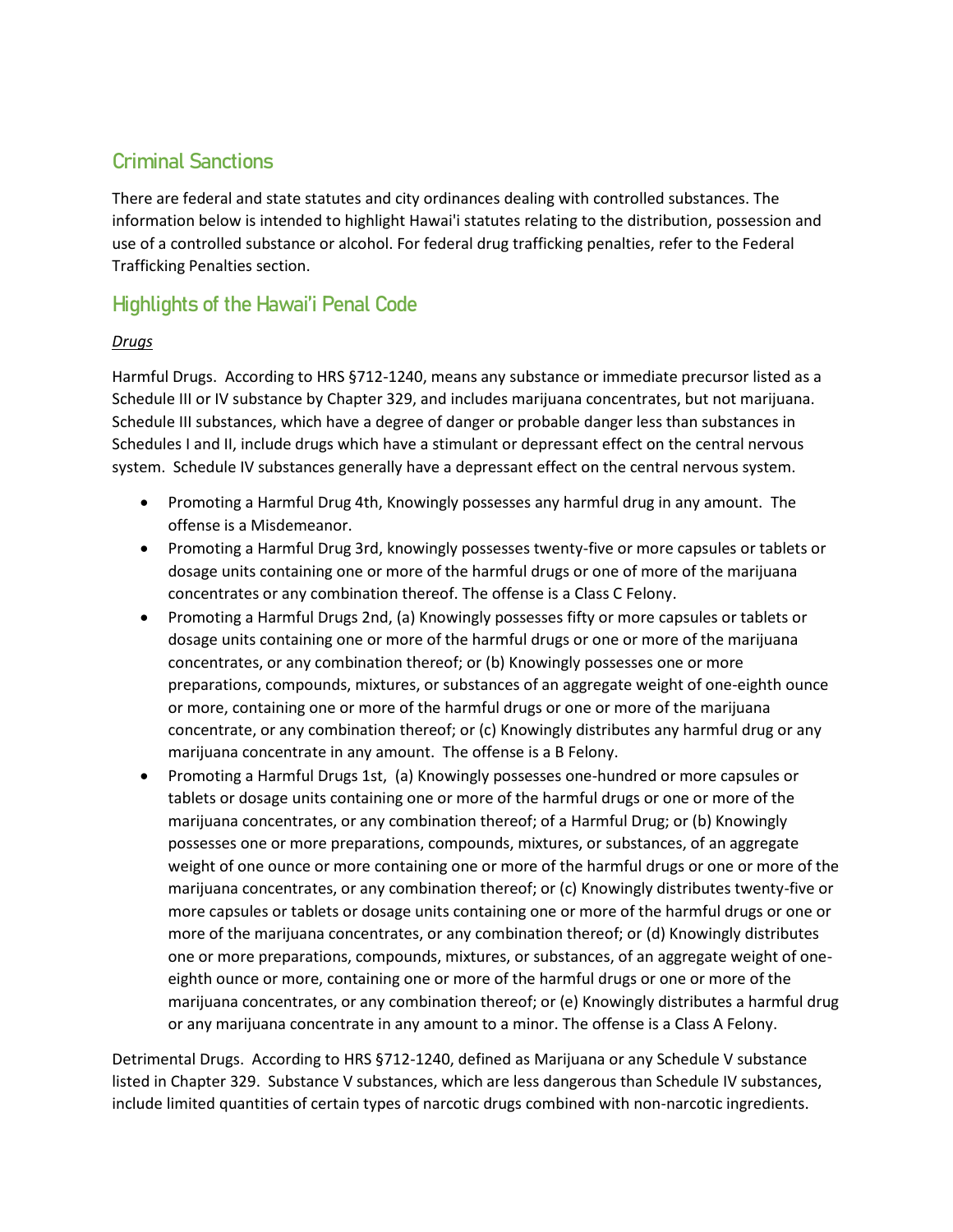# Criminal Sanctions

There are federal and state statutes and city ordinances dealing with controlled substances. The information below is intended to highlight Hawai'i statutes relating to the distribution, possession and use of a controlled substance or alcohol. For federal drug trafficking penalties, refer to the Federal Trafficking Penalties section.

# Highlights of the Hawai'i Penal Code

### *Drugs*

Harmful Drugs. According to HRS §712-1240, means any substance or immediate precursor listed as a Schedule III or IV substance by Chapter 329, and includes marijuana concentrates, but not marijuana. Schedule III substances, which have a degree of danger or probable danger less than substances in Schedules I and II, include drugs which have a stimulant or depressant effect on the central nervous system. Schedule IV substances generally have a depressant effect on the central nervous system.

- Promoting a Harmful Drug 4th, Knowingly possesses any harmful drug in any amount. The offense is a Misdemeanor.
- Promoting a Harmful Drug 3rd, knowingly possesses twenty-five or more capsules or tablets or dosage units containing one or more of the harmful drugs or one of more of the marijuana concentrates or any combination thereof. The offense is a Class C Felony.
- Promoting a Harmful Drugs 2nd, (a) Knowingly possesses fifty or more capsules or tablets or dosage units containing one or more of the harmful drugs or one or more of the marijuana concentrates, or any combination thereof; or (b) Knowingly possesses one or more preparations, compounds, mixtures, or substances of an aggregate weight of one-eighth ounce or more, containing one or more of the harmful drugs or one or more of the marijuana concentrate, or any combination thereof; or (c) Knowingly distributes any harmful drug or any marijuana concentrate in any amount. The offense is a B Felony.
- Promoting a Harmful Drugs 1st, (a) Knowingly possesses one-hundred or more capsules or tablets or dosage units containing one or more of the harmful drugs or one or more of the marijuana concentrates, or any combination thereof; of a Harmful Drug; or (b) Knowingly possesses one or more preparations, compounds, mixtures, or substances, of an aggregate weight of one ounce or more containing one or more of the harmful drugs or one or more of the marijuana concentrates, or any combination thereof; or (c) Knowingly distributes twenty-five or more capsules or tablets or dosage units containing one or more of the harmful drugs or one or more of the marijuana concentrates, or any combination thereof; or (d) Knowingly distributes one or more preparations, compounds, mixtures, or substances, of an aggregate weight of oneeighth ounce or more, containing one or more of the harmful drugs or one or more of the marijuana concentrates, or any combination thereof; or (e) Knowingly distributes a harmful drug or any marijuana concentrate in any amount to a minor. The offense is a Class A Felony.

Detrimental Drugs. According to HRS §712-1240, defined as Marijuana or any Schedule V substance listed in Chapter 329. Substance V substances, which are less dangerous than Schedule IV substances, include limited quantities of certain types of narcotic drugs combined with non-narcotic ingredients.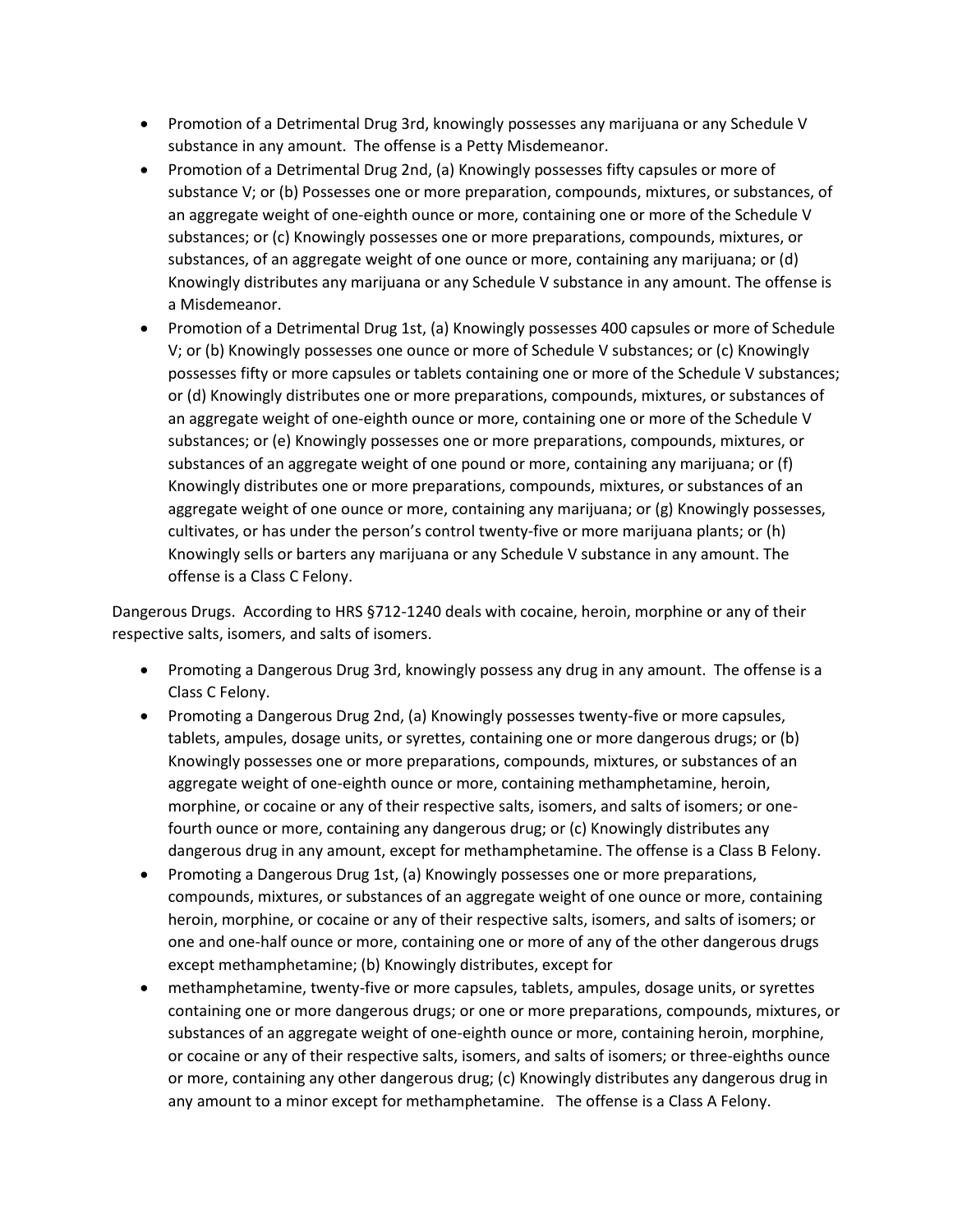- Promotion of a Detrimental Drug 3rd, knowingly possesses any marijuana or any Schedule V substance in any amount. The offense is a Petty Misdemeanor.
- Promotion of a Detrimental Drug 2nd, (a) Knowingly possesses fifty capsules or more of substance V; or (b) Possesses one or more preparation, compounds, mixtures, or substances, of an aggregate weight of one-eighth ounce or more, containing one or more of the Schedule V substances; or (c) Knowingly possesses one or more preparations, compounds, mixtures, or substances, of an aggregate weight of one ounce or more, containing any marijuana; or (d) Knowingly distributes any marijuana or any Schedule V substance in any amount. The offense is a Misdemeanor.
- Promotion of a Detrimental Drug 1st, (a) Knowingly possesses 400 capsules or more of Schedule V; or (b) Knowingly possesses one ounce or more of Schedule V substances; or (c) Knowingly possesses fifty or more capsules or tablets containing one or more of the Schedule V substances; or (d) Knowingly distributes one or more preparations, compounds, mixtures, or substances of an aggregate weight of one-eighth ounce or more, containing one or more of the Schedule V substances; or (e) Knowingly possesses one or more preparations, compounds, mixtures, or substances of an aggregate weight of one pound or more, containing any marijuana; or (f) Knowingly distributes one or more preparations, compounds, mixtures, or substances of an aggregate weight of one ounce or more, containing any marijuana; or (g) Knowingly possesses, cultivates, or has under the person's control twenty-five or more marijuana plants; or (h) Knowingly sells or barters any marijuana or any Schedule V substance in any amount. The offense is a Class C Felony.

Dangerous Drugs. According to HRS §712-1240 deals with cocaine, heroin, morphine or any of their respective salts, isomers, and salts of isomers.

- Promoting a Dangerous Drug 3rd, knowingly possess any drug in any amount. The offense is a Class C Felony.
- Promoting a Dangerous Drug 2nd, (a) Knowingly possesses twenty-five or more capsules, tablets, ampules, dosage units, or syrettes, containing one or more dangerous drugs; or (b) Knowingly possesses one or more preparations, compounds, mixtures, or substances of an aggregate weight of one-eighth ounce or more, containing methamphetamine, heroin, morphine, or cocaine or any of their respective salts, isomers, and salts of isomers; or onefourth ounce or more, containing any dangerous drug; or (c) Knowingly distributes any dangerous drug in any amount, except for methamphetamine. The offense is a Class B Felony.
- Promoting a Dangerous Drug 1st, (a) Knowingly possesses one or more preparations, compounds, mixtures, or substances of an aggregate weight of one ounce or more, containing heroin, morphine, or cocaine or any of their respective salts, isomers, and salts of isomers; or one and one-half ounce or more, containing one or more of any of the other dangerous drugs except methamphetamine; (b) Knowingly distributes, except for
- methamphetamine, twenty-five or more capsules, tablets, ampules, dosage units, or syrettes containing one or more dangerous drugs; or one or more preparations, compounds, mixtures, or substances of an aggregate weight of one-eighth ounce or more, containing heroin, morphine, or cocaine or any of their respective salts, isomers, and salts of isomers; or three-eighths ounce or more, containing any other dangerous drug; (c) Knowingly distributes any dangerous drug in any amount to a minor except for methamphetamine. The offense is a Class A Felony.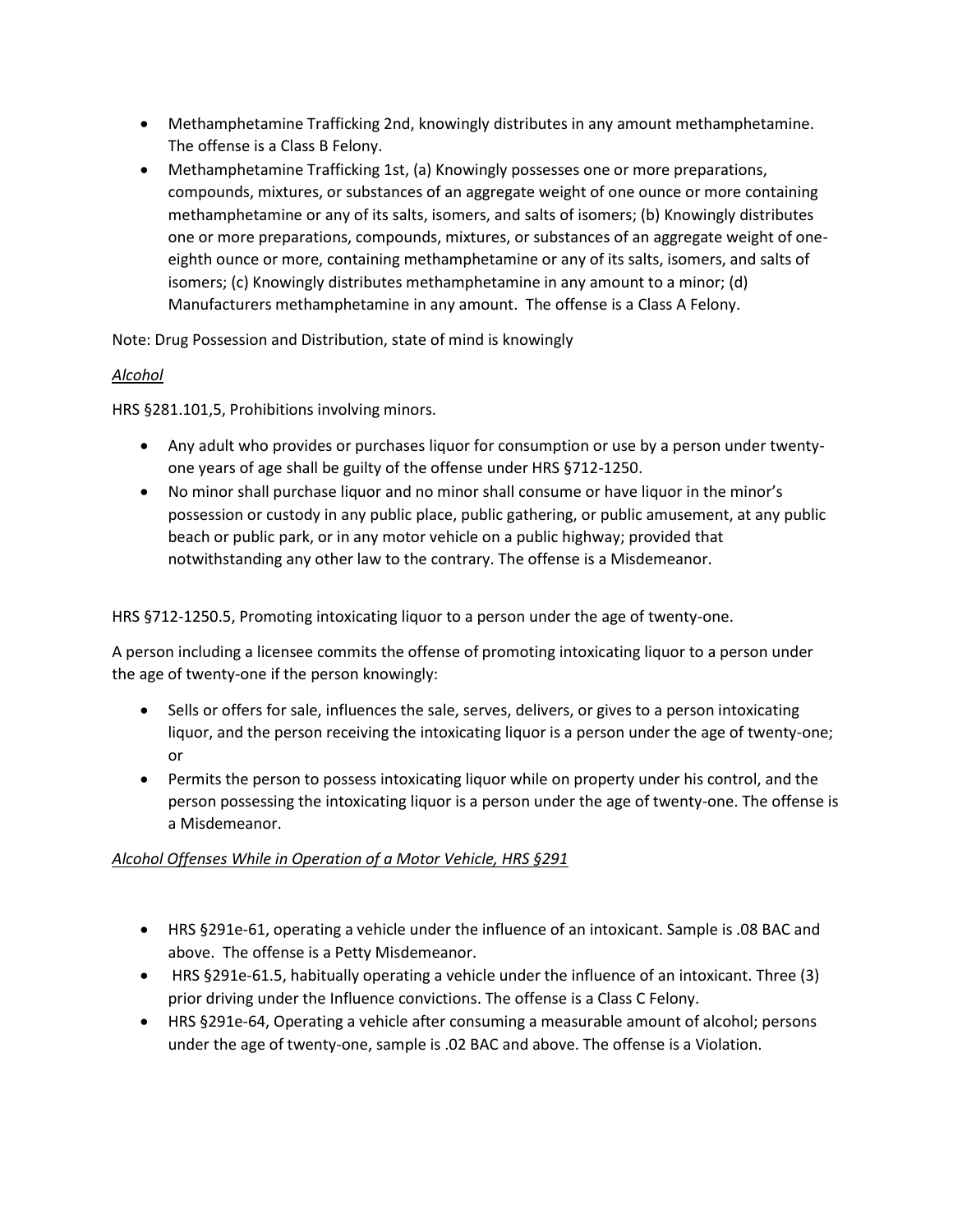- Methamphetamine Trafficking 2nd, knowingly distributes in any amount methamphetamine. The offense is a Class B Felony.
- Methamphetamine Trafficking 1st, (a) Knowingly possesses one or more preparations, compounds, mixtures, or substances of an aggregate weight of one ounce or more containing methamphetamine or any of its salts, isomers, and salts of isomers; (b) Knowingly distributes one or more preparations, compounds, mixtures, or substances of an aggregate weight of oneeighth ounce or more, containing methamphetamine or any of its salts, isomers, and salts of isomers; (c) Knowingly distributes methamphetamine in any amount to a minor; (d) Manufacturers methamphetamine in any amount. The offense is a Class A Felony.

Note: Drug Possession and Distribution, state of mind is knowingly

### *Alcohol*

HRS §281.101,5, Prohibitions involving minors.

- Any adult who provides or purchases liquor for consumption or use by a person under twentyone years of age shall be guilty of the offense under HRS §712-1250.
- No minor shall purchase liquor and no minor shall consume or have liquor in the minor's possession or custody in any public place, public gathering, or public amusement, at any public beach or public park, or in any motor vehicle on a public highway; provided that notwithstanding any other law to the contrary. The offense is a Misdemeanor.

HRS §712-1250.5, Promoting intoxicating liquor to a person under the age of twenty-one.

A person including a licensee commits the offense of promoting intoxicating liquor to a person under the age of twenty-one if the person knowingly:

- Sells or offers for sale, influences the sale, serves, delivers, or gives to a person intoxicating liquor, and the person receiving the intoxicating liquor is a person under the age of twenty-one; or
- Permits the person to possess intoxicating liquor while on property under his control, and the person possessing the intoxicating liquor is a person under the age of twenty-one. The offense is a Misdemeanor.

#### *Alcohol Offenses While in Operation of a Motor Vehicle, HRS §291*

- HRS §291e-61, operating a vehicle under the influence of an intoxicant. Sample is .08 BAC and above. The offense is a Petty Misdemeanor.
- HRS §291e-61.5, habitually operating a vehicle under the influence of an intoxicant. Three (3) prior driving under the Influence convictions. The offense is a Class C Felony.
- HRS §291e-64, Operating a vehicle after consuming a measurable amount of alcohol; persons under the age of twenty-one, sample is .02 BAC and above. The offense is a Violation.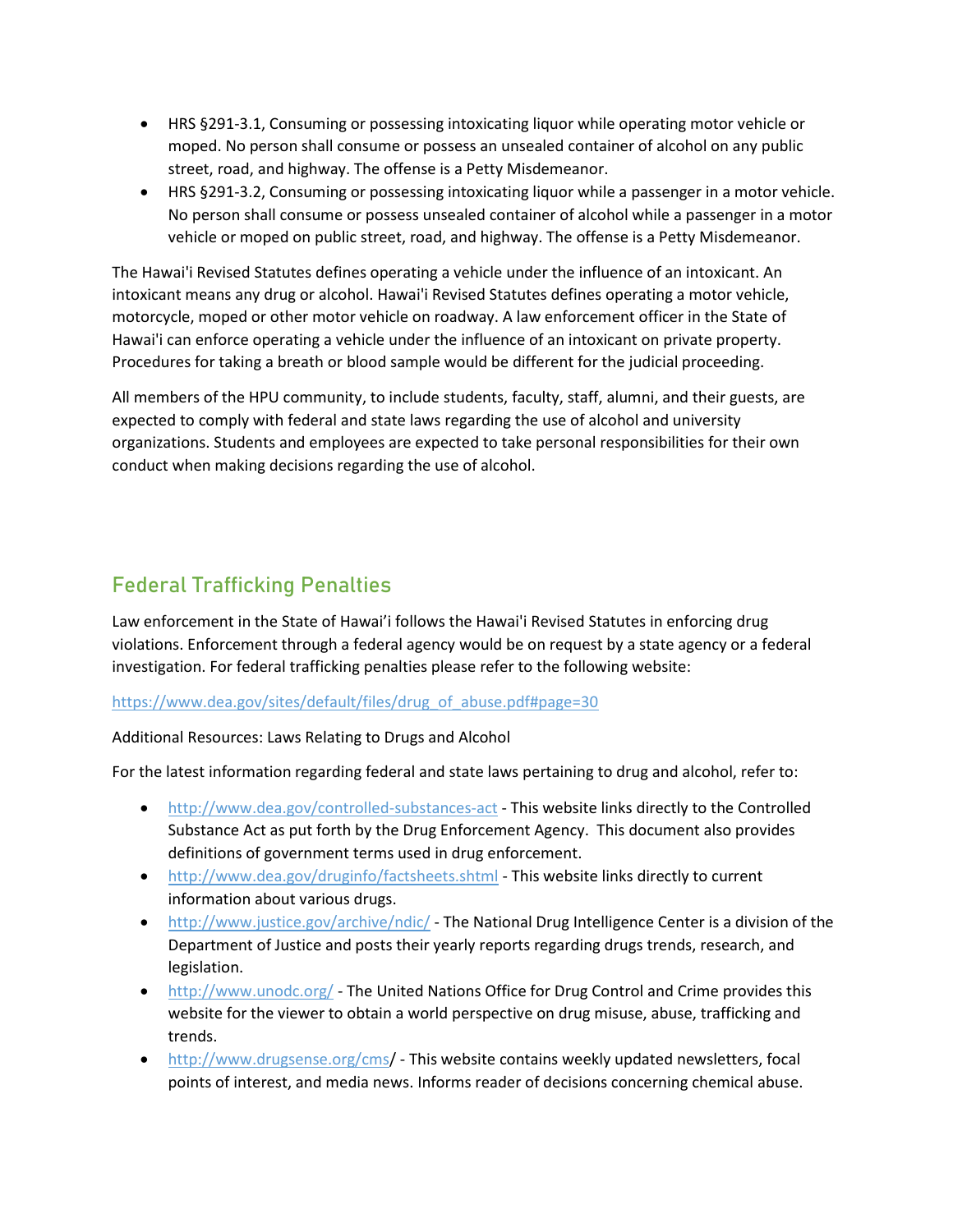- HRS §291-3.1, Consuming or possessing intoxicating liquor while operating motor vehicle or moped. No person shall consume or possess an unsealed container of alcohol on any public street, road, and highway. The offense is a Petty Misdemeanor.
- HRS §291-3.2, Consuming or possessing intoxicating liquor while a passenger in a motor vehicle. No person shall consume or possess unsealed container of alcohol while a passenger in a motor vehicle or moped on public street, road, and highway. The offense is a Petty Misdemeanor.

The Hawai'i Revised Statutes defines operating a vehicle under the influence of an intoxicant. An intoxicant means any drug or alcohol. Hawai'i Revised Statutes defines operating a motor vehicle, motorcycle, moped or other motor vehicle on roadway. A law enforcement officer in the State of Hawai'i can enforce operating a vehicle under the influence of an intoxicant on private property. Procedures for taking a breath or blood sample would be different for the judicial proceeding.

All members of the HPU community, to include students, faculty, staff, alumni, and their guests, are expected to comply with federal and state laws regarding the use of alcohol and university organizations. Students and employees are expected to take personal responsibilities for their own conduct when making decisions regarding the use of alcohol.

# Federal Trafficking Penalties

Law enforcement in the State of Hawai'i follows the Hawai'i Revised Statutes in enforcing drug violations. Enforcement through a federal agency would be on request by a state agency or a federal investigation. For federal trafficking penalties please refer to the following website:

https://www.dea.gov/sites/default/files/drug\_of\_abuse.pdf#page=30

Additional Resources: Laws Relating to Drugs and Alcohol

For the latest information regarding federal and state laws pertaining to drug and alcohol, refer to:

- http://www.dea.gov/controlled-substances-act This website links directly to the Controlled Substance Act as put forth by the Drug Enforcement Agency. This document also provides definitions of government terms used in drug enforcement.
- http://www.dea.gov/druginfo/factsheets.shtml This website links directly to current information about various drugs.
- http://www.justice.gov/archive/ndic/ The National Drug Intelligence Center is a division of the Department of Justice and posts their yearly reports regarding drugs trends, research, and legislation.
- http://www.unodc.org/ The United Nations Office for Drug Control and Crime provides this website for the viewer to obtain a world perspective on drug misuse, abuse, trafficking and trends.
- http://www.drugsense.org/cms/ This website contains weekly updated newsletters, focal points of interest, and media news. Informs reader of decisions concerning chemical abuse.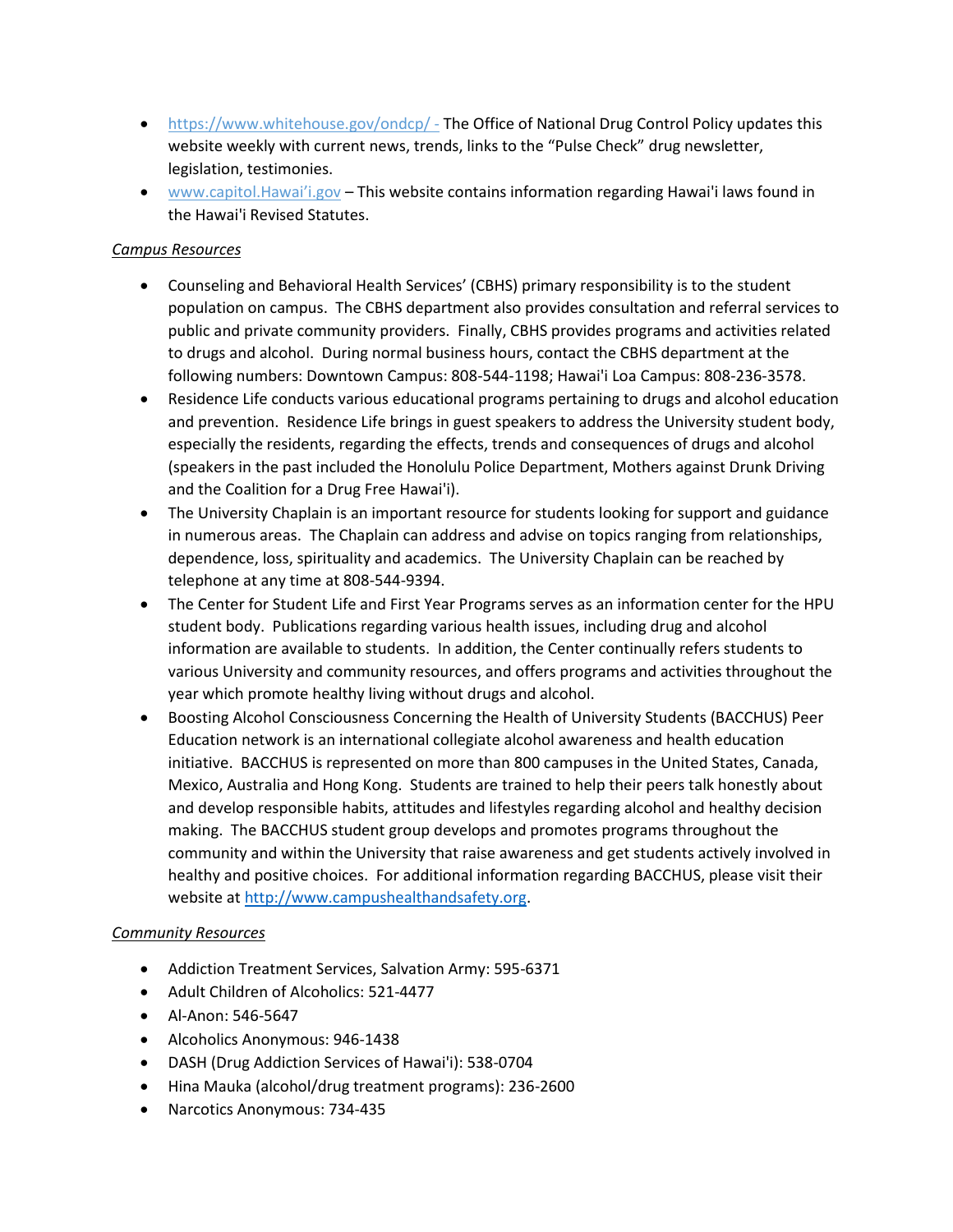- https://www.whitehouse.gov/ondcp/ The Office of National Drug Control Policy updates this website weekly with current news, trends, links to the "Pulse Check" drug newsletter, legislation, testimonies.
- www.capitol.Hawai'i.gov This website contains information regarding Hawai'i laws found in the Hawai'i Revised Statutes.

#### *Campus Resources*

- Counseling and Behavioral Health Services' (CBHS) primary responsibility is to the student population on campus. The CBHS department also provides consultation and referral services to public and private community providers. Finally, CBHS provides programs and activities related to drugs and alcohol. During normal business hours, contact the CBHS department at the following numbers: Downtown Campus: 808-544-1198; Hawai'i Loa Campus: 808-236-3578.
- Residence Life conducts various educational programs pertaining to drugs and alcohol education and prevention. Residence Life brings in guest speakers to address the University student body, especially the residents, regarding the effects, trends and consequences of drugs and alcohol (speakers in the past included the Honolulu Police Department, Mothers against Drunk Driving and the Coalition for a Drug Free Hawai'i).
- The University Chaplain is an important resource for students looking for support and guidance in numerous areas. The Chaplain can address and advise on topics ranging from relationships, dependence, loss, spirituality and academics. The University Chaplain can be reached by telephone at any time at 808-544-9394.
- The Center for Student Life and First Year Programs serves as an information center for the HPU student body. Publications regarding various health issues, including drug and alcohol information are available to students. In addition, the Center continually refers students to various University and community resources, and offers programs and activities throughout the year which promote healthy living without drugs and alcohol.
- Boosting Alcohol Consciousness Concerning the Health of University Students (BACCHUS) Peer Education network is an international collegiate alcohol awareness and health education initiative. BACCHUS is represented on more than 800 campuses in the United States, Canada, Mexico, Australia and Hong Kong. Students are trained to help their peers talk honestly about and develop responsible habits, attitudes and lifestyles regarding alcohol and healthy decision making. The BACCHUS student group develops and promotes programs throughout the community and within the University that raise awareness and get students actively involved in healthy and positive choices. For additional information regarding BACCHUS, please visit their website at [http://www.campushealthandsafety.org.](http://www.campushealthandsafety.org/)

### *Community Resources*

- Addiction Treatment Services, Salvation Army: 595-6371
- Adult Children of Alcoholics: 521-4477
- Al-Anon: 546-5647
- Alcoholics Anonymous: 946-1438
- DASH (Drug Addiction Services of Hawai'i): 538-0704
- Hina Mauka (alcohol/drug treatment programs): 236-2600
- Narcotics Anonymous: 734-435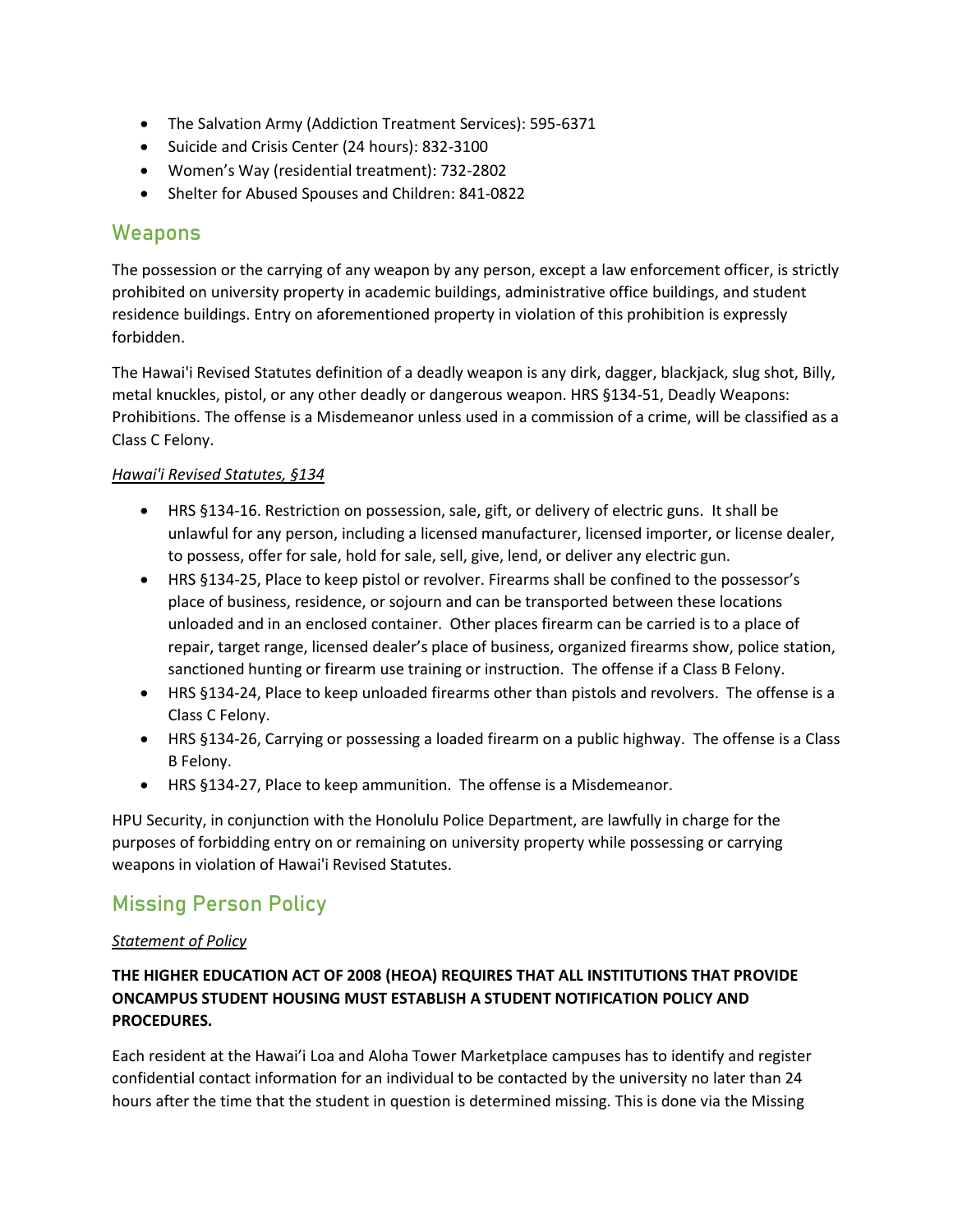- The Salvation Army (Addiction Treatment Services): 595-6371
- Suicide and Crisis Center (24 hours): 832-3100
- Women's Way (residential treatment): 732-2802
- Shelter for Abused Spouses and Children: 841-0822

# Weapons

The possession or the carrying of any weapon by any person, except a law enforcement officer, is strictly prohibited on university property in academic buildings, administrative office buildings, and student residence buildings. Entry on aforementioned property in violation of this prohibition is expressly forbidden.

The Hawai'i Revised Statutes definition of a deadly weapon is any dirk, dagger, blackjack, slug shot, Billy, metal knuckles, pistol, or any other deadly or dangerous weapon. HRS §134-51, Deadly Weapons: Prohibitions. The offense is a Misdemeanor unless used in a commission of a crime, will be classified as a Class C Felony.

### *Hawai'i Revised Statutes, §134*

- HRS §134-16. Restriction on possession, sale, gift, or delivery of electric guns. It shall be unlawful for any person, including a licensed manufacturer, licensed importer, or license dealer, to possess, offer for sale, hold for sale, sell, give, lend, or deliver any electric gun.
- HRS §134-25, Place to keep pistol or revolver. Firearms shall be confined to the possessor's place of business, residence, or sojourn and can be transported between these locations unloaded and in an enclosed container. Other places firearm can be carried is to a place of repair, target range, licensed dealer's place of business, organized firearms show, police station, sanctioned hunting or firearm use training or instruction. The offense if a Class B Felony.
- HRS §134-24, Place to keep unloaded firearms other than pistols and revolvers. The offense is a Class C Felony.
- HRS §134-26, Carrying or possessing a loaded firearm on a public highway. The offense is a Class B Felony.
- HRS §134-27, Place to keep ammunition. The offense is a Misdemeanor.

HPU Security, in conjunction with the Honolulu Police Department, are lawfully in charge for the purposes of forbidding entry on or remaining on university property while possessing or carrying weapons in violation of Hawai'i Revised Statutes.

# Missing Person Policy

### *Statement of Policy*

# **THE HIGHER EDUCATION ACT OF 2008 (HEOA) REQUIRES THAT ALL INSTITUTIONS THAT PROVIDE ONCAMPUS STUDENT HOUSING MUST ESTABLISH A STUDENT NOTIFICATION POLICY AND PROCEDURES.**

Each resident at the Hawai'i Loa and Aloha Tower Marketplace campuses has to identify and register confidential contact information for an individual to be contacted by the university no later than 24 hours after the time that the student in question is determined missing. This is done via the Missing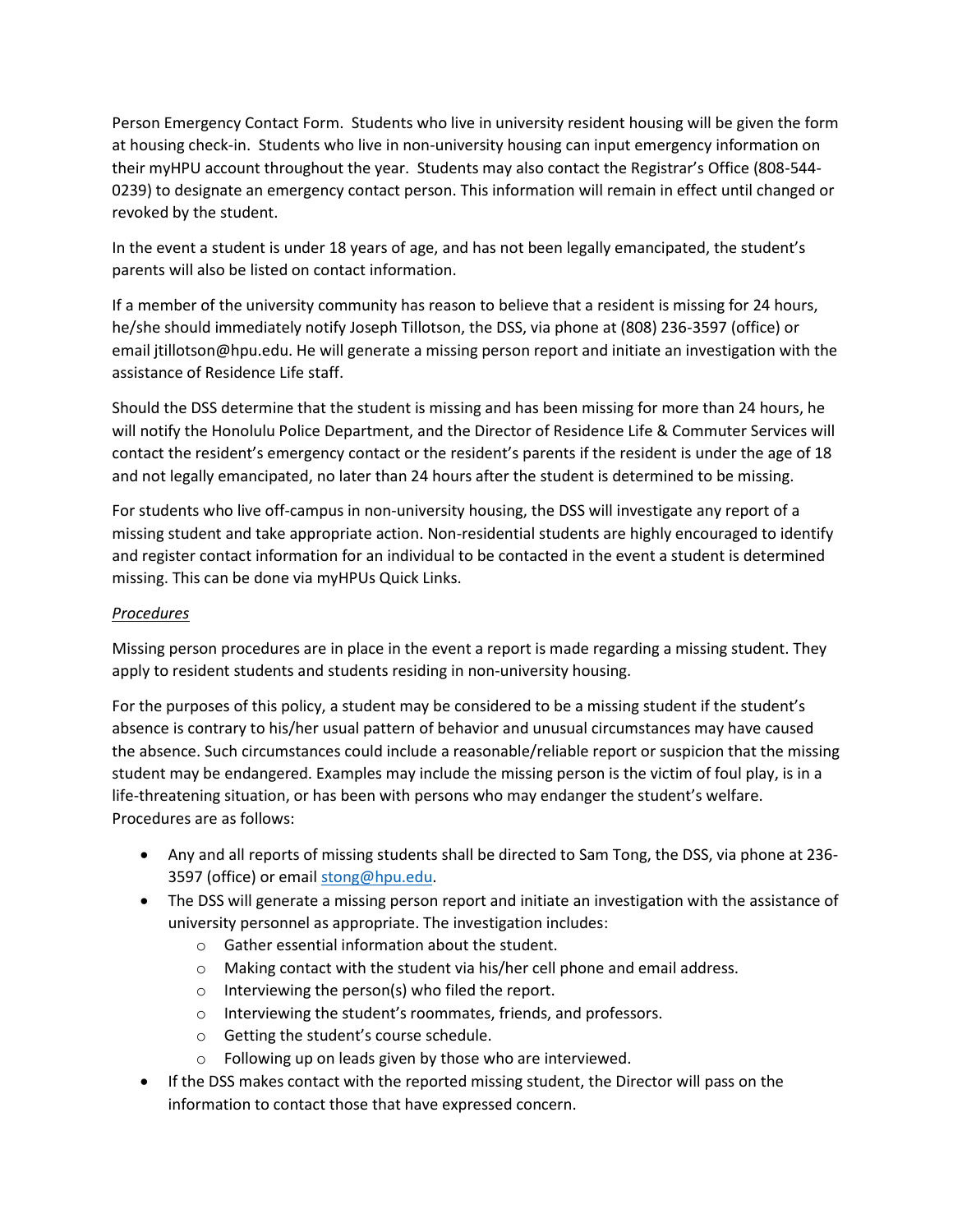Person Emergency Contact Form. Students who live in university resident housing will be given the form at housing check-in. Students who live in non-university housing can input emergency information on their myHPU account throughout the year. Students may also contact the Registrar's Office (808-544- 0239) to designate an emergency contact person. This information will remain in effect until changed or revoked by the student.

In the event a student is under 18 years of age, and has not been legally emancipated, the student's parents will also be listed on contact information.

If a member of the university community has reason to believe that a resident is missing for 24 hours, he/she should immediately notify Joseph Tillotson, the DSS, via phone at (808) 236-3597 (office) or email jtillotson@hpu.edu. He will generate a missing person report and initiate an investigation with the assistance of Residence Life staff.

Should the DSS determine that the student is missing and has been missing for more than 24 hours, he will notify the Honolulu Police Department, and the Director of Residence Life & Commuter Services will contact the resident's emergency contact or the resident's parents if the resident is under the age of 18 and not legally emancipated, no later than 24 hours after the student is determined to be missing.

For students who live off-campus in non-university housing, the DSS will investigate any report of a missing student and take appropriate action. Non-residential students are highly encouraged to identify and register contact information for an individual to be contacted in the event a student is determined missing. This can be done via myHPUs Quick Links.

#### *Procedures*

Missing person procedures are in place in the event a report is made regarding a missing student. They apply to resident students and students residing in non-university housing.

For the purposes of this policy, a student may be considered to be a missing student if the student's absence is contrary to his/her usual pattern of behavior and unusual circumstances may have caused the absence. Such circumstances could include a reasonable/reliable report or suspicion that the missing student may be endangered. Examples may include the missing person is the victim of foul play, is in a life-threatening situation, or has been with persons who may endanger the student's welfare. Procedures are as follows:

- Any and all reports of missing students shall be directed to Sam Tong, the DSS, via phone at 236- 3597 (office) or email [stong@hpu.edu.](mailto:stong@hpu.edu)
- The DSS will generate a missing person report and initiate an investigation with the assistance of university personnel as appropriate. The investigation includes:
	- o Gather essential information about the student.
	- o Making contact with the student via his/her cell phone and email address.
	- o Interviewing the person(s) who filed the report.
	- o Interviewing the student's roommates, friends, and professors.
	- o Getting the student's course schedule.
	- o Following up on leads given by those who are interviewed.
- If the DSS makes contact with the reported missing student, the Director will pass on the information to contact those that have expressed concern.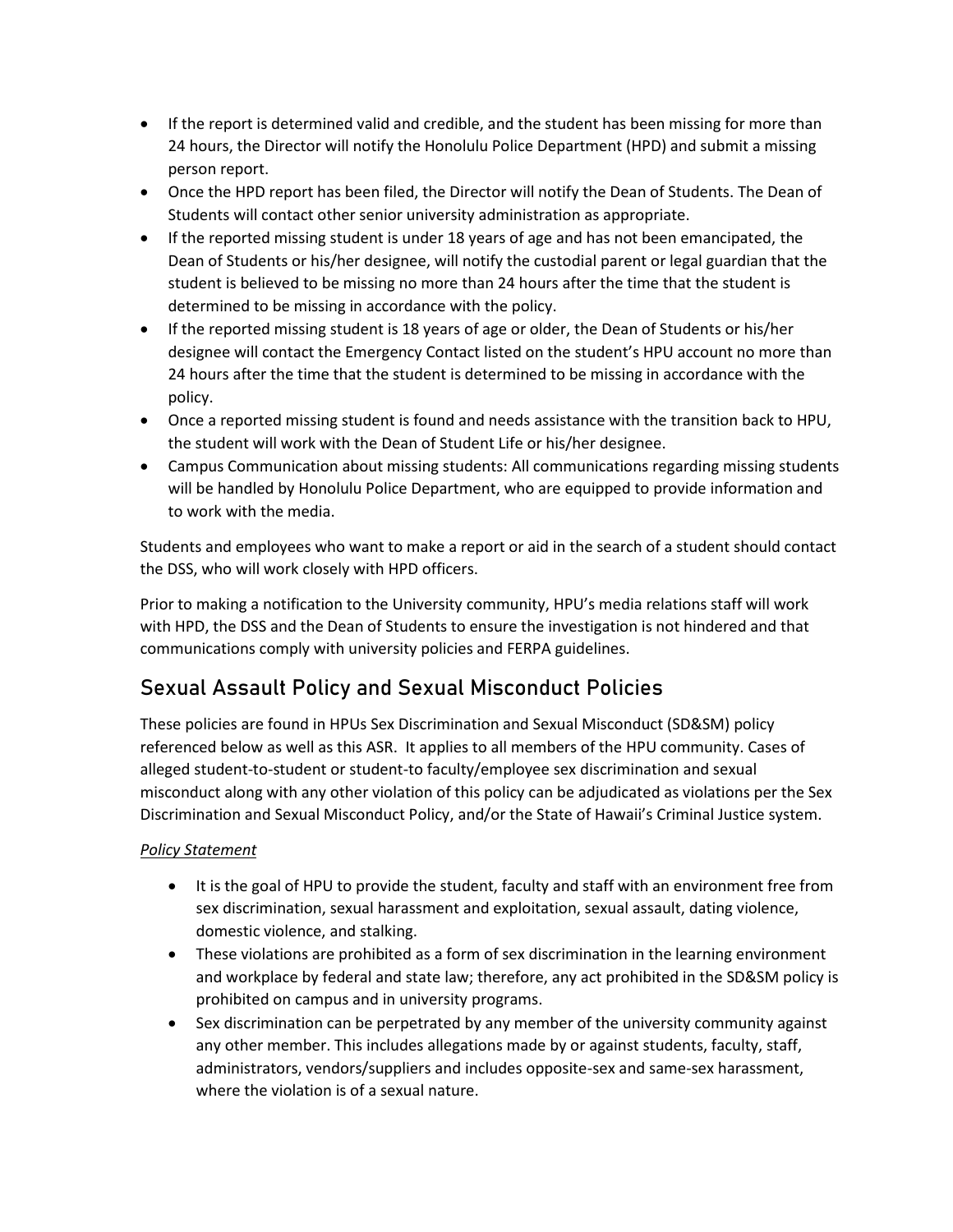- If the report is determined valid and credible, and the student has been missing for more than 24 hours, the Director will notify the Honolulu Police Department (HPD) and submit a missing person report.
- Once the HPD report has been filed, the Director will notify the Dean of Students. The Dean of Students will contact other senior university administration as appropriate.
- If the reported missing student is under 18 years of age and has not been emancipated, the Dean of Students or his/her designee, will notify the custodial parent or legal guardian that the student is believed to be missing no more than 24 hours after the time that the student is determined to be missing in accordance with the policy.
- If the reported missing student is 18 years of age or older, the Dean of Students or his/her designee will contact the Emergency Contact listed on the student's HPU account no more than 24 hours after the time that the student is determined to be missing in accordance with the policy.
- Once a reported missing student is found and needs assistance with the transition back to HPU, the student will work with the Dean of Student Life or his/her designee.
- Campus Communication about missing students: All communications regarding missing students will be handled by Honolulu Police Department, who are equipped to provide information and to work with the media.

Students and employees who want to make a report or aid in the search of a student should contact the DSS, who will work closely with HPD officers.

Prior to making a notification to the University community, HPU's media relations staff will work with HPD, the DSS and the Dean of Students to ensure the investigation is not hindered and that communications comply with university policies and FERPA guidelines.

# Sexual Assault Policy and Sexual Misconduct Policies

These policies are found in HPUs Sex Discrimination and Sexual Misconduct (SD&SM) policy referenced below as well as this ASR. It applies to all members of the HPU community. Cases of alleged student-to-student or student-to faculty/employee sex discrimination and sexual misconduct along with any other violation of this policy can be adjudicated as violations per the Sex Discrimination and Sexual Misconduct Policy, and/or the State of Hawaii's Criminal Justice system.

# *Policy Statement*

- It is the goal of HPU to provide the student, faculty and staff with an environment free from sex discrimination, sexual harassment and exploitation, sexual assault, dating violence, domestic violence, and stalking.
- These violations are prohibited as a form of sex discrimination in the learning environment and workplace by federal and state law; therefore, any act prohibited in the SD&SM policy is prohibited on campus and in university programs.
- Sex discrimination can be perpetrated by any member of the university community against any other member. This includes allegations made by or against students, faculty, staff, administrators, vendors/suppliers and includes opposite-sex and same-sex harassment, where the violation is of a sexual nature.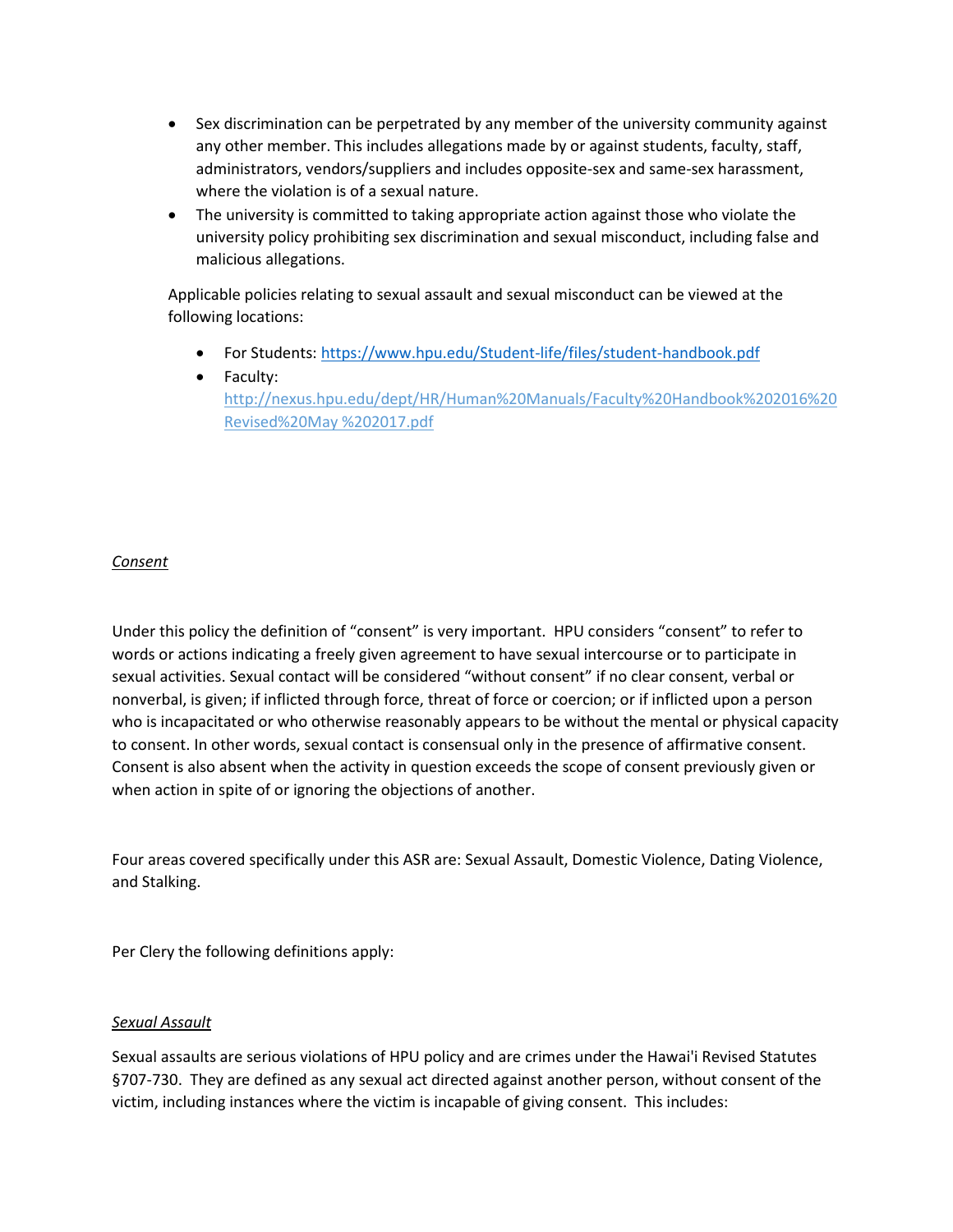- Sex discrimination can be perpetrated by any member of the university community against any other member. This includes allegations made by or against students, faculty, staff, administrators, vendors/suppliers and includes opposite-sex and same-sex harassment, where the violation is of a sexual nature.
- The university is committed to taking appropriate action against those who violate the university policy prohibiting sex discrimination and sexual misconduct, including false and malicious allegations.

Applicable policies relating to sexual assault and sexual misconduct can be viewed at the following locations:

- For Students:<https://www.hpu.edu/Student-life/files/student-handbook.pdf>
- Faculty: http://nexus.hpu.edu/dept/HR/Human%20Manuals/Faculty%20Handbook%202016%20 Revised%20May %202017.pdf

### *Consent*

Under this policy the definition of "consent" is very important. HPU considers "consent" to refer to words or actions indicating a freely given agreement to have sexual intercourse or to participate in sexual activities. Sexual contact will be considered "without consent" if no clear consent, verbal or nonverbal, is given; if inflicted through force, threat of force or coercion; or if inflicted upon a person who is incapacitated or who otherwise reasonably appears to be without the mental or physical capacity to consent. In other words, sexual contact is consensual only in the presence of affirmative consent. Consent is also absent when the activity in question exceeds the scope of consent previously given or when action in spite of or ignoring the objections of another.

Four areas covered specifically under this ASR are: Sexual Assault, Domestic Violence, Dating Violence, and Stalking.

Per Clery the following definitions apply:

#### *Sexual Assault*

Sexual assaults are serious violations of HPU policy and are crimes under the Hawai'i Revised Statutes §707-730. They are defined as any sexual act directed against another person, without consent of the victim, including instances where the victim is incapable of giving consent. This includes: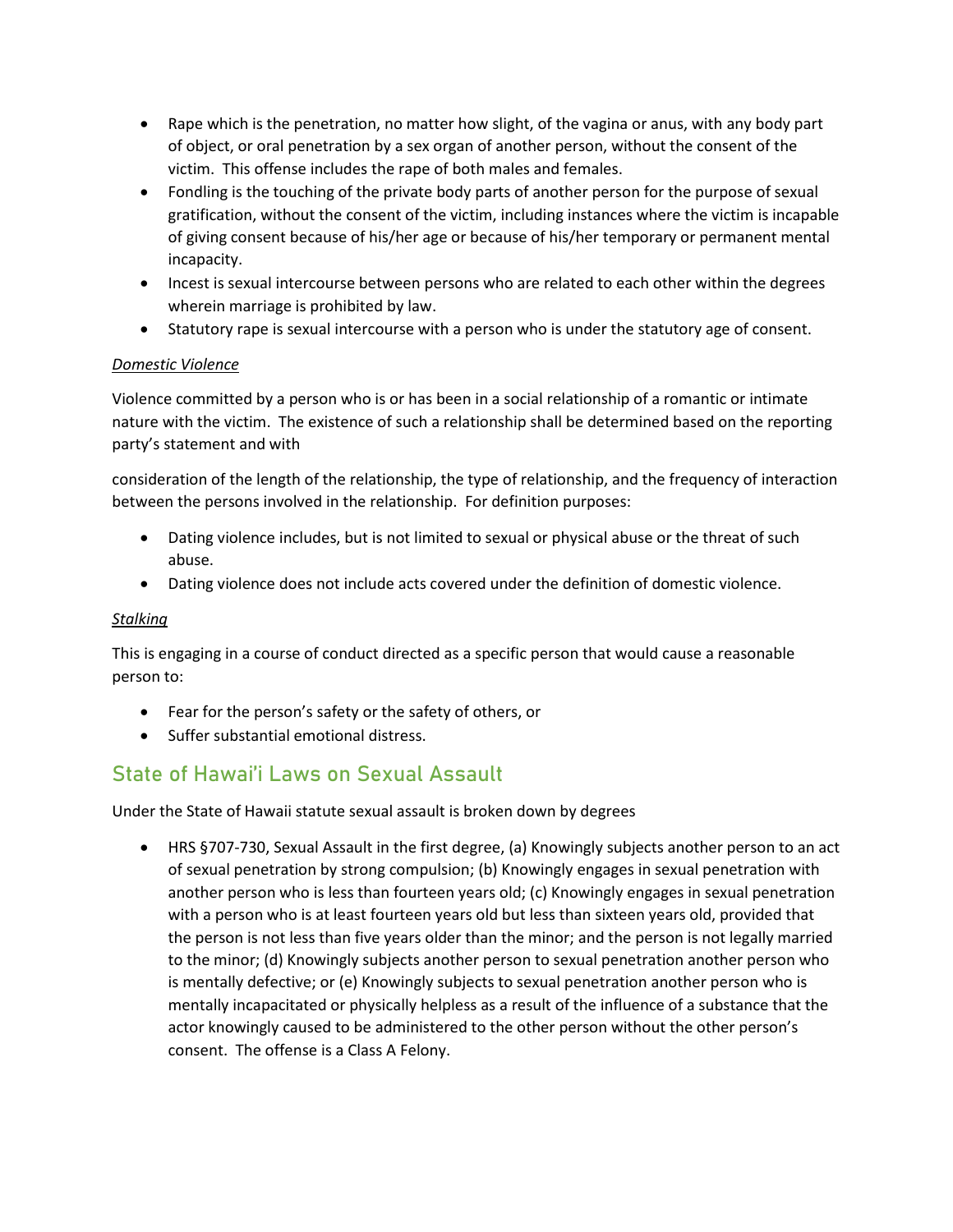- Rape which is the penetration, no matter how slight, of the vagina or anus, with any body part of object, or oral penetration by a sex organ of another person, without the consent of the victim. This offense includes the rape of both males and females.
- Fondling is the touching of the private body parts of another person for the purpose of sexual gratification, without the consent of the victim, including instances where the victim is incapable of giving consent because of his/her age or because of his/her temporary or permanent mental incapacity.
- Incest is sexual intercourse between persons who are related to each other within the degrees wherein marriage is prohibited by law.
- Statutory rape is sexual intercourse with a person who is under the statutory age of consent.

# *Domestic Violence*

Violence committed by a person who is or has been in a social relationship of a romantic or intimate nature with the victim. The existence of such a relationship shall be determined based on the reporting party's statement and with

consideration of the length of the relationship, the type of relationship, and the frequency of interaction between the persons involved in the relationship. For definition purposes:

- Dating violence includes, but is not limited to sexual or physical abuse or the threat of such abuse.
- Dating violence does not include acts covered under the definition of domestic violence.

# *Stalking*

This is engaging in a course of conduct directed as a specific person that would cause a reasonable person to:

- Fear for the person's safety or the safety of others, or
- Suffer substantial emotional distress.

# State of Hawai'i Laws on Sexual Assault

Under the State of Hawaii statute sexual assault is broken down by degrees

• HRS §707-730, Sexual Assault in the first degree, (a) Knowingly subjects another person to an act of sexual penetration by strong compulsion; (b) Knowingly engages in sexual penetration with another person who is less than fourteen years old; (c) Knowingly engages in sexual penetration with a person who is at least fourteen years old but less than sixteen years old, provided that the person is not less than five years older than the minor; and the person is not legally married to the minor; (d) Knowingly subjects another person to sexual penetration another person who is mentally defective; or (e) Knowingly subjects to sexual penetration another person who is mentally incapacitated or physically helpless as a result of the influence of a substance that the actor knowingly caused to be administered to the other person without the other person's consent. The offense is a Class A Felony.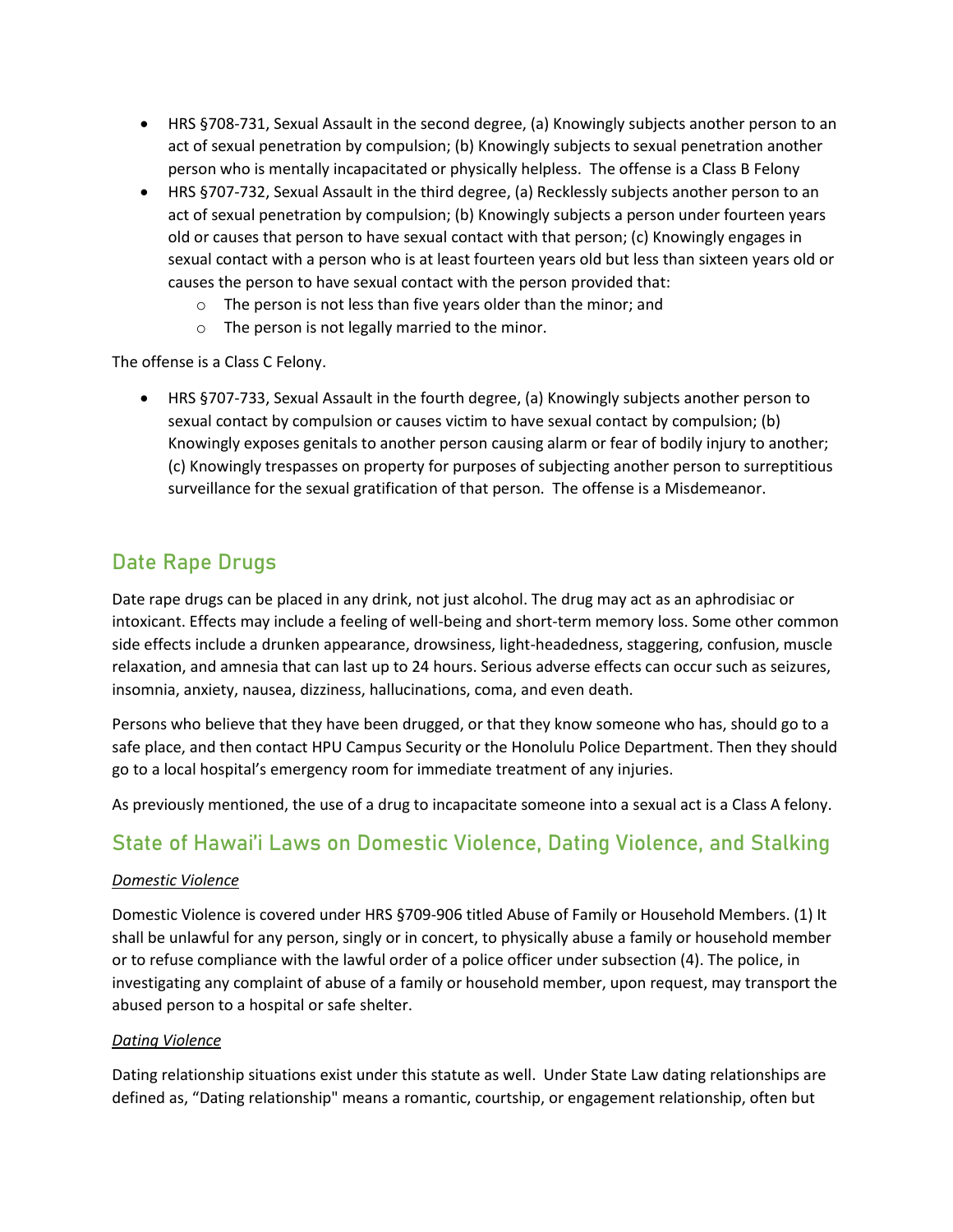- HRS §708-731, Sexual Assault in the second degree, (a) Knowingly subjects another person to an act of sexual penetration by compulsion; (b) Knowingly subjects to sexual penetration another person who is mentally incapacitated or physically helpless. The offense is a Class B Felony
- HRS §707-732, Sexual Assault in the third degree, (a) Recklessly subjects another person to an act of sexual penetration by compulsion; (b) Knowingly subjects a person under fourteen years old or causes that person to have sexual contact with that person; (c) Knowingly engages in sexual contact with a person who is at least fourteen years old but less than sixteen years old or causes the person to have sexual contact with the person provided that:
	- o The person is not less than five years older than the minor; and
	- o The person is not legally married to the minor.

The offense is a Class C Felony.

• HRS §707-733, Sexual Assault in the fourth degree, (a) Knowingly subjects another person to sexual contact by compulsion or causes victim to have sexual contact by compulsion; (b) Knowingly exposes genitals to another person causing alarm or fear of bodily injury to another; (c) Knowingly trespasses on property for purposes of subjecting another person to surreptitious surveillance for the sexual gratification of that person. The offense is a Misdemeanor.

# Date Rape Drugs

Date rape drugs can be placed in any drink, not just alcohol. The drug may act as an aphrodisiac or intoxicant. Effects may include a feeling of well-being and short-term memory loss. Some other common side effects include a drunken appearance, drowsiness, light-headedness, staggering, confusion, muscle relaxation, and amnesia that can last up to 24 hours. Serious adverse effects can occur such as seizures, insomnia, anxiety, nausea, dizziness, hallucinations, coma, and even death.

Persons who believe that they have been drugged, or that they know someone who has, should go to a safe place, and then contact HPU Campus Security or the Honolulu Police Department. Then they should go to a local hospital's emergency room for immediate treatment of any injuries.

As previously mentioned, the use of a drug to incapacitate someone into a sexual act is a Class A felony.

# State of Hawai'i Laws on Domestic Violence, Dating Violence, and Stalking

#### *Domestic Violence*

Domestic Violence is covered under HRS §709-906 titled Abuse of Family or Household Members. (1) It shall be unlawful for any person, singly or in concert, to physically abuse a family or household member or to refuse compliance with the lawful order of a police officer under subsection (4). The police, in investigating any complaint of abuse of a family or household member, upon request, may transport the abused person to a hospital or safe shelter.

#### *Dating Violence*

Dating relationship situations exist under this statute as well. Under State Law dating relationships are defined as, "Dating relationship" means a romantic, courtship, or engagement relationship, often but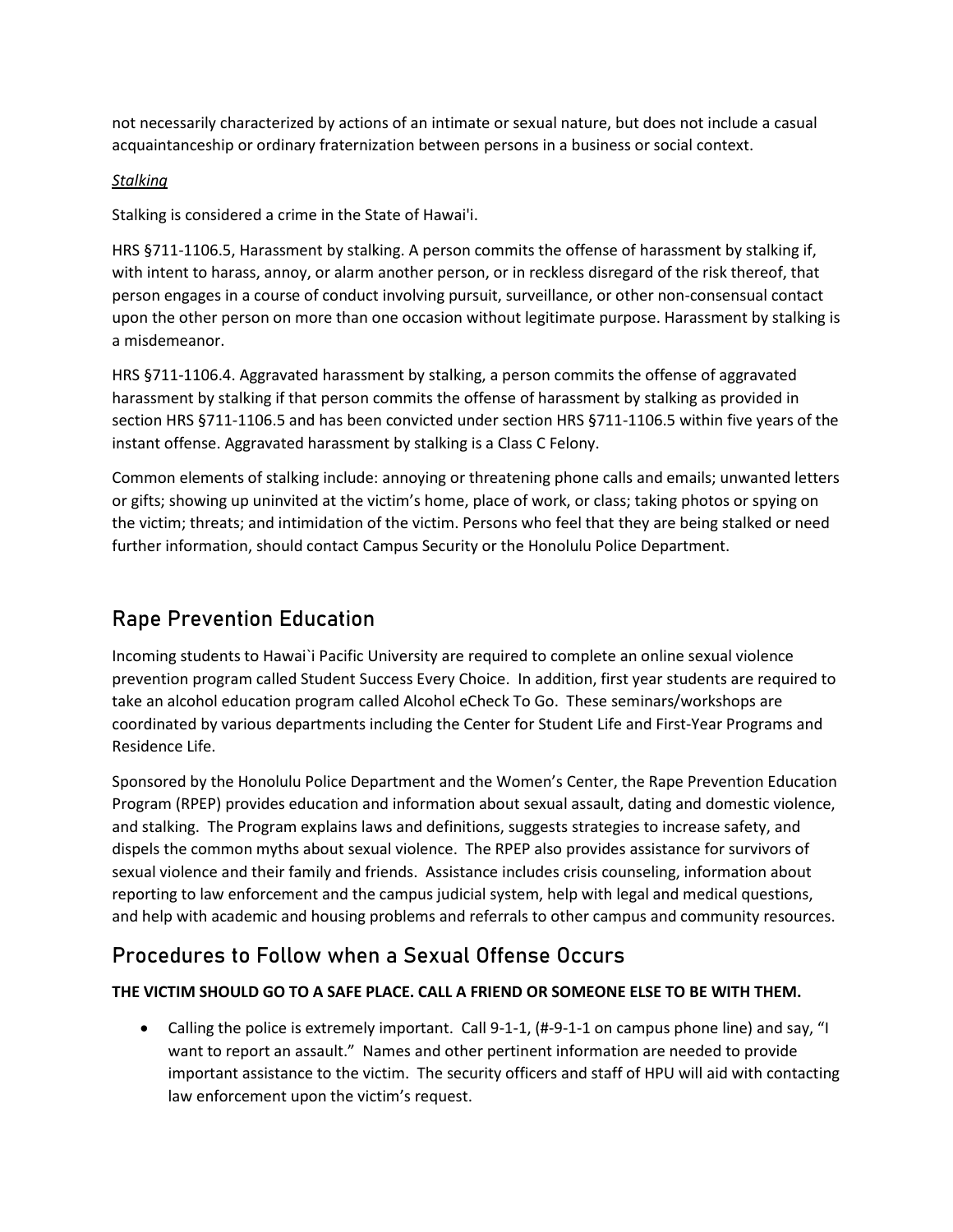not necessarily characterized by actions of an intimate or sexual nature, but does not include a casual acquaintanceship or ordinary fraternization between persons in a business or social context.

### *Stalking*

Stalking is considered a crime in the State of Hawai'i.

HRS §711-1106.5, Harassment by stalking. A person commits the offense of harassment by stalking if, with intent to harass, annoy, or alarm another person, or in reckless disregard of the risk thereof, that person engages in a course of conduct involving pursuit, surveillance, or other non-consensual contact upon the other person on more than one occasion without legitimate purpose. Harassment by stalking is a misdemeanor.

HRS §711-1106.4. Aggravated harassment by stalking, a person commits the offense of aggravated harassment by stalking if that person commits the offense of harassment by stalking as provided in section HRS §711-1106.5 and has been convicted under section HRS §711-1106.5 within five years of the instant offense. Aggravated harassment by stalking is a Class C Felony.

Common elements of stalking include: annoying or threatening phone calls and emails; unwanted letters or gifts; showing up uninvited at the victim's home, place of work, or class; taking photos or spying on the victim; threats; and intimidation of the victim. Persons who feel that they are being stalked or need further information, should contact Campus Security or the Honolulu Police Department.

# Rape Prevention Education

Incoming students to Hawai`i Pacific University are required to complete an online sexual violence prevention program called Student Success Every Choice. In addition, first year students are required to take an alcohol education program called Alcohol eCheck To Go. These seminars/workshops are coordinated by various departments including the Center for Student Life and First-Year Programs and Residence Life.

Sponsored by the Honolulu Police Department and the Women's Center, the Rape Prevention Education Program (RPEP) provides education and information about sexual assault, dating and domestic violence, and stalking. The Program explains laws and definitions, suggests strategies to increase safety, and dispels the common myths about sexual violence. The RPEP also provides assistance for survivors of sexual violence and their family and friends. Assistance includes crisis counseling, information about reporting to law enforcement and the campus judicial system, help with legal and medical questions, and help with academic and housing problems and referrals to other campus and community resources.

# Procedures to Follow when a Sexual Offense Occurs

### **THE VICTIM SHOULD GO TO A SAFE PLACE. CALL A FRIEND OR SOMEONE ELSE TO BE WITH THEM.**

• Calling the police is extremely important. Call 9-1-1, (#-9-1-1 on campus phone line) and say, "I want to report an assault." Names and other pertinent information are needed to provide important assistance to the victim. The security officers and staff of HPU will aid with contacting law enforcement upon the victim's request.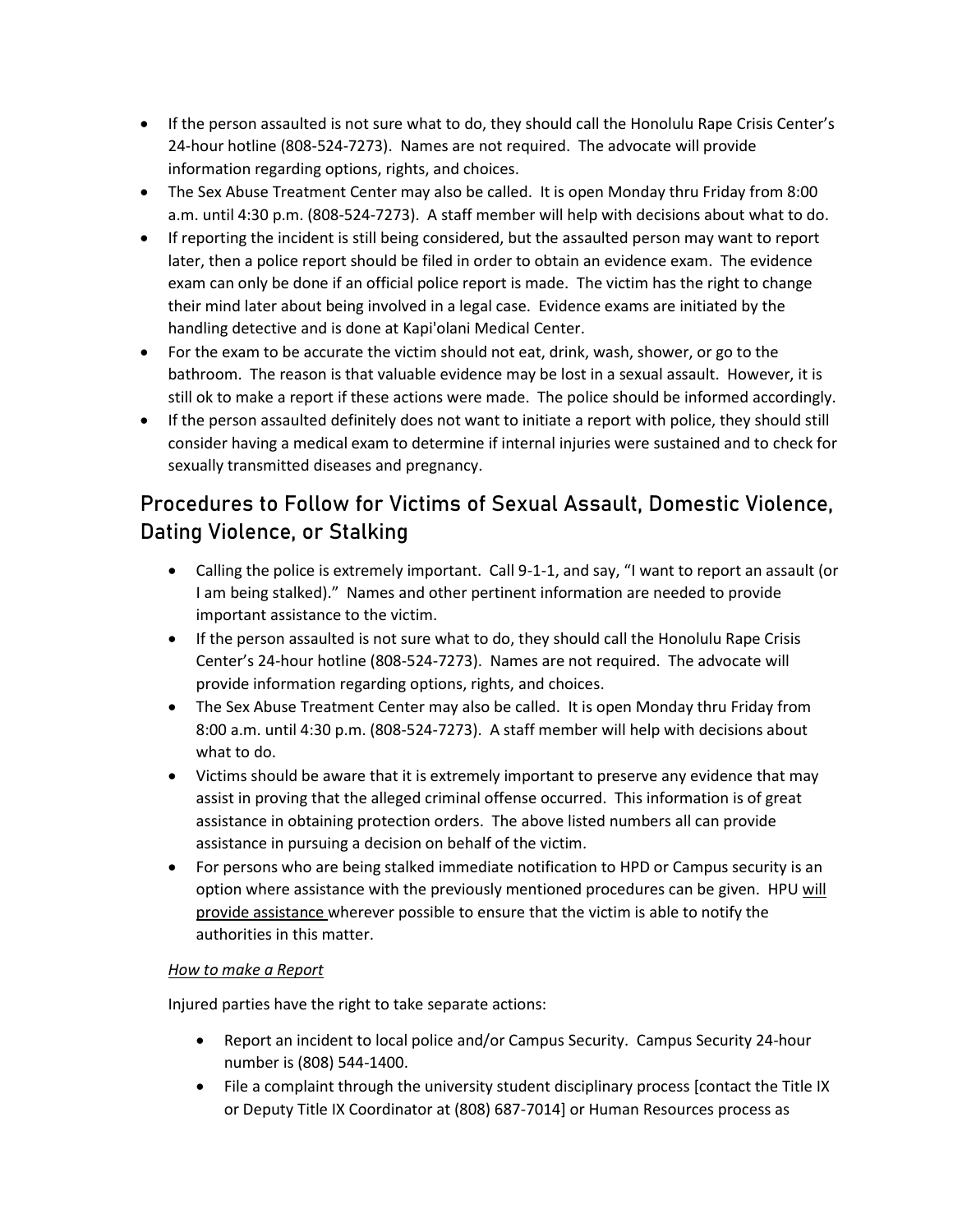- If the person assaulted is not sure what to do, they should call the Honolulu Rape Crisis Center's 24-hour hotline (808-524-7273). Names are not required. The advocate will provide information regarding options, rights, and choices.
- The Sex Abuse Treatment Center may also be called. It is open Monday thru Friday from 8:00 a.m. until 4:30 p.m. (808-524-7273). A staff member will help with decisions about what to do.
- If reporting the incident is still being considered, but the assaulted person may want to report later, then a police report should be filed in order to obtain an evidence exam. The evidence exam can only be done if an official police report is made. The victim has the right to change their mind later about being involved in a legal case. Evidence exams are initiated by the handling detective and is done at Kapi'olani Medical Center.
- For the exam to be accurate the victim should not eat, drink, wash, shower, or go to the bathroom. The reason is that valuable evidence may be lost in a sexual assault. However, it is still ok to make a report if these actions were made. The police should be informed accordingly.
- If the person assaulted definitely does not want to initiate a report with police, they should still consider having a medical exam to determine if internal injuries were sustained and to check for sexually transmitted diseases and pregnancy.

# Procedures to Follow for Victims of Sexual Assault, Domestic Violence, Dating Violence, or Stalking

- Calling the police is extremely important. Call 9-1-1, and say, "I want to report an assault (or I am being stalked)." Names and other pertinent information are needed to provide important assistance to the victim.
- If the person assaulted is not sure what to do, they should call the Honolulu Rape Crisis Center's 24-hour hotline (808-524-7273). Names are not required. The advocate will provide information regarding options, rights, and choices.
- The Sex Abuse Treatment Center may also be called. It is open Monday thru Friday from 8:00 a.m. until 4:30 p.m. (808-524-7273). A staff member will help with decisions about what to do.
- Victims should be aware that it is extremely important to preserve any evidence that may assist in proving that the alleged criminal offense occurred. This information is of great assistance in obtaining protection orders. The above listed numbers all can provide assistance in pursuing a decision on behalf of the victim.
- For persons who are being stalked immediate notification to HPD or Campus security is an option where assistance with the previously mentioned procedures can be given. HPU will provide assistance wherever possible to ensure that the victim is able to notify the authorities in this matter.

### *How to make a Report*

Injured parties have the right to take separate actions:

- Report an incident to local police and/or Campus Security. Campus Security 24-hour number is (808) 544-1400.
- File a complaint through the university student disciplinary process [contact the Title IX or Deputy Title IX Coordinator at (808) 687-7014] or Human Resources process as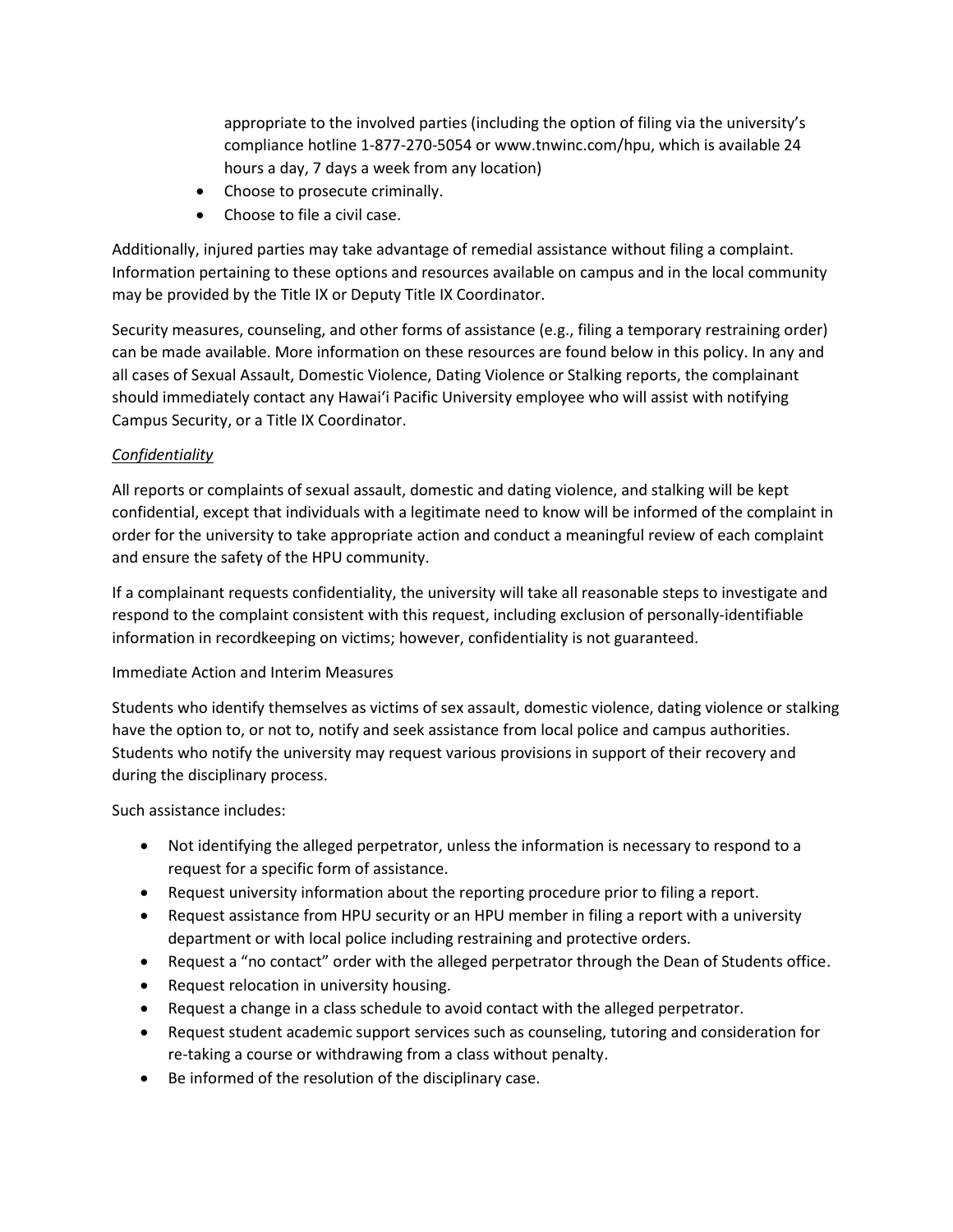appropriate to the involved parties (including the option of filing via the university's compliance hotline 1-877-270-5054 or www.tnwinc.com/hpu, which is available 24 hours a day, 7 days a week from any location)

- Choose to prosecute criminally.
- Choose to file a civil case.

Additionally, injured parties may take advantage of remedial assistance without filing a complaint. Information pertaining to these options and resources available on campus and in the local community may be provided by the Title IX or Deputy Title IX Coordinator.

Security measures, counseling, and other forms of assistance (e.g., filing a temporary restraining order) can be made available. More information on these resources are found below in this policy. In any and all cases of Sexual Assault, Domestic Violence, Dating Violence or Stalking reports, the complainant should immediately contact any Hawai'i Pacific University employee who will assist with notifying Campus Security, or a Title IX Coordinator.

### *Confidentiality*

All reports or complaints of sexual assault, domestic and dating violence, and stalking will be kept confidential, except that individuals with a legitimate need to know will be informed of the complaint in order for the university to take appropriate action and conduct a meaningful review of each complaint and ensure the safety of the HPU community.

If a complainant requests confidentiality, the university will take all reasonable steps to investigate and respond to the complaint consistent with this request, including exclusion of personally-identifiable information in recordkeeping on victims; however, confidentiality is not guaranteed.

#### Immediate Action and Interim Measures

Students who identify themselves as victims of sex assault, domestic violence, dating violence or stalking have the option to, or not to, notify and seek assistance from local police and campus authorities. Students who notify the university may request various provisions in support of their recovery and during the disciplinary process.

Such assistance includes:

- Not identifying the alleged perpetrator, unless the information is necessary to respond to a request for a specific form of assistance.
- Request university information about the reporting procedure prior to filing a report.
- Request assistance from HPU security or an HPU member in filing a report with a university department or with local police including restraining and protective orders.
- Request a "no contact" order with the alleged perpetrator through the Dean of Students office.
- Request relocation in university housing.
- Request a change in a class schedule to avoid contact with the alleged perpetrator.
- Request student academic support services such as counseling, tutoring and consideration for re-taking a course or withdrawing from a class without penalty.
- Be informed of the resolution of the disciplinary case.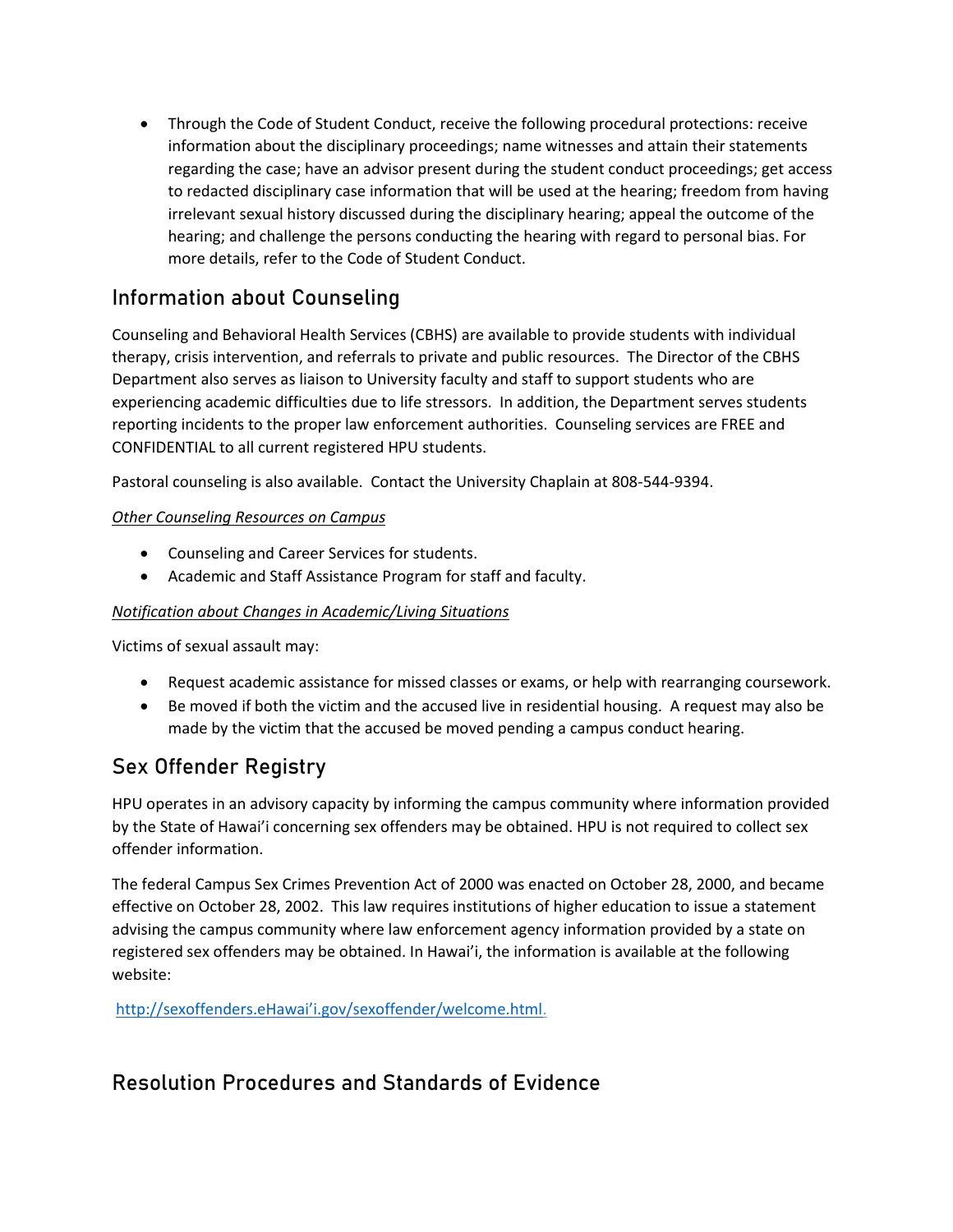• Through the Code of Student Conduct, receive the following procedural protections: receive information about the disciplinary proceedings; name witnesses and attain their statements regarding the case; have an advisor present during the student conduct proceedings; get access to redacted disciplinary case information that will be used at the hearing; freedom from having irrelevant sexual history discussed during the disciplinary hearing; appeal the outcome of the hearing; and challenge the persons conducting the hearing with regard to personal bias. For more details, refer to the Code of Student Conduct.

# Information about Counseling

Counseling and Behavioral Health Services (CBHS) are available to provide students with individual therapy, crisis intervention, and referrals to private and public resources. The Director of the CBHS Department also serves as liaison to University faculty and staff to support students who are experiencing academic difficulties due to life stressors. In addition, the Department serves students reporting incidents to the proper law enforcement authorities. Counseling services are FREE and CONFIDENTIAL to all current registered HPU students.

Pastoral counseling is also available. Contact the University Chaplain at 808-544-9394.

### *Other Counseling Resources on Campus*

- Counseling and Career Services for students.
- Academic and Staff Assistance Program for staff and faculty.

# *Notification about Changes in Academic/Living Situations*

Victims of sexual assault may:

- Request academic assistance for missed classes or exams, or help with rearranging coursework.
- Be moved if both the victim and the accused live in residential housing. A request may also be made by the victim that the accused be moved pending a campus conduct hearing.

# Sex Offender Registry

HPU operates in an advisory capacity by informing the campus community where information provided by the State of Hawai'i concerning sex offenders may be obtained. HPU is not required to collect sex offender information.

The federal Campus Sex Crimes Prevention Act of 2000 was enacted on October 28, 2000, and became effective on October 28, 2002. This law requires institutions of higher education to issue a statement advising the campus community where law enforcement agency information provided by a state on registered sex offenders may be obtained. In Hawai'i, the information is available at the following website:

[http://sexoffenders.eHawai'i.gov/sexoffender/welcome.html](http://sexoffenders.ehawai’i.gov/sexoffender/welcome.html).

# Resolution Procedures and Standards of Evidence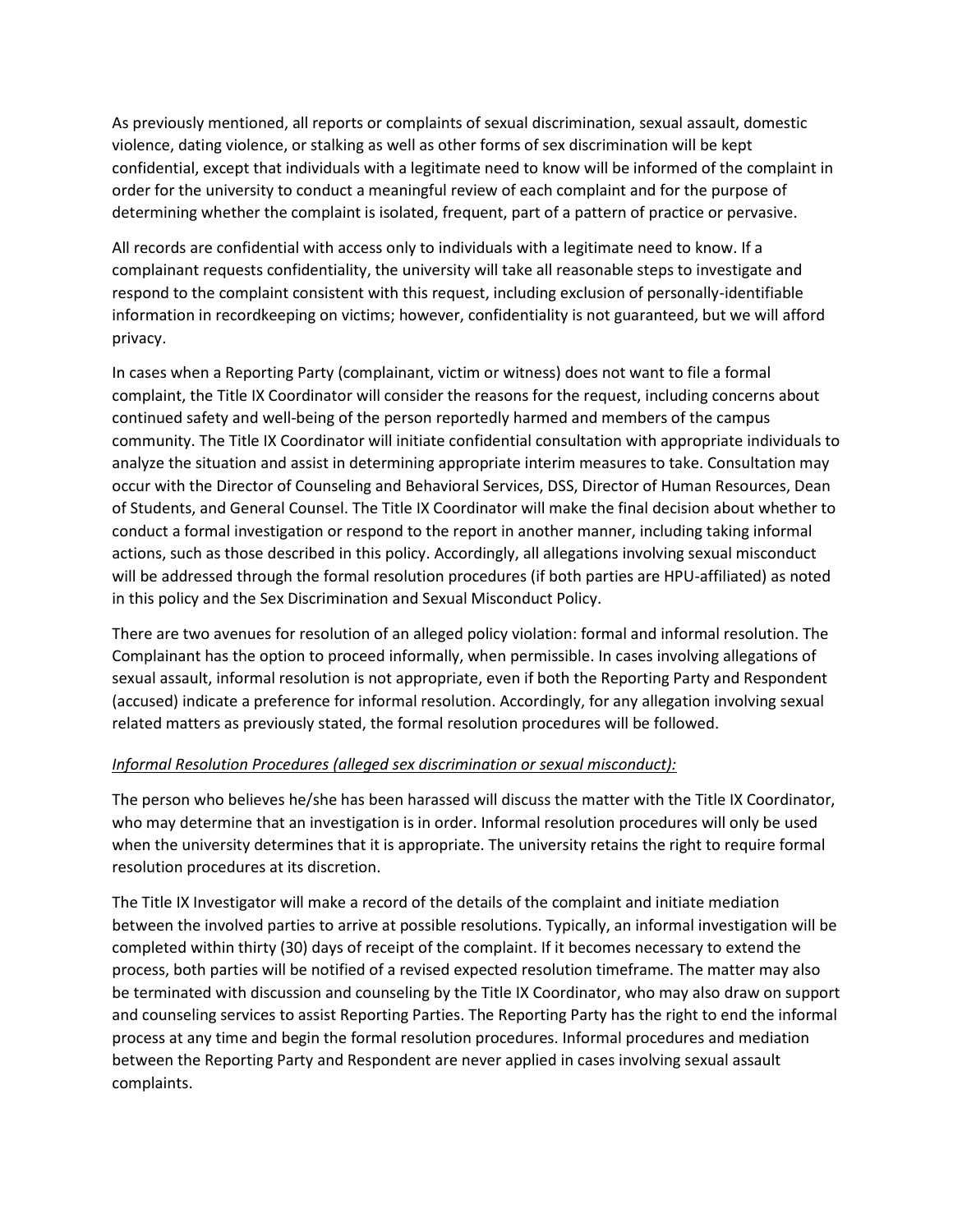As previously mentioned, all reports or complaints of sexual discrimination, sexual assault, domestic violence, dating violence, or stalking as well as other forms of sex discrimination will be kept confidential, except that individuals with a legitimate need to know will be informed of the complaint in order for the university to conduct a meaningful review of each complaint and for the purpose of determining whether the complaint is isolated, frequent, part of a pattern of practice or pervasive.

All records are confidential with access only to individuals with a legitimate need to know. If a complainant requests confidentiality, the university will take all reasonable steps to investigate and respond to the complaint consistent with this request, including exclusion of personally-identifiable information in recordkeeping on victims; however, confidentiality is not guaranteed, but we will afford privacy.

In cases when a Reporting Party (complainant, victim or witness) does not want to file a formal complaint, the Title IX Coordinator will consider the reasons for the request, including concerns about continued safety and well-being of the person reportedly harmed and members of the campus community. The Title IX Coordinator will initiate confidential consultation with appropriate individuals to analyze the situation and assist in determining appropriate interim measures to take. Consultation may occur with the Director of Counseling and Behavioral Services, DSS, Director of Human Resources, Dean of Students, and General Counsel. The Title IX Coordinator will make the final decision about whether to conduct a formal investigation or respond to the report in another manner, including taking informal actions, such as those described in this policy. Accordingly, all allegations involving sexual misconduct will be addressed through the formal resolution procedures (if both parties are HPU-affiliated) as noted in this policy and the Sex Discrimination and Sexual Misconduct Policy.

There are two avenues for resolution of an alleged policy violation: formal and informal resolution. The Complainant has the option to proceed informally, when permissible. In cases involving allegations of sexual assault, informal resolution is not appropriate, even if both the Reporting Party and Respondent (accused) indicate a preference for informal resolution. Accordingly, for any allegation involving sexual related matters as previously stated, the formal resolution procedures will be followed.

### *Informal Resolution Procedures (alleged sex discrimination or sexual misconduct):*

The person who believes he/she has been harassed will discuss the matter with the Title IX Coordinator, who may determine that an investigation is in order. Informal resolution procedures will only be used when the university determines that it is appropriate. The university retains the right to require formal resolution procedures at its discretion.

The Title IX Investigator will make a record of the details of the complaint and initiate mediation between the involved parties to arrive at possible resolutions. Typically, an informal investigation will be completed within thirty (30) days of receipt of the complaint. If it becomes necessary to extend the process, both parties will be notified of a revised expected resolution timeframe. The matter may also be terminated with discussion and counseling by the Title IX Coordinator, who may also draw on support and counseling services to assist Reporting Parties. The Reporting Party has the right to end the informal process at any time and begin the formal resolution procedures. Informal procedures and mediation between the Reporting Party and Respondent are never applied in cases involving sexual assault complaints.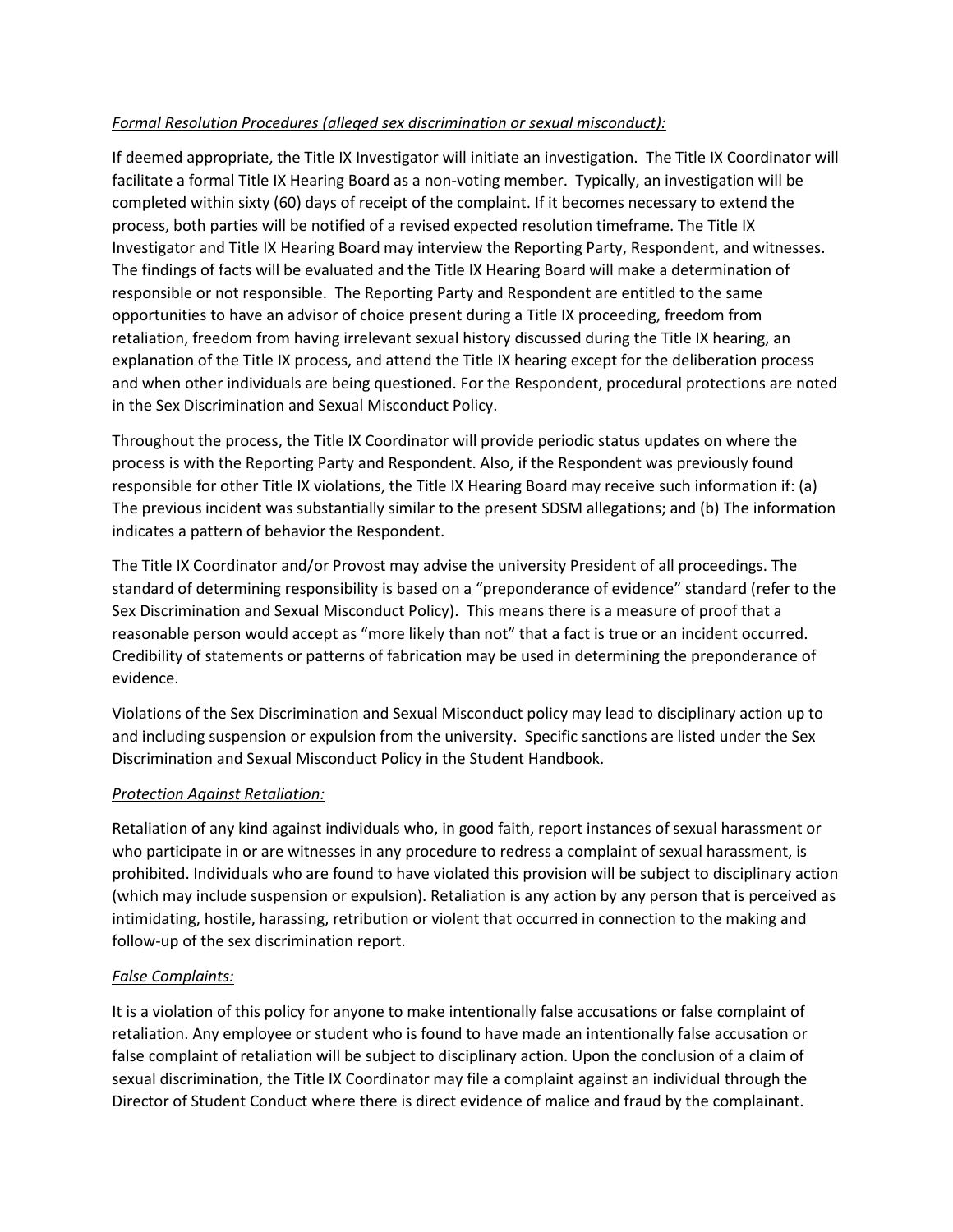#### *Formal Resolution Procedures (alleged sex discrimination or sexual misconduct):*

If deemed appropriate, the Title IX Investigator will initiate an investigation. The Title IX Coordinator will facilitate a formal Title IX Hearing Board as a non-voting member. Typically, an investigation will be completed within sixty (60) days of receipt of the complaint. If it becomes necessary to extend the process, both parties will be notified of a revised expected resolution timeframe. The Title IX Investigator and Title IX Hearing Board may interview the Reporting Party, Respondent, and witnesses. The findings of facts will be evaluated and the Title IX Hearing Board will make a determination of responsible or not responsible. The Reporting Party and Respondent are entitled to the same opportunities to have an advisor of choice present during a Title IX proceeding, freedom from retaliation, freedom from having irrelevant sexual history discussed during the Title IX hearing, an explanation of the Title IX process, and attend the Title IX hearing except for the deliberation process and when other individuals are being questioned. For the Respondent, procedural protections are noted in the Sex Discrimination and Sexual Misconduct Policy.

Throughout the process, the Title IX Coordinator will provide periodic status updates on where the process is with the Reporting Party and Respondent. Also, if the Respondent was previously found responsible for other Title IX violations, the Title IX Hearing Board may receive such information if: (a) The previous incident was substantially similar to the present SDSM allegations; and (b) The information indicates a pattern of behavior the Respondent.

The Title IX Coordinator and/or Provost may advise the university President of all proceedings. The standard of determining responsibility is based on a "preponderance of evidence" standard (refer to the Sex Discrimination and Sexual Misconduct Policy). This means there is a measure of proof that a reasonable person would accept as "more likely than not" that a fact is true or an incident occurred. Credibility of statements or patterns of fabrication may be used in determining the preponderance of evidence.

Violations of the Sex Discrimination and Sexual Misconduct policy may lead to disciplinary action up to and including suspension or expulsion from the university. Specific sanctions are listed under the Sex Discrimination and Sexual Misconduct Policy in the Student Handbook.

#### *Protection Against Retaliation:*

Retaliation of any kind against individuals who, in good faith, report instances of sexual harassment or who participate in or are witnesses in any procedure to redress a complaint of sexual harassment, is prohibited. Individuals who are found to have violated this provision will be subject to disciplinary action (which may include suspension or expulsion). Retaliation is any action by any person that is perceived as intimidating, hostile, harassing, retribution or violent that occurred in connection to the making and follow-up of the sex discrimination report.

#### *False Complaints:*

It is a violation of this policy for anyone to make intentionally false accusations or false complaint of retaliation. Any employee or student who is found to have made an intentionally false accusation or false complaint of retaliation will be subject to disciplinary action. Upon the conclusion of a claim of sexual discrimination, the Title IX Coordinator may file a complaint against an individual through the Director of Student Conduct where there is direct evidence of malice and fraud by the complainant.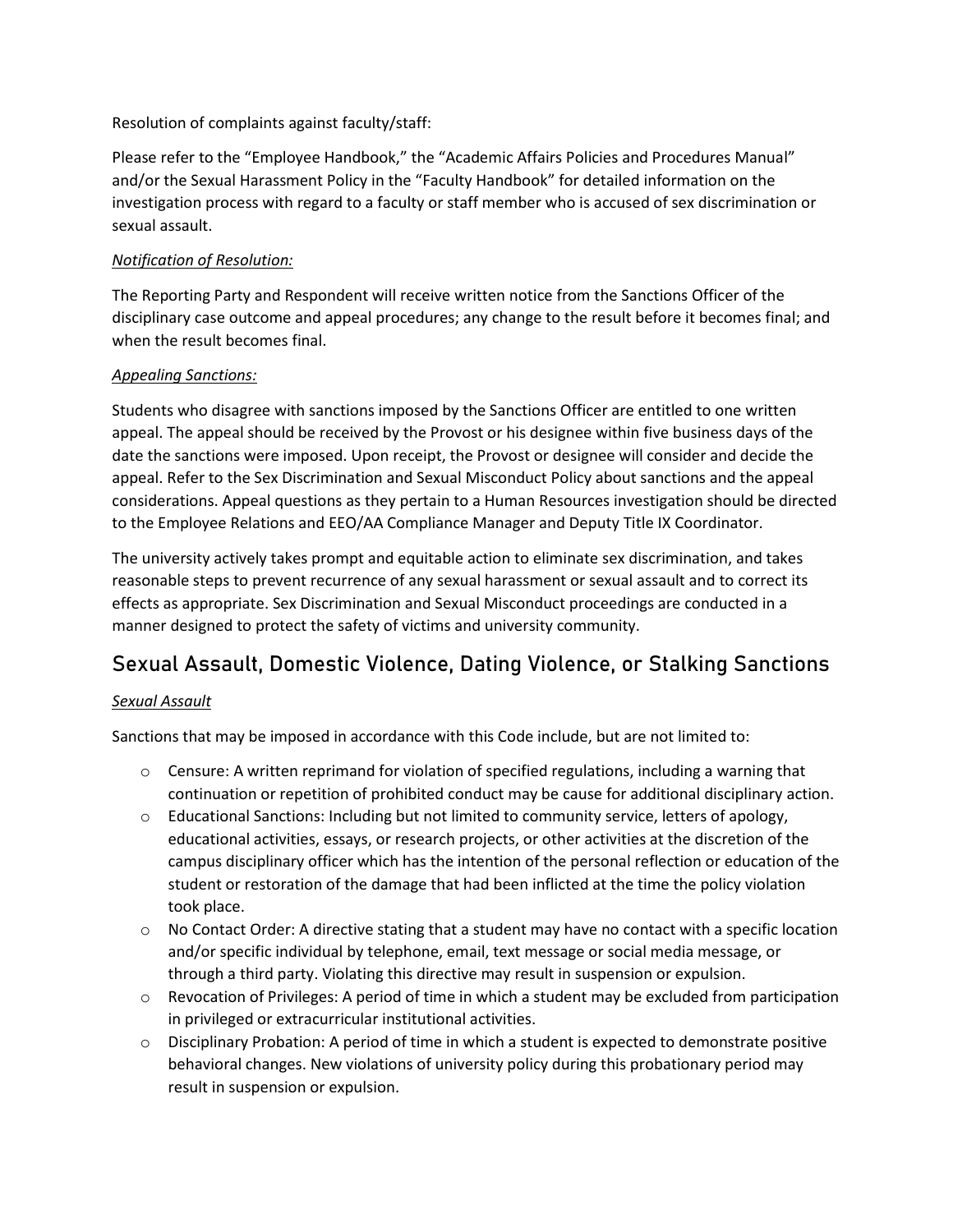Resolution of complaints against faculty/staff:

Please refer to the "Employee Handbook," the "Academic Affairs Policies and Procedures Manual" and/or the Sexual Harassment Policy in the "Faculty Handbook" for detailed information on the investigation process with regard to a faculty or staff member who is accused of sex discrimination or sexual assault.

### *Notification of Resolution:*

The Reporting Party and Respondent will receive written notice from the Sanctions Officer of the disciplinary case outcome and appeal procedures; any change to the result before it becomes final; and when the result becomes final.

### *Appealing Sanctions:*

Students who disagree with sanctions imposed by the Sanctions Officer are entitled to one written appeal. The appeal should be received by the Provost or his designee within five business days of the date the sanctions were imposed. Upon receipt, the Provost or designee will consider and decide the appeal. Refer to the Sex Discrimination and Sexual Misconduct Policy about sanctions and the appeal considerations. Appeal questions as they pertain to a Human Resources investigation should be directed to the Employee Relations and EEO/AA Compliance Manager and Deputy Title IX Coordinator.

The university actively takes prompt and equitable action to eliminate sex discrimination, and takes reasonable steps to prevent recurrence of any sexual harassment or sexual assault and to correct its effects as appropriate. Sex Discrimination and Sexual Misconduct proceedings are conducted in a manner designed to protect the safety of victims and university community.

# Sexual Assault, Domestic Violence, Dating Violence, or Stalking Sanctions

### *Sexual Assault*

- $\circ$  Censure: A written reprimand for violation of specified regulations, including a warning that continuation or repetition of prohibited conduct may be cause for additional disciplinary action.
- $\circ$  Educational Sanctions: Including but not limited to community service, letters of apology, educational activities, essays, or research projects, or other activities at the discretion of the campus disciplinary officer which has the intention of the personal reflection or education of the student or restoration of the damage that had been inflicted at the time the policy violation took place.
- $\circ$  No Contact Order: A directive stating that a student may have no contact with a specific location and/or specific individual by telephone, email, text message or social media message, or through a third party. Violating this directive may result in suspension or expulsion.
- $\circ$  Revocation of Privileges: A period of time in which a student may be excluded from participation in privileged or extracurricular institutional activities.
- o Disciplinary Probation: A period of time in which a student is expected to demonstrate positive behavioral changes. New violations of university policy during this probationary period may result in suspension or expulsion.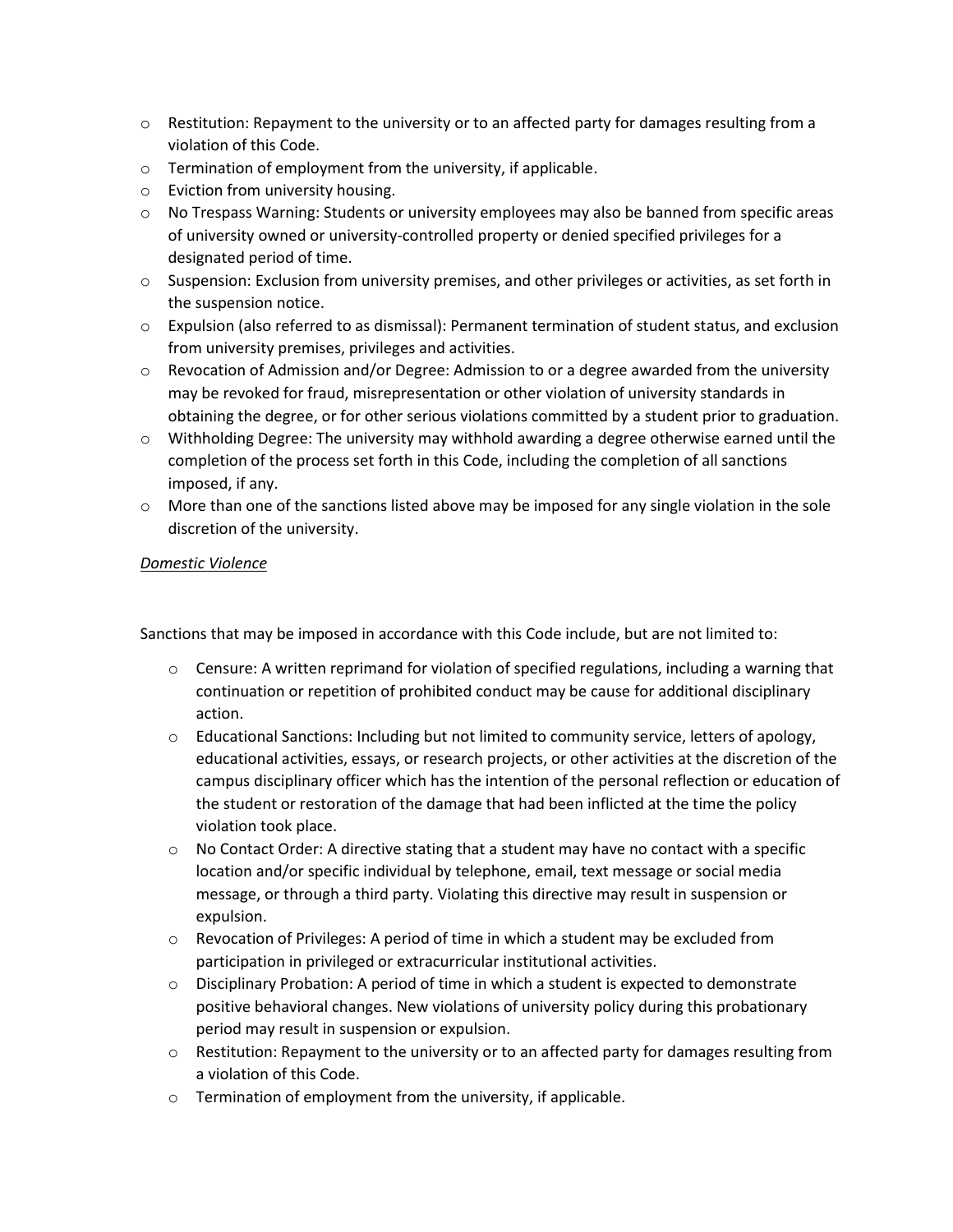- $\circ$  Restitution: Repayment to the university or to an affected party for damages resulting from a violation of this Code.
- $\circ$  Termination of employment from the university, if applicable.
- o Eviction from university housing.
- o No Trespass Warning: Students or university employees may also be banned from specific areas of university owned or university-controlled property or denied specified privileges for a designated period of time.
- $\circ$  Suspension: Exclusion from university premises, and other privileges or activities, as set forth in the suspension notice.
- o Expulsion (also referred to as dismissal): Permanent termination of student status, and exclusion from university premises, privileges and activities.
- $\circ$  Revocation of Admission and/or Degree: Admission to or a degree awarded from the university may be revoked for fraud, misrepresentation or other violation of university standards in obtaining the degree, or for other serious violations committed by a student prior to graduation.
- $\circ$  Withholding Degree: The university may withhold awarding a degree otherwise earned until the completion of the process set forth in this Code, including the completion of all sanctions imposed, if any.
- $\circ$  More than one of the sanctions listed above may be imposed for any single violation in the sole discretion of the university.

#### *Domestic Violence*

- $\circ$  Censure: A written reprimand for violation of specified regulations, including a warning that continuation or repetition of prohibited conduct may be cause for additional disciplinary action.
- o Educational Sanctions: Including but not limited to community service, letters of apology, educational activities, essays, or research projects, or other activities at the discretion of the campus disciplinary officer which has the intention of the personal reflection or education of the student or restoration of the damage that had been inflicted at the time the policy violation took place.
- $\circ$  No Contact Order: A directive stating that a student may have no contact with a specific location and/or specific individual by telephone, email, text message or social media message, or through a third party. Violating this directive may result in suspension or expulsion.
- $\circ$  Revocation of Privileges: A period of time in which a student may be excluded from participation in privileged or extracurricular institutional activities.
- $\circ$  Disciplinary Probation: A period of time in which a student is expected to demonstrate positive behavioral changes. New violations of university policy during this probationary period may result in suspension or expulsion.
- $\circ$  Restitution: Repayment to the university or to an affected party for damages resulting from a violation of this Code.
- o Termination of employment from the university, if applicable.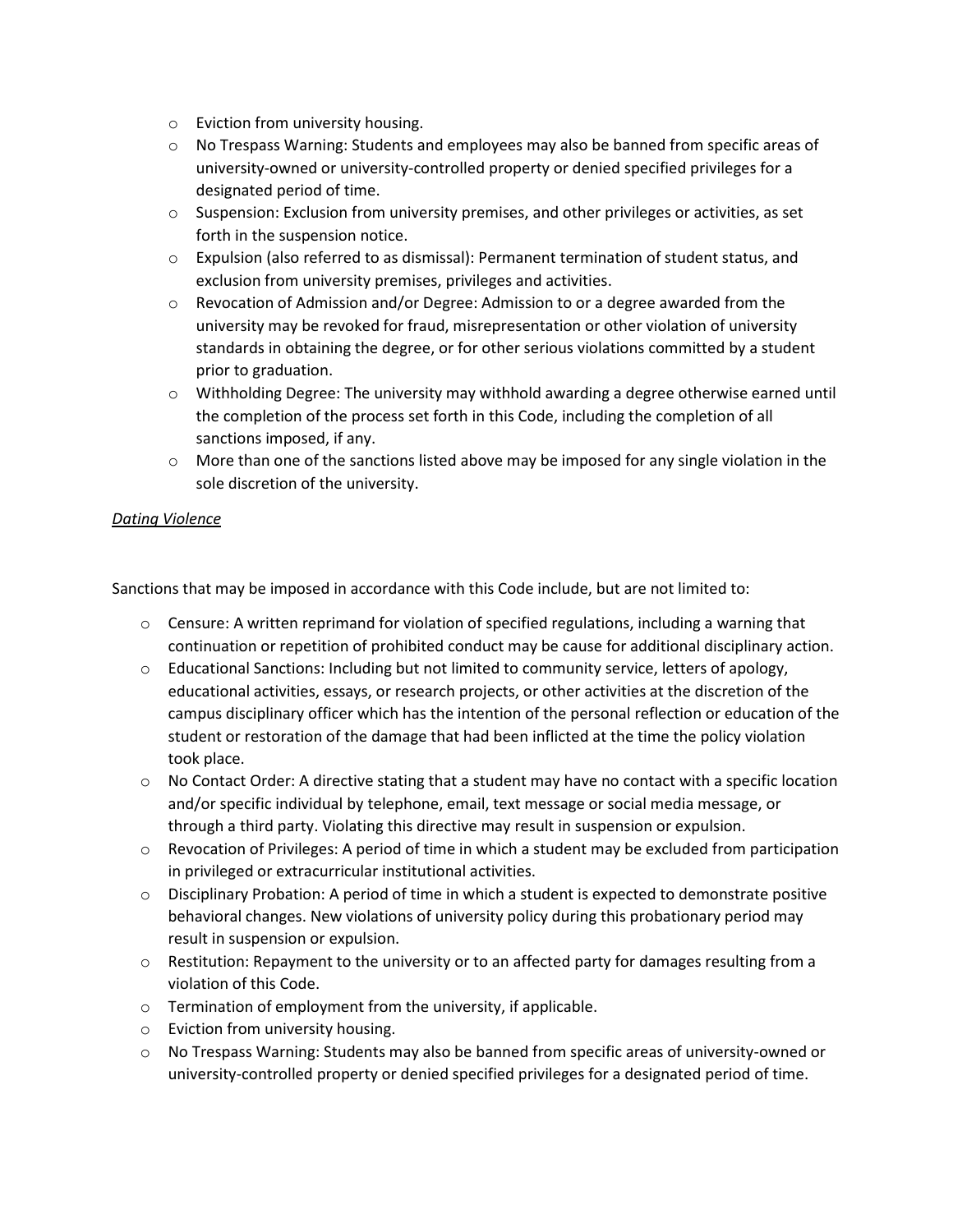- o Eviction from university housing.
- $\circ$  No Trespass Warning: Students and employees may also be banned from specific areas of university-owned or university-controlled property or denied specified privileges for a designated period of time.
- o Suspension: Exclusion from university premises, and other privileges or activities, as set forth in the suspension notice.
- $\circ$  Expulsion (also referred to as dismissal): Permanent termination of student status, and exclusion from university premises, privileges and activities.
- $\circ$  Revocation of Admission and/or Degree: Admission to or a degree awarded from the university may be revoked for fraud, misrepresentation or other violation of university standards in obtaining the degree, or for other serious violations committed by a student prior to graduation.
- o Withholding Degree: The university may withhold awarding a degree otherwise earned until the completion of the process set forth in this Code, including the completion of all sanctions imposed, if any.
- $\circ$  More than one of the sanctions listed above may be imposed for any single violation in the sole discretion of the university.

#### *Dating Violence*

- $\circ$  Censure: A written reprimand for violation of specified regulations, including a warning that continuation or repetition of prohibited conduct may be cause for additional disciplinary action.
- $\circ$  Educational Sanctions: Including but not limited to community service, letters of apology, educational activities, essays, or research projects, or other activities at the discretion of the campus disciplinary officer which has the intention of the personal reflection or education of the student or restoration of the damage that had been inflicted at the time the policy violation took place.
- $\circ$  No Contact Order: A directive stating that a student may have no contact with a specific location and/or specific individual by telephone, email, text message or social media message, or through a third party. Violating this directive may result in suspension or expulsion.
- $\circ$  Revocation of Privileges: A period of time in which a student may be excluded from participation in privileged or extracurricular institutional activities.
- $\circ$  Disciplinary Probation: A period of time in which a student is expected to demonstrate positive behavioral changes. New violations of university policy during this probationary period may result in suspension or expulsion.
- $\circ$  Restitution: Repayment to the university or to an affected party for damages resulting from a violation of this Code.
- o Termination of employment from the university, if applicable.
- o Eviction from university housing.
- o No Trespass Warning: Students may also be banned from specific areas of university-owned or university-controlled property or denied specified privileges for a designated period of time.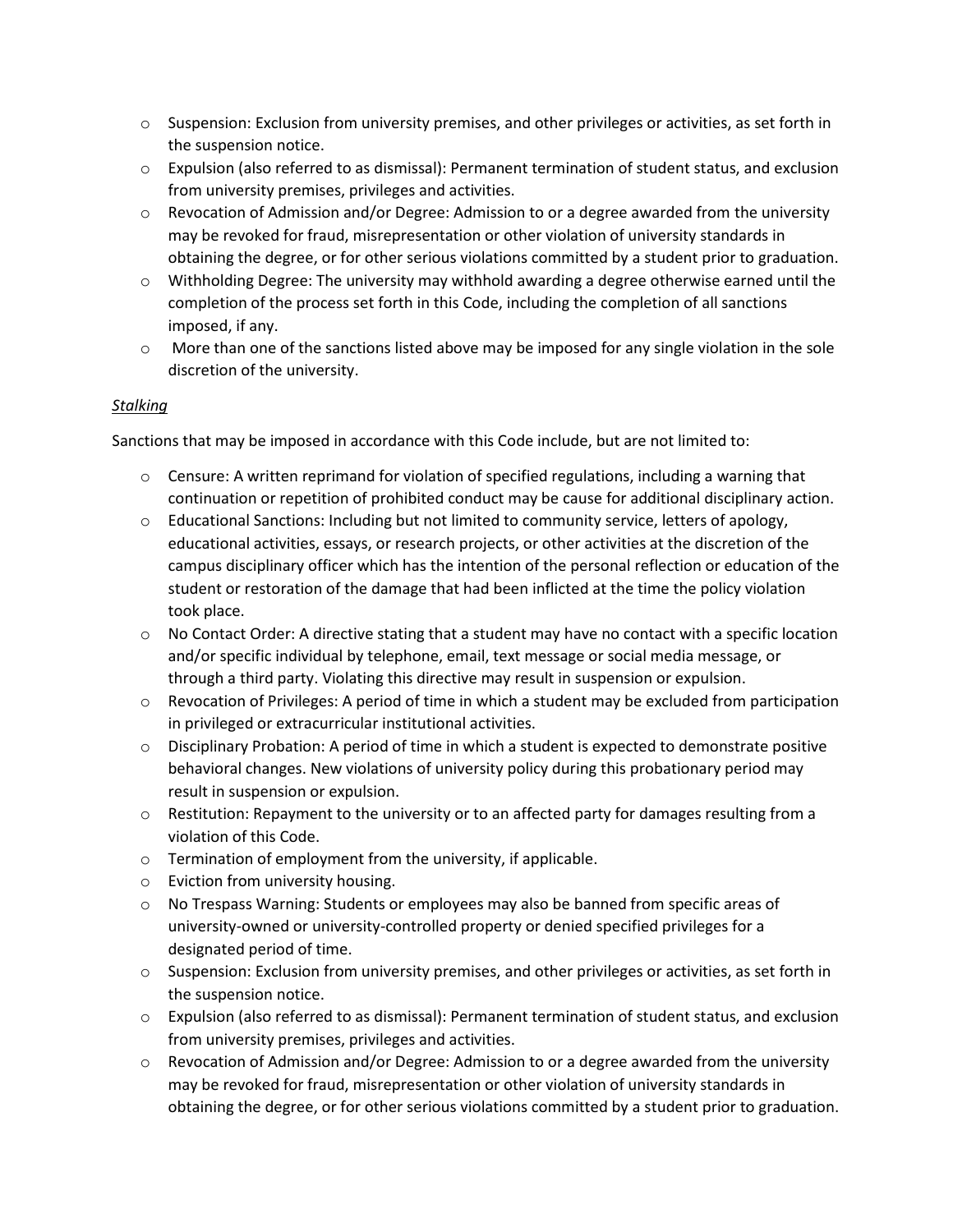- $\circ$  Suspension: Exclusion from university premises, and other privileges or activities, as set forth in the suspension notice.
- o Expulsion (also referred to as dismissal): Permanent termination of student status, and exclusion from university premises, privileges and activities.
- $\circ$  Revocation of Admission and/or Degree: Admission to or a degree awarded from the university may be revoked for fraud, misrepresentation or other violation of university standards in obtaining the degree, or for other serious violations committed by a student prior to graduation.
- $\circ$  Withholding Degree: The university may withhold awarding a degree otherwise earned until the completion of the process set forth in this Code, including the completion of all sanctions imposed, if any.
- $\circ$  More than one of the sanctions listed above may be imposed for any single violation in the sole discretion of the university.

#### *Stalking*

- $\circ$  Censure: A written reprimand for violation of specified regulations, including a warning that continuation or repetition of prohibited conduct may be cause for additional disciplinary action.
- o Educational Sanctions: Including but not limited to community service, letters of apology, educational activities, essays, or research projects, or other activities at the discretion of the campus disciplinary officer which has the intention of the personal reflection or education of the student or restoration of the damage that had been inflicted at the time the policy violation took place.
- $\circ$  No Contact Order: A directive stating that a student may have no contact with a specific location and/or specific individual by telephone, email, text message or social media message, or through a third party. Violating this directive may result in suspension or expulsion.
- $\circ$  Revocation of Privileges: A period of time in which a student may be excluded from participation in privileged or extracurricular institutional activities.
- $\circ$  Disciplinary Probation: A period of time in which a student is expected to demonstrate positive behavioral changes. New violations of university policy during this probationary period may result in suspension or expulsion.
- $\circ$  Restitution: Repayment to the university or to an affected party for damages resulting from a violation of this Code.
- o Termination of employment from the university, if applicable.
- o Eviction from university housing.
- o No Trespass Warning: Students or employees may also be banned from specific areas of university-owned or university-controlled property or denied specified privileges for a designated period of time.
- $\circ$  Suspension: Exclusion from university premises, and other privileges or activities, as set forth in the suspension notice.
- o Expulsion (also referred to as dismissal): Permanent termination of student status, and exclusion from university premises, privileges and activities.
- $\circ$  Revocation of Admission and/or Degree: Admission to or a degree awarded from the university may be revoked for fraud, misrepresentation or other violation of university standards in obtaining the degree, or for other serious violations committed by a student prior to graduation.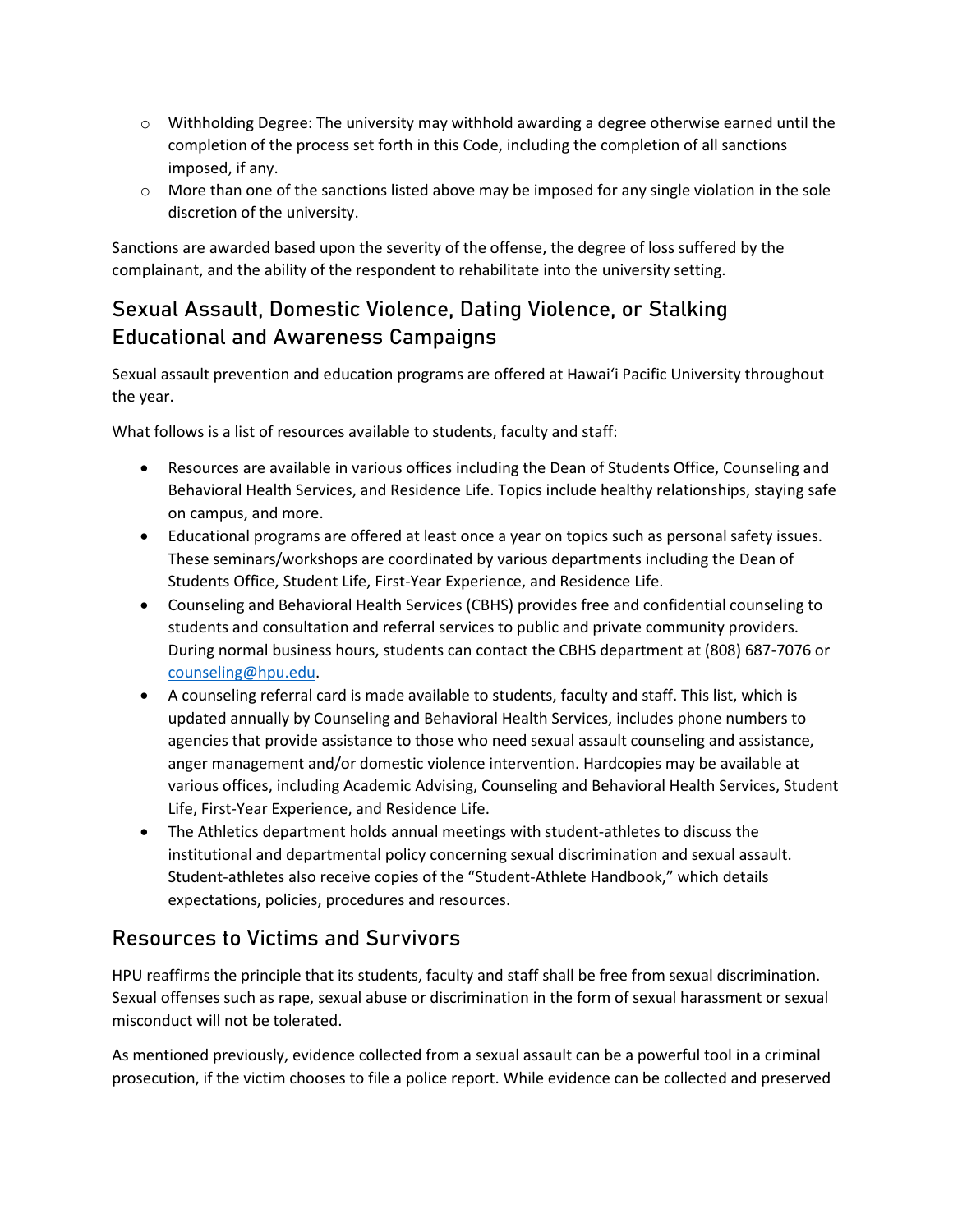- $\circ$  Withholding Degree: The university may withhold awarding a degree otherwise earned until the completion of the process set forth in this Code, including the completion of all sanctions imposed, if any.
- $\circ$  More than one of the sanctions listed above may be imposed for any single violation in the sole discretion of the university.

Sanctions are awarded based upon the severity of the offense, the degree of loss suffered by the complainant, and the ability of the respondent to rehabilitate into the university setting.

# Sexual Assault, Domestic Violence, Dating Violence, or Stalking Educational and Awareness Campaigns

Sexual assault prevention and education programs are offered at Hawai'i Pacific University throughout the year.

What follows is a list of resources available to students, faculty and staff:

- Resources are available in various offices including the Dean of Students Office, Counseling and Behavioral Health Services, and Residence Life. Topics include healthy relationships, staying safe on campus, and more.
- Educational programs are offered at least once a year on topics such as personal safety issues. These seminars/workshops are coordinated by various departments including the Dean of Students Office, Student Life, First-Year Experience, and Residence Life.
- Counseling and Behavioral Health Services (CBHS) provides free and confidential counseling to students and consultation and referral services to public and private community providers. During normal business hours, students can contact the CBHS department at (808) 687-7076 or [counseling@hpu.edu.](mailto:counseling@hpu.edu)
- A counseling referral card is made available to students, faculty and staff. This list, which is updated annually by Counseling and Behavioral Health Services, includes phone numbers to agencies that provide assistance to those who need sexual assault counseling and assistance, anger management and/or domestic violence intervention. Hardcopies may be available at various offices, including Academic Advising, Counseling and Behavioral Health Services, Student Life, First-Year Experience, and Residence Life.
- The Athletics department holds annual meetings with student-athletes to discuss the institutional and departmental policy concerning sexual discrimination and sexual assault. Student-athletes also receive copies of the "Student-Athlete Handbook," which details expectations, policies, procedures and resources.

# Resources to Victims and Survivors

HPU reaffirms the principle that its students, faculty and staff shall be free from sexual discrimination. Sexual offenses such as rape, sexual abuse or discrimination in the form of sexual harassment or sexual misconduct will not be tolerated.

As mentioned previously, evidence collected from a sexual assault can be a powerful tool in a criminal prosecution, if the victim chooses to file a police report. While evidence can be collected and preserved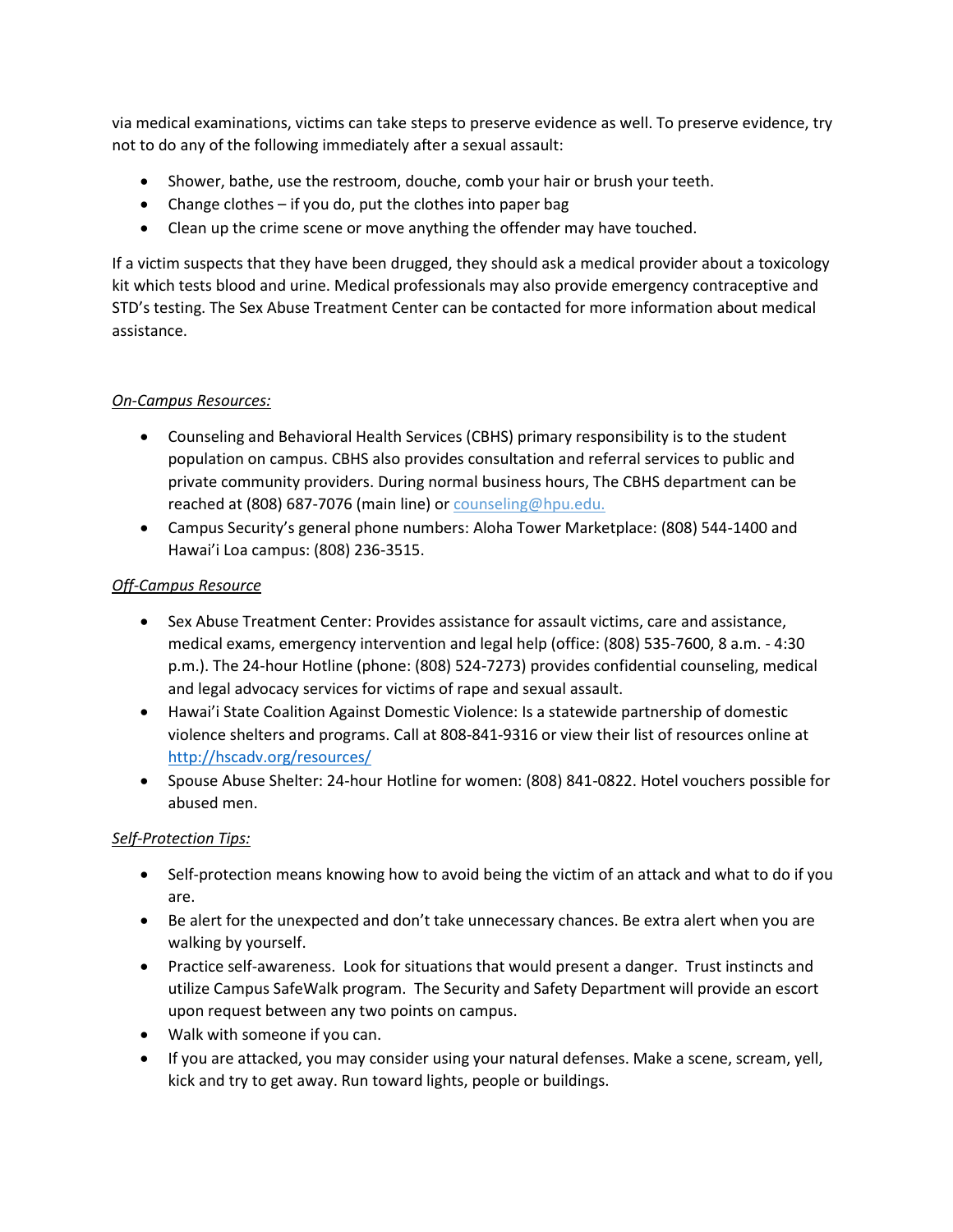via medical examinations, victims can take steps to preserve evidence as well. To preserve evidence, try not to do any of the following immediately after a sexual assault:

- Shower, bathe, use the restroom, douche, comb your hair or brush your teeth.
- Change clothes if you do, put the clothes into paper bag
- Clean up the crime scene or move anything the offender may have touched.

If a victim suspects that they have been drugged, they should ask a medical provider about a toxicology kit which tests blood and urine. Medical professionals may also provide emergency contraceptive and STD's testing. The Sex Abuse Treatment Center can be contacted for more information about medical assistance.

### *On-Campus Resources:*

- Counseling and Behavioral Health Services (CBHS) primary responsibility is to the student population on campus. CBHS also provides consultation and referral services to public and private community providers. During normal business hours, The CBHS department can be reached at (808) 687-7076 (main line) or counseling@hpu.edu.
- Campus Security's general phone numbers: Aloha Tower Marketplace: (808) 544-1400 and Hawai'i Loa campus: (808) 236-3515.

#### *Off-Campus Resource*

- Sex Abuse Treatment Center: Provides assistance for assault victims, care and assistance, medical exams, emergency intervention and legal help (office: (808) 535-7600, 8 a.m. - 4:30 p.m.). The 24-hour Hotline (phone: (808) 524-7273) provides confidential counseling, medical and legal advocacy services for victims of rape and sexual assault.
- Hawai'i State Coalition Against Domestic Violence: Is a statewide partnership of domestic violence shelters and programs. Call at 808-841-9316 or view their list of resources online at <http://hscadv.org/resources/>
- Spouse Abuse Shelter: 24-hour Hotline for women: (808) 841-0822. Hotel vouchers possible for abused men.

### *Self-Protection Tips:*

- Self-protection means knowing how to avoid being the victim of an attack and what to do if you are.
- Be alert for the unexpected and don't take unnecessary chances. Be extra alert when you are walking by yourself.
- Practice self-awareness. Look for situations that would present a danger. Trust instincts and utilize Campus SafeWalk program. The Security and Safety Department will provide an escort upon request between any two points on campus.
- Walk with someone if you can.
- If you are attacked, you may consider using your natural defenses. Make a scene, scream, yell, kick and try to get away. Run toward lights, people or buildings.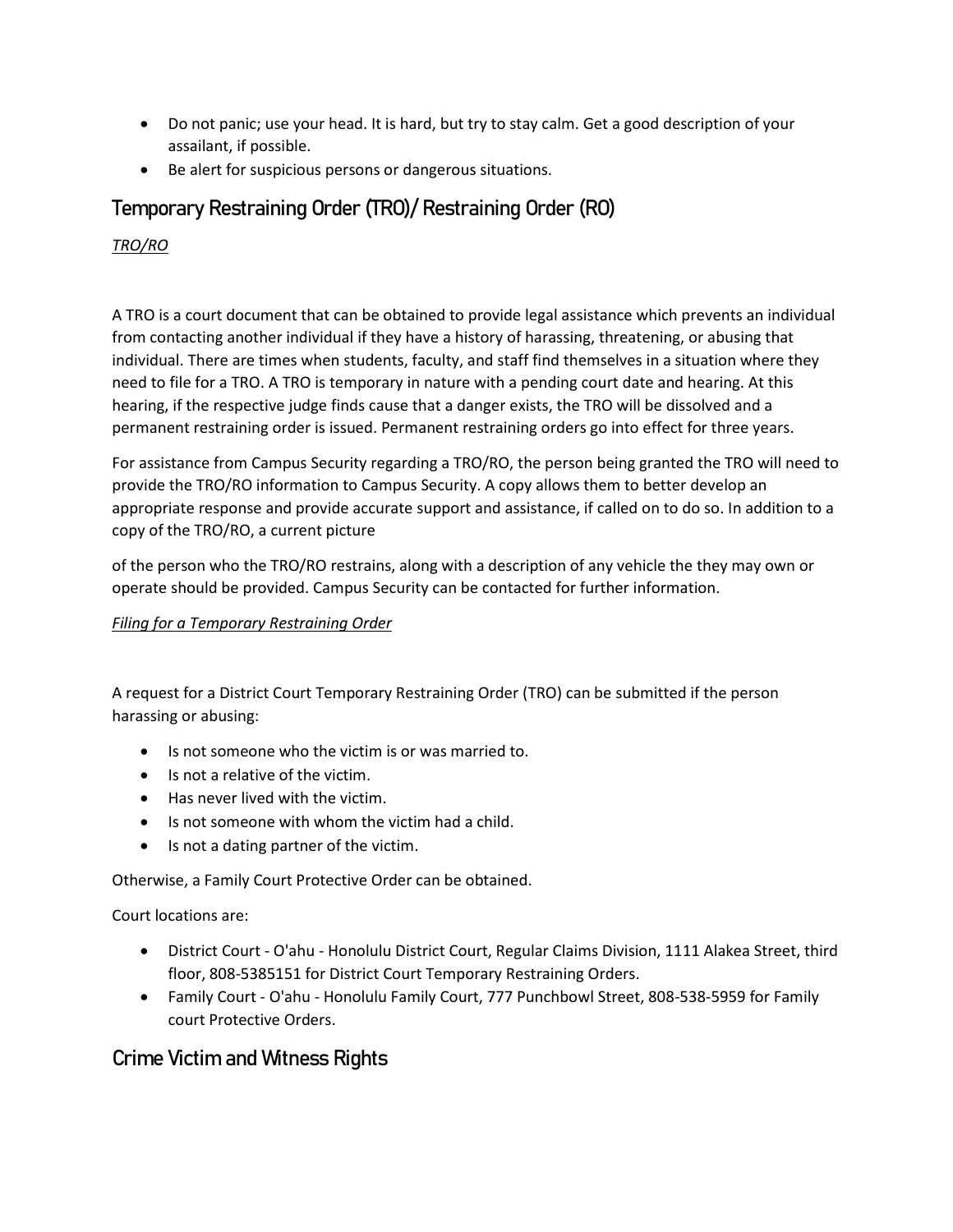- Do not panic; use your head. It is hard, but try to stay calm. Get a good description of your assailant, if possible.
- Be alert for suspicious persons or dangerous situations.

# Temporary Restraining Order (TRO)/ Restraining Order (RO)

*TRO/RO* 

A TRO is a court document that can be obtained to provide legal assistance which prevents an individual from contacting another individual if they have a history of harassing, threatening, or abusing that individual. There are times when students, faculty, and staff find themselves in a situation where they need to file for a TRO. A TRO is temporary in nature with a pending court date and hearing. At this hearing, if the respective judge finds cause that a danger exists, the TRO will be dissolved and a permanent restraining order is issued. Permanent restraining orders go into effect for three years.

For assistance from Campus Security regarding a TRO/RO, the person being granted the TRO will need to provide the TRO/RO information to Campus Security. A copy allows them to better develop an appropriate response and provide accurate support and assistance, if called on to do so. In addition to a copy of the TRO/RO, a current picture

of the person who the TRO/RO restrains, along with a description of any vehicle the they may own or operate should be provided. Campus Security can be contacted for further information.

# *Filing for a Temporary Restraining Order*

A request for a District Court Temporary Restraining Order (TRO) can be submitted if the person harassing or abusing:

- Is not someone who the victim is or was married to.
- Is not a relative of the victim.
- Has never lived with the victim.
- Is not someone with whom the victim had a child.
- Is not a dating partner of the victim.

Otherwise, a Family Court Protective Order can be obtained.

Court locations are:

- District Court O'ahu Honolulu District Court, Regular Claims Division, 1111 Alakea Street, third floor, 808-5385151 for District Court Temporary Restraining Orders.
- Family Court O'ahu Honolulu Family Court, 777 Punchbowl Street, 808-538-5959 for Family court Protective Orders.

# Crime Victim and Witness Rights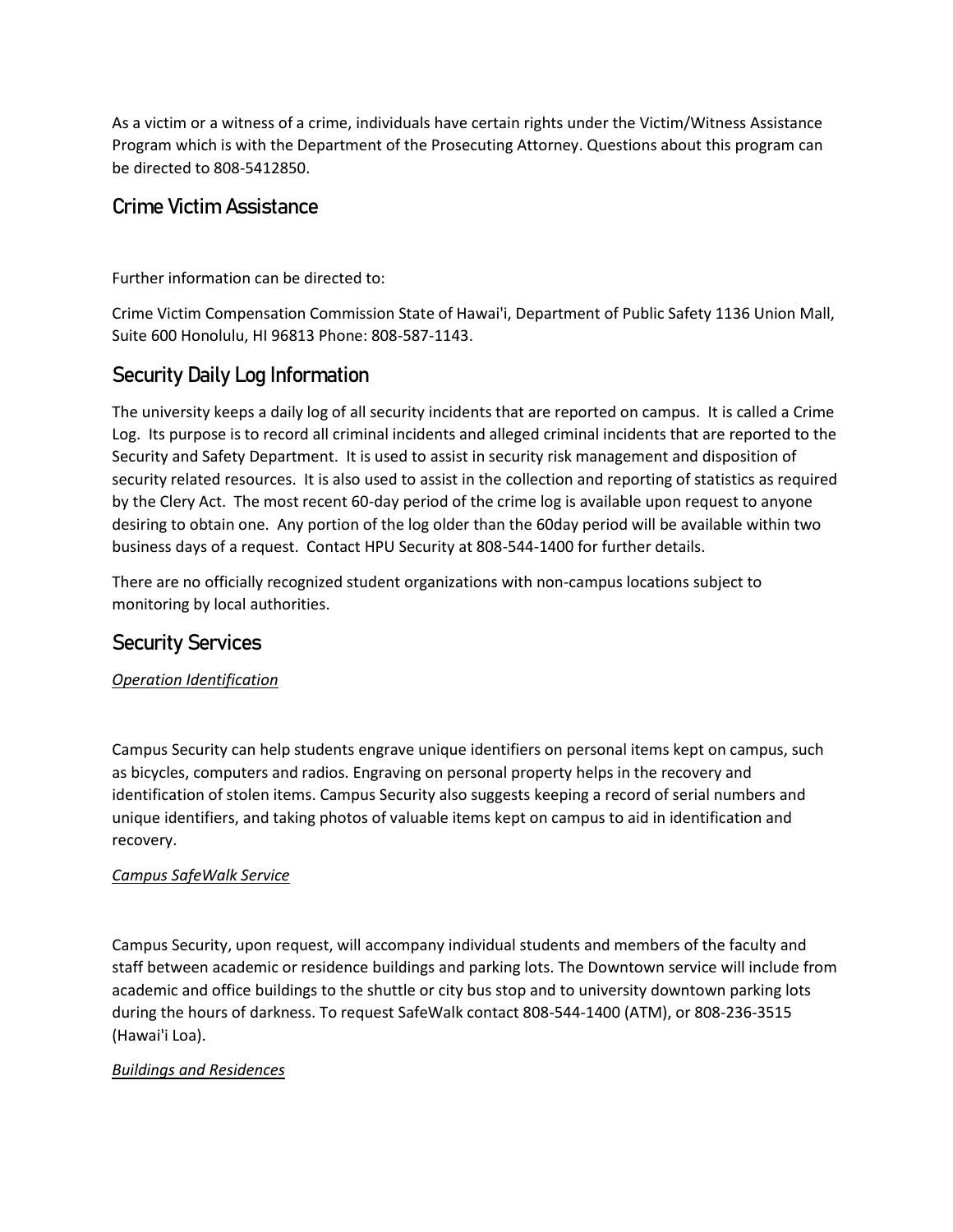As a victim or a witness of a crime, individuals have certain rights under the Victim/Witness Assistance Program which is with the Department of the Prosecuting Attorney. Questions about this program can be directed to 808-5412850.

# Crime Victim Assistance

Further information can be directed to:

Crime Victim Compensation Commission State of Hawai'i, Department of Public Safety 1136 Union Mall, Suite 600 Honolulu, HI 96813 Phone: 808-587-1143.

# Security Daily Log Information

The university keeps a daily log of all security incidents that are reported on campus. It is called a Crime Log. Its purpose is to record all criminal incidents and alleged criminal incidents that are reported to the Security and Safety Department. It is used to assist in security risk management and disposition of security related resources. It is also used to assist in the collection and reporting of statistics as required by the Clery Act. The most recent 60-day period of the crime log is available upon request to anyone desiring to obtain one. Any portion of the log older than the 60day period will be available within two business days of a request. Contact HPU Security at 808-544-1400 for further details.

There are no officially recognized student organizations with non-campus locations subject to monitoring by local authorities.

# Security Services

*Operation Identification* 

Campus Security can help students engrave unique identifiers on personal items kept on campus, such as bicycles, computers and radios. Engraving on personal property helps in the recovery and identification of stolen items. Campus Security also suggests keeping a record of serial numbers and unique identifiers, and taking photos of valuable items kept on campus to aid in identification and recovery.

### *Campus SafeWalk Service*

Campus Security, upon request, will accompany individual students and members of the faculty and staff between academic or residence buildings and parking lots. The Downtown service will include from academic and office buildings to the shuttle or city bus stop and to university downtown parking lots during the hours of darkness. To request SafeWalk contact 808-544-1400 (ATM), or 808-236-3515 (Hawai'i Loa).

# *Buildings and Residences*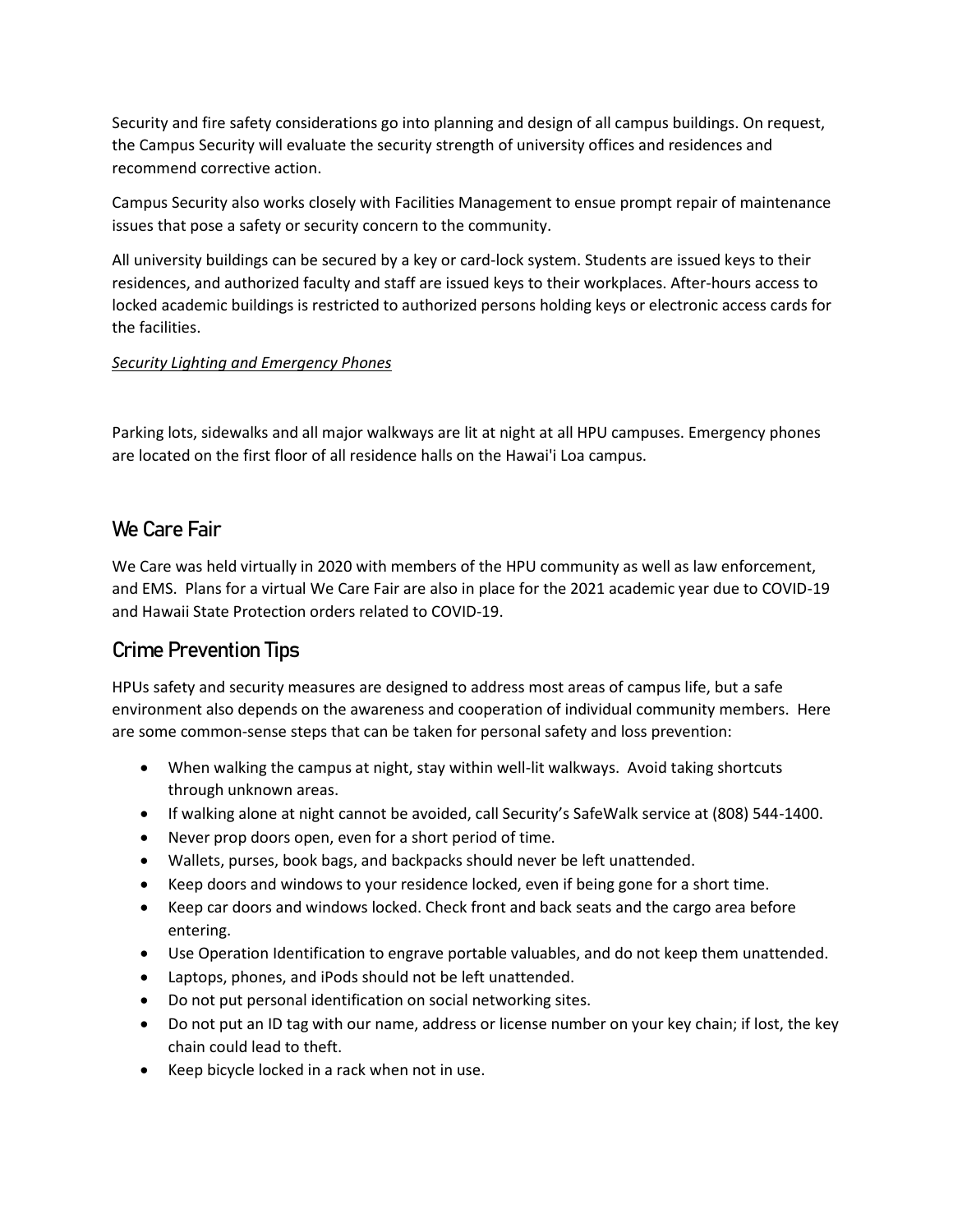Security and fire safety considerations go into planning and design of all campus buildings. On request, the Campus Security will evaluate the security strength of university offices and residences and recommend corrective action.

Campus Security also works closely with Facilities Management to ensue prompt repair of maintenance issues that pose a safety or security concern to the community.

All university buildings can be secured by a key or card-lock system. Students are issued keys to their residences, and authorized faculty and staff are issued keys to their workplaces. After-hours access to locked academic buildings is restricted to authorized persons holding keys or electronic access cards for the facilities.

#### *Security Lighting and Emergency Phones*

Parking lots, sidewalks and all major walkways are lit at night at all HPU campuses. Emergency phones are located on the first floor of all residence halls on the Hawai'i Loa campus.

# We Care Fair

We Care was held virtually in 2020 with members of the HPU community as well as law enforcement, and EMS. Plans for a virtual We Care Fair are also in place for the 2021 academic year due to COVID-19 and Hawaii State Protection orders related to COVID-19.

# Crime Prevention Tips

HPUs safety and security measures are designed to address most areas of campus life, but a safe environment also depends on the awareness and cooperation of individual community members. Here are some common-sense steps that can be taken for personal safety and loss prevention:

- When walking the campus at night, stay within well-lit walkways. Avoid taking shortcuts through unknown areas.
- If walking alone at night cannot be avoided, call Security's SafeWalk service at (808) 544-1400.
- Never prop doors open, even for a short period of time.
- Wallets, purses, book bags, and backpacks should never be left unattended.
- Keep doors and windows to your residence locked, even if being gone for a short time.
- Keep car doors and windows locked. Check front and back seats and the cargo area before entering.
- Use Operation Identification to engrave portable valuables, and do not keep them unattended.
- Laptops, phones, and iPods should not be left unattended.
- Do not put personal identification on social networking sites.
- Do not put an ID tag with our name, address or license number on your key chain; if lost, the key chain could lead to theft.
- Keep bicycle locked in a rack when not in use.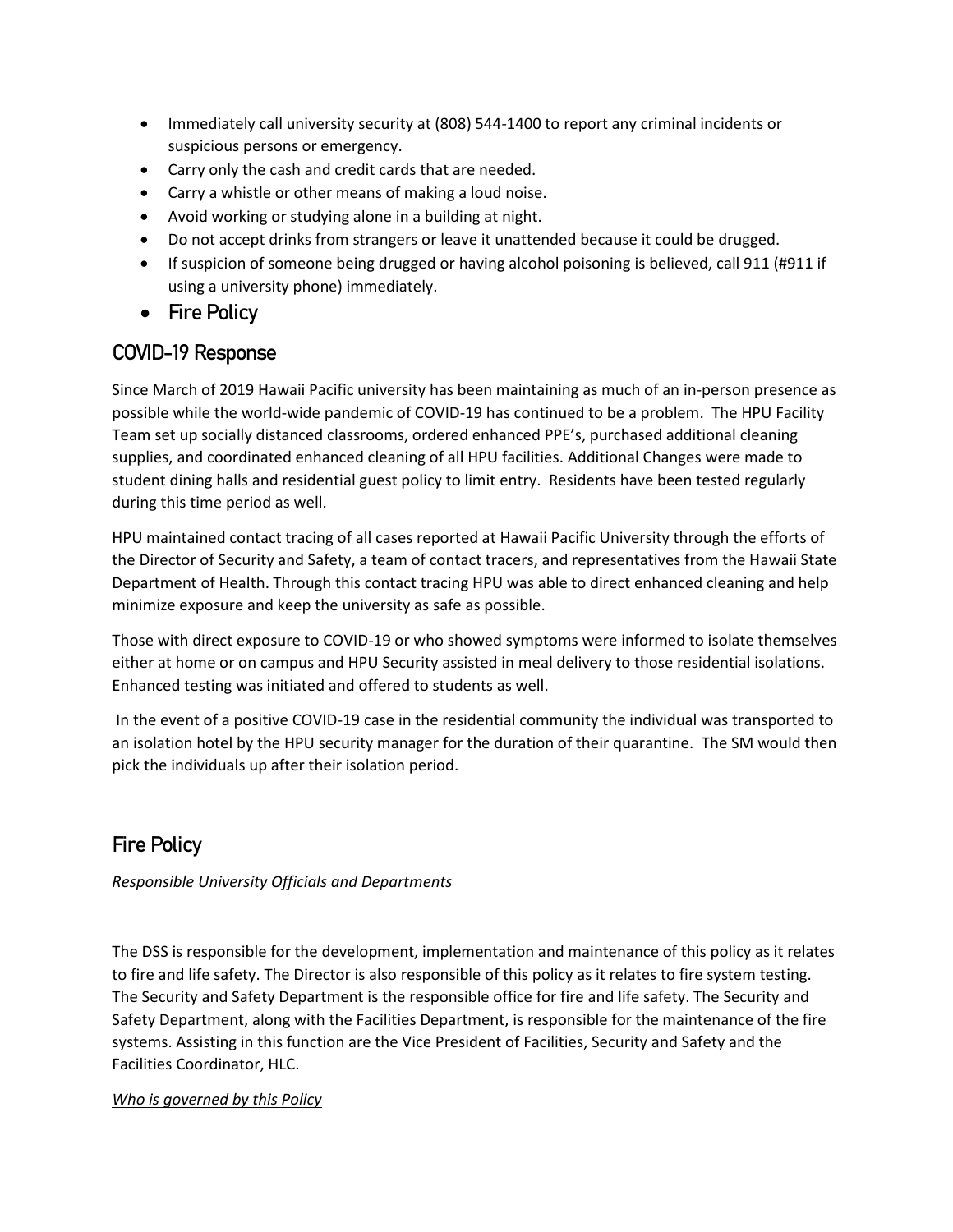- Immediately call university security at (808) 544-1400 to report any criminal incidents or suspicious persons or emergency.
- Carry only the cash and credit cards that are needed.
- Carry a whistle or other means of making a loud noise.
- Avoid working or studying alone in a building at night.
- Do not accept drinks from strangers or leave it unattended because it could be drugged.
- If suspicion of someone being drugged or having alcohol poisoning is believed, call 911 (#911 if using a university phone) immediately.
- Fire Policy

# COVID-19 Response

Since March of 2019 Hawaii Pacific university has been maintaining as much of an in-person presence as possible while the world-wide pandemic of COVID-19 has continued to be a problem. The HPU Facility Team set up socially distanced classrooms, ordered enhanced PPE's, purchased additional cleaning supplies, and coordinated enhanced cleaning of all HPU facilities. Additional Changes were made to student dining halls and residential guest policy to limit entry. Residents have been tested regularly during this time period as well.

HPU maintained contact tracing of all cases reported at Hawaii Pacific University through the efforts of the Director of Security and Safety, a team of contact tracers, and representatives from the Hawaii State Department of Health. Through this contact tracing HPU was able to direct enhanced cleaning and help minimize exposure and keep the university as safe as possible.

Those with direct exposure to COVID-19 or who showed symptoms were informed to isolate themselves either at home or on campus and HPU Security assisted in meal delivery to those residential isolations. Enhanced testing was initiated and offered to students as well.

In the event of a positive COVID-19 case in the residential community the individual was transported to an isolation hotel by the HPU security manager for the duration of their quarantine. The SM would then pick the individuals up after their isolation period.

# Fire Policy

### *Responsible University Officials and Departments*

The DSS is responsible for the development, implementation and maintenance of this policy as it relates to fire and life safety. The Director is also responsible of this policy as it relates to fire system testing. The Security and Safety Department is the responsible office for fire and life safety. The Security and Safety Department, along with the Facilities Department, is responsible for the maintenance of the fire systems. Assisting in this function are the Vice President of Facilities, Security and Safety and the Facilities Coordinator, HLC.

### *Who is governed by this Policy*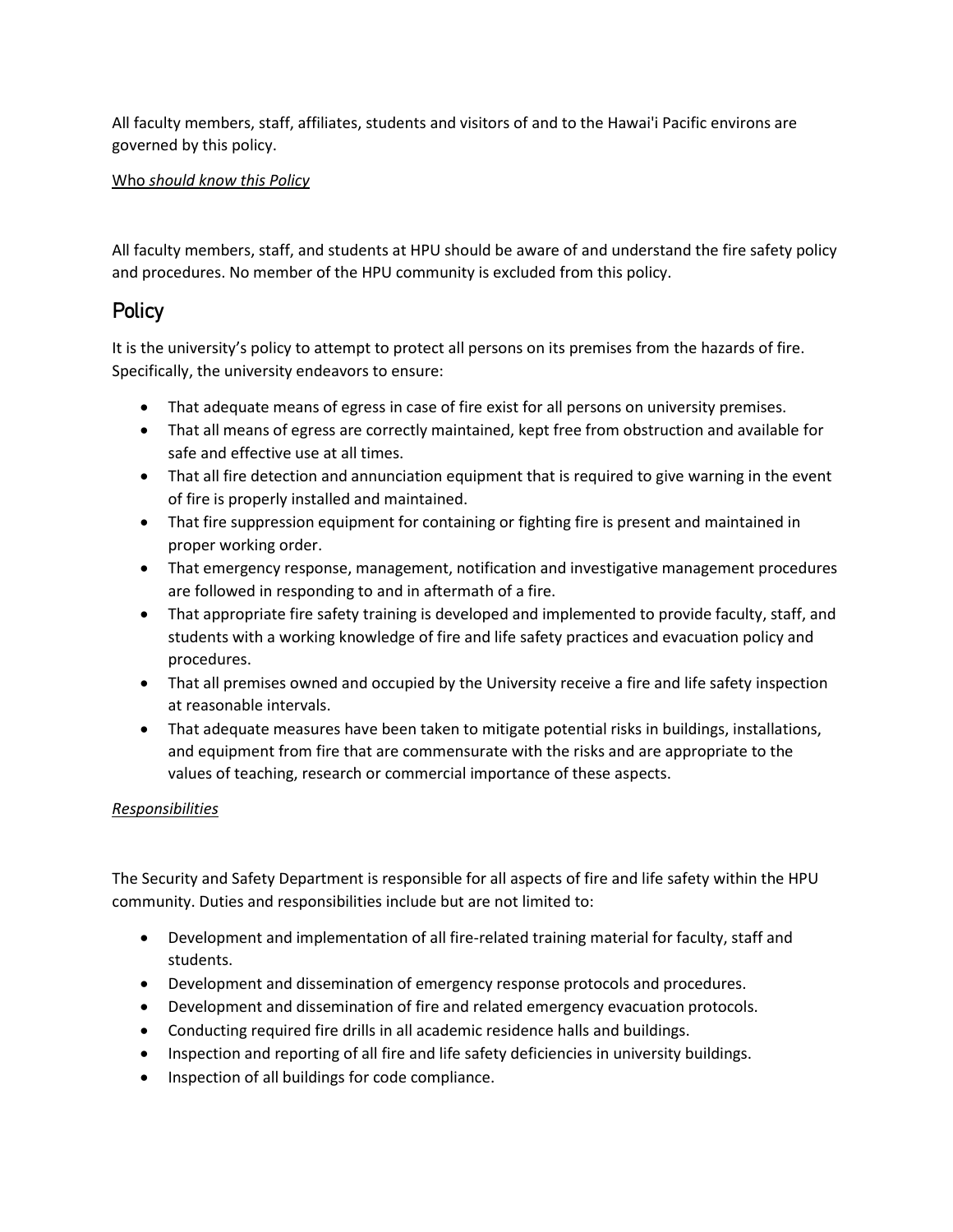All faculty members, staff, affiliates, students and visitors of and to the Hawai'i Pacific environs are governed by this policy.

### Who *should know this Policy*

All faculty members, staff, and students at HPU should be aware of and understand the fire safety policy and procedures. No member of the HPU community is excluded from this policy.

# **Policy**

It is the university's policy to attempt to protect all persons on its premises from the hazards of fire. Specifically, the university endeavors to ensure:

- That adequate means of egress in case of fire exist for all persons on university premises.
- That all means of egress are correctly maintained, kept free from obstruction and available for safe and effective use at all times.
- That all fire detection and annunciation equipment that is required to give warning in the event of fire is properly installed and maintained.
- That fire suppression equipment for containing or fighting fire is present and maintained in proper working order.
- That emergency response, management, notification and investigative management procedures are followed in responding to and in aftermath of a fire.
- That appropriate fire safety training is developed and implemented to provide faculty, staff, and students with a working knowledge of fire and life safety practices and evacuation policy and procedures.
- That all premises owned and occupied by the University receive a fire and life safety inspection at reasonable intervals.
- That adequate measures have been taken to mitigate potential risks in buildings, installations, and equipment from fire that are commensurate with the risks and are appropriate to the values of teaching, research or commercial importance of these aspects.

### *Responsibilities*

The Security and Safety Department is responsible for all aspects of fire and life safety within the HPU community. Duties and responsibilities include but are not limited to:

- Development and implementation of all fire-related training material for faculty, staff and students.
- Development and dissemination of emergency response protocols and procedures.
- Development and dissemination of fire and related emergency evacuation protocols.
- Conducting required fire drills in all academic residence halls and buildings.
- Inspection and reporting of all fire and life safety deficiencies in university buildings.
- Inspection of all buildings for code compliance.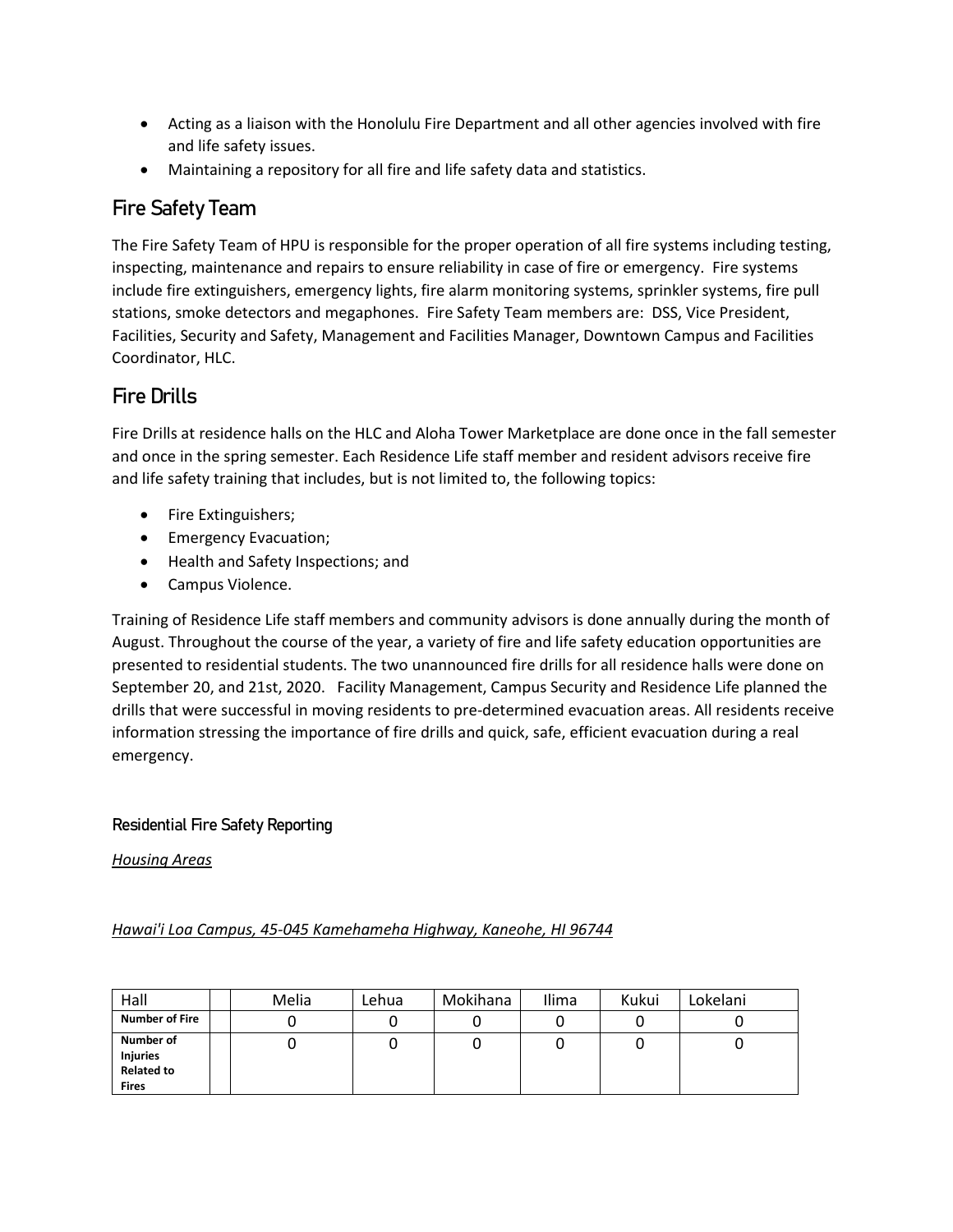- Acting as a liaison with the Honolulu Fire Department and all other agencies involved with fire and life safety issues.
- Maintaining a repository for all fire and life safety data and statistics.

# Fire Safety Team

The Fire Safety Team of HPU is responsible for the proper operation of all fire systems including testing, inspecting, maintenance and repairs to ensure reliability in case of fire or emergency. Fire systems include fire extinguishers, emergency lights, fire alarm monitoring systems, sprinkler systems, fire pull stations, smoke detectors and megaphones. Fire Safety Team members are: DSS, Vice President, Facilities, Security and Safety, Management and Facilities Manager, Downtown Campus and Facilities Coordinator, HLC.

# Fire Drills

Fire Drills at residence halls on the HLC and Aloha Tower Marketplace are done once in the fall semester and once in the spring semester. Each Residence Life staff member and resident advisors receive fire and life safety training that includes, but is not limited to, the following topics:

- Fire Extinguishers;
- Emergency Evacuation;
- Health and Safety Inspections; and
- Campus Violence.

Training of Residence Life staff members and community advisors is done annually during the month of August. Throughout the course of the year, a variety of fire and life safety education opportunities are presented to residential students. The two unannounced fire drills for all residence halls were done on September 20, and 21st, 2020. Facility Management, Campus Security and Residence Life planned the drills that were successful in moving residents to pre-determined evacuation areas. All residents receive information stressing the importance of fire drills and quick, safe, efficient evacuation during a real emergency.

# Residential Fire Safety Reporting

*Housing Areas* 

# *Hawai'i Loa Campus, 45-045 Kamehameha Highway, Kaneohe, HI 96744*

| Hall                                                              | Melia | Lehua | Mokihana | Ilima | Kukui | Lokelani |
|-------------------------------------------------------------------|-------|-------|----------|-------|-------|----------|
| <b>Number of Fire</b>                                             |       |       |          |       |       | ັ        |
| Number of<br><b>Injuries</b><br><b>Related to</b><br><b>Fires</b> |       |       |          |       |       | U        |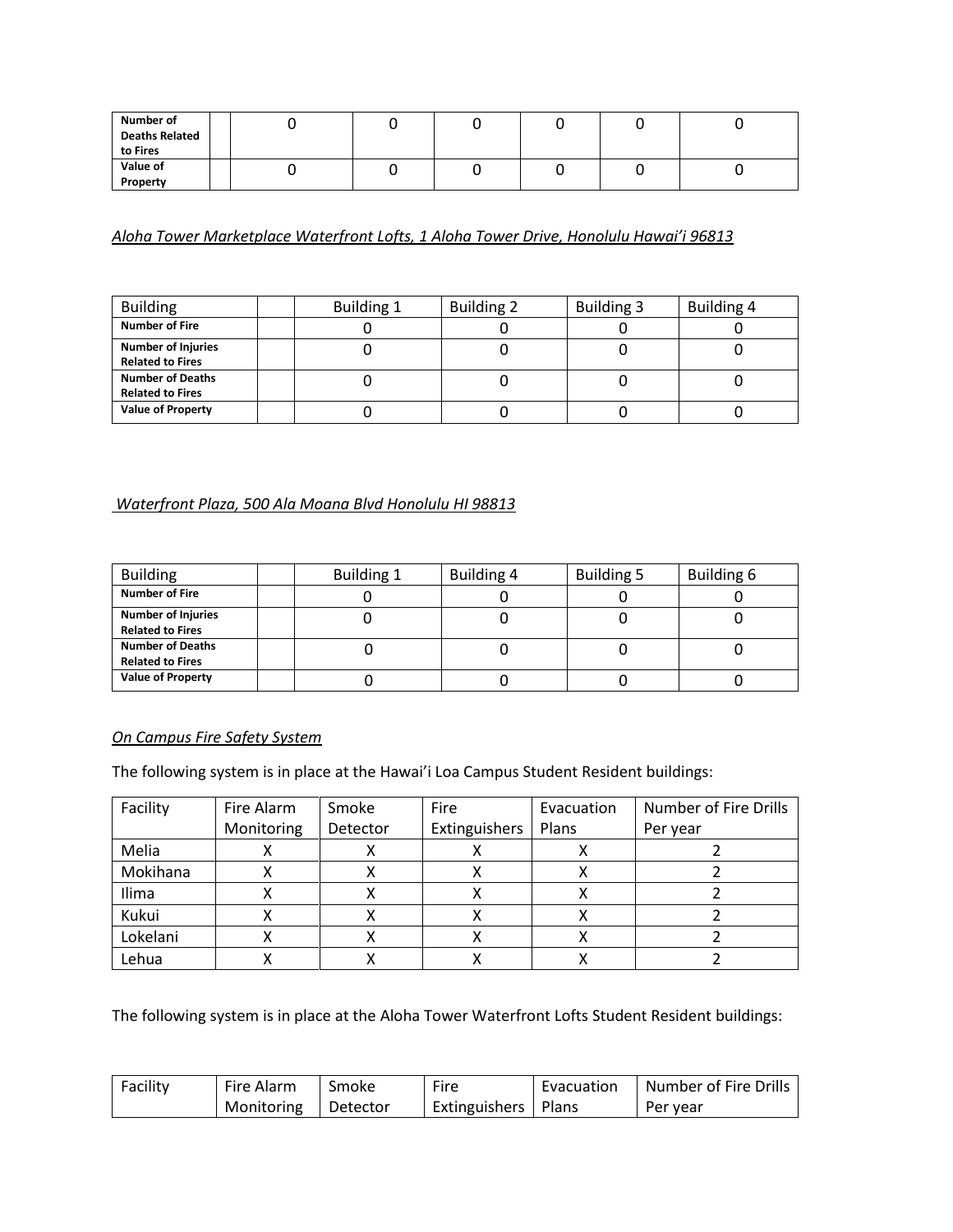| Number of<br><b>Deaths Related</b><br>to Fires |  |  |  |  |
|------------------------------------------------|--|--|--|--|
| Value of<br>Property                           |  |  |  |  |

*Aloha Tower Marketplace Waterfront Lofts, 1 Aloha Tower Drive, Honolulu Hawai'i 96813* 

| <b>Building</b>                                      | <b>Building 1</b> | <b>Building 2</b> | <b>Building 3</b> | Building 4 |
|------------------------------------------------------|-------------------|-------------------|-------------------|------------|
| <b>Number of Fire</b>                                |                   |                   |                   |            |
| <b>Number of Injuries</b><br><b>Related to Fires</b> |                   |                   |                   |            |
| <b>Number of Deaths</b><br><b>Related to Fires</b>   |                   |                   |                   |            |
| <b>Value of Property</b>                             |                   |                   |                   |            |

#### *Waterfront Plaza, 500 Ala Moana Blvd Honolulu HI 98813*

| <b>Building</b>                                      | <b>Building 1</b> | Building 4 | <b>Building 5</b> | Building 6 |
|------------------------------------------------------|-------------------|------------|-------------------|------------|
| <b>Number of Fire</b>                                |                   |            |                   |            |
| <b>Number of Injuries</b><br><b>Related to Fires</b> |                   |            |                   |            |
| <b>Number of Deaths</b><br><b>Related to Fires</b>   |                   |            |                   |            |
| <b>Value of Property</b>                             |                   |            |                   |            |

#### *On Campus Fire Safety System*

The following system is in place at the Hawai'i Loa Campus Student Resident buildings:

| Facility | Fire Alarm | Smoke    | <b>Fire</b>   | Evacuation | Number of Fire Drills |
|----------|------------|----------|---------------|------------|-----------------------|
|          | Monitoring | Detector | Extinguishers | Plans      | Per year              |
| Melia    |            |          |               |            |                       |
| Mokihana |            | ∧        |               |            |                       |
| Ilima    |            | Λ        |               |            |                       |
| Kukui    |            | х        |               |            |                       |
| Lokelani |            | х        |               |            |                       |
| Lehua    |            |          |               |            |                       |

The following system is in place at the Aloha Tower Waterfront Lofts Student Resident buildings:

| Facility | Fire Alarm | Smoke    | Fire                  | Evacuation | Number of Fire Drills |
|----------|------------|----------|-----------------------|------------|-----------------------|
|          | Monitoring | Detector | Extinguishers   Plans |            | Per year              |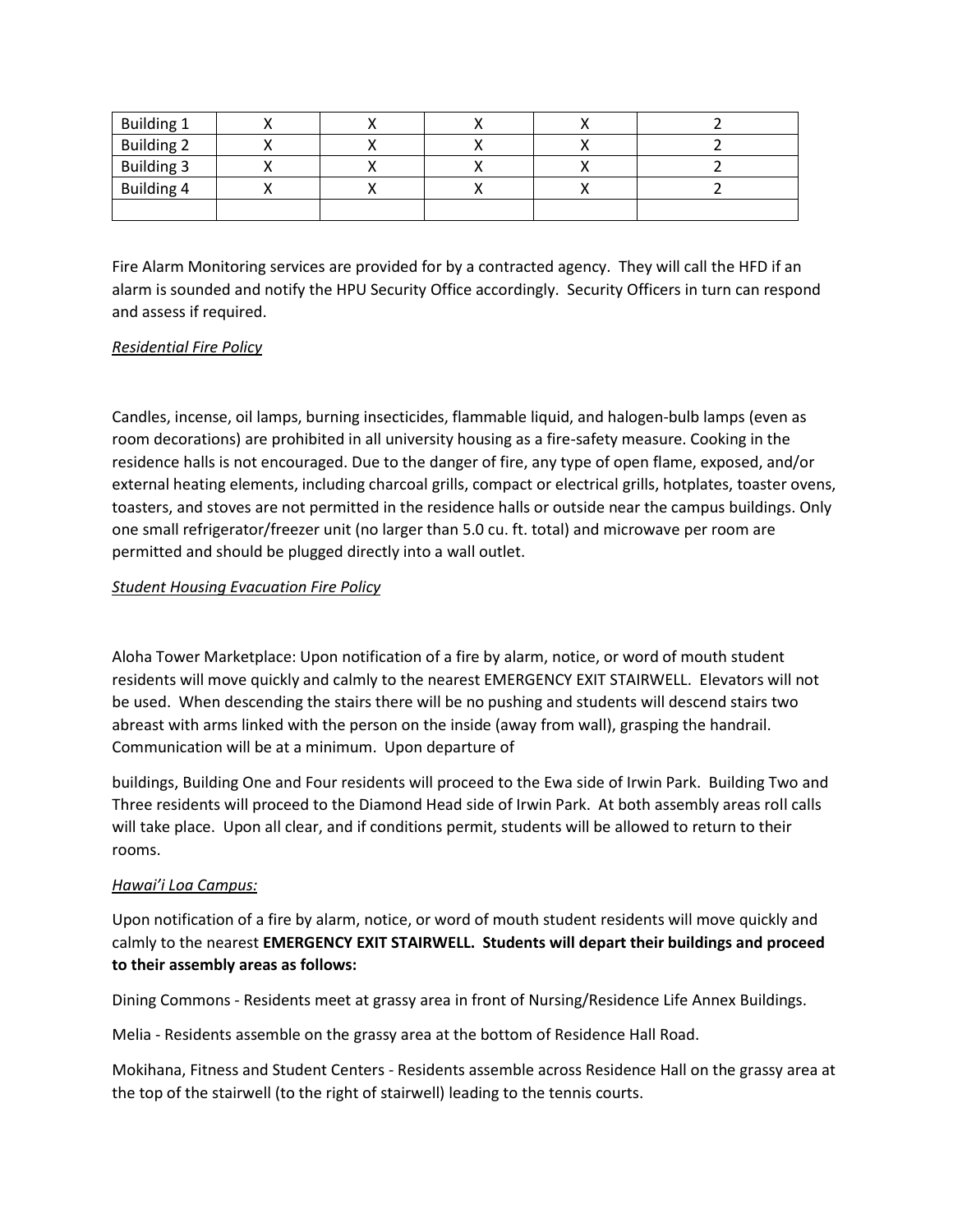| <b>Building 1</b> |  |  |  |
|-------------------|--|--|--|
| <b>Building 2</b> |  |  |  |
| <b>Building 3</b> |  |  |  |
| <b>Building 4</b> |  |  |  |
|                   |  |  |  |

Fire Alarm Monitoring services are provided for by a contracted agency. They will call the HFD if an alarm is sounded and notify the HPU Security Office accordingly. Security Officers in turn can respond and assess if required.

#### *Residential Fire Policy*

Candles, incense, oil lamps, burning insecticides, flammable liquid, and halogen-bulb lamps (even as room decorations) are prohibited in all university housing as a fire-safety measure. Cooking in the residence halls is not encouraged. Due to the danger of fire, any type of open flame, exposed, and/or external heating elements, including charcoal grills, compact or electrical grills, hotplates, toaster ovens, toasters, and stoves are not permitted in the residence halls or outside near the campus buildings. Only one small refrigerator/freezer unit (no larger than 5.0 cu. ft. total) and microwave per room are permitted and should be plugged directly into a wall outlet.

#### *Student Housing Evacuation Fire Policy*

Aloha Tower Marketplace: Upon notification of a fire by alarm, notice, or word of mouth student residents will move quickly and calmly to the nearest EMERGENCY EXIT STAIRWELL. Elevators will not be used. When descending the stairs there will be no pushing and students will descend stairs two abreast with arms linked with the person on the inside (away from wall), grasping the handrail. Communication will be at a minimum. Upon departure of

buildings, Building One and Four residents will proceed to the Ewa side of Irwin Park. Building Two and Three residents will proceed to the Diamond Head side of Irwin Park. At both assembly areas roll calls will take place. Upon all clear, and if conditions permit, students will be allowed to return to their rooms.

#### *Hawai'i Loa Campus:*

Upon notification of a fire by alarm, notice, or word of mouth student residents will move quickly and calmly to the nearest **EMERGENCY EXIT STAIRWELL. Students will depart their buildings and proceed to their assembly areas as follows:**

Dining Commons - Residents meet at grassy area in front of Nursing/Residence Life Annex Buildings.

Melia - Residents assemble on the grassy area at the bottom of Residence Hall Road.

Mokihana, Fitness and Student Centers - Residents assemble across Residence Hall on the grassy area at the top of the stairwell (to the right of stairwell) leading to the tennis courts.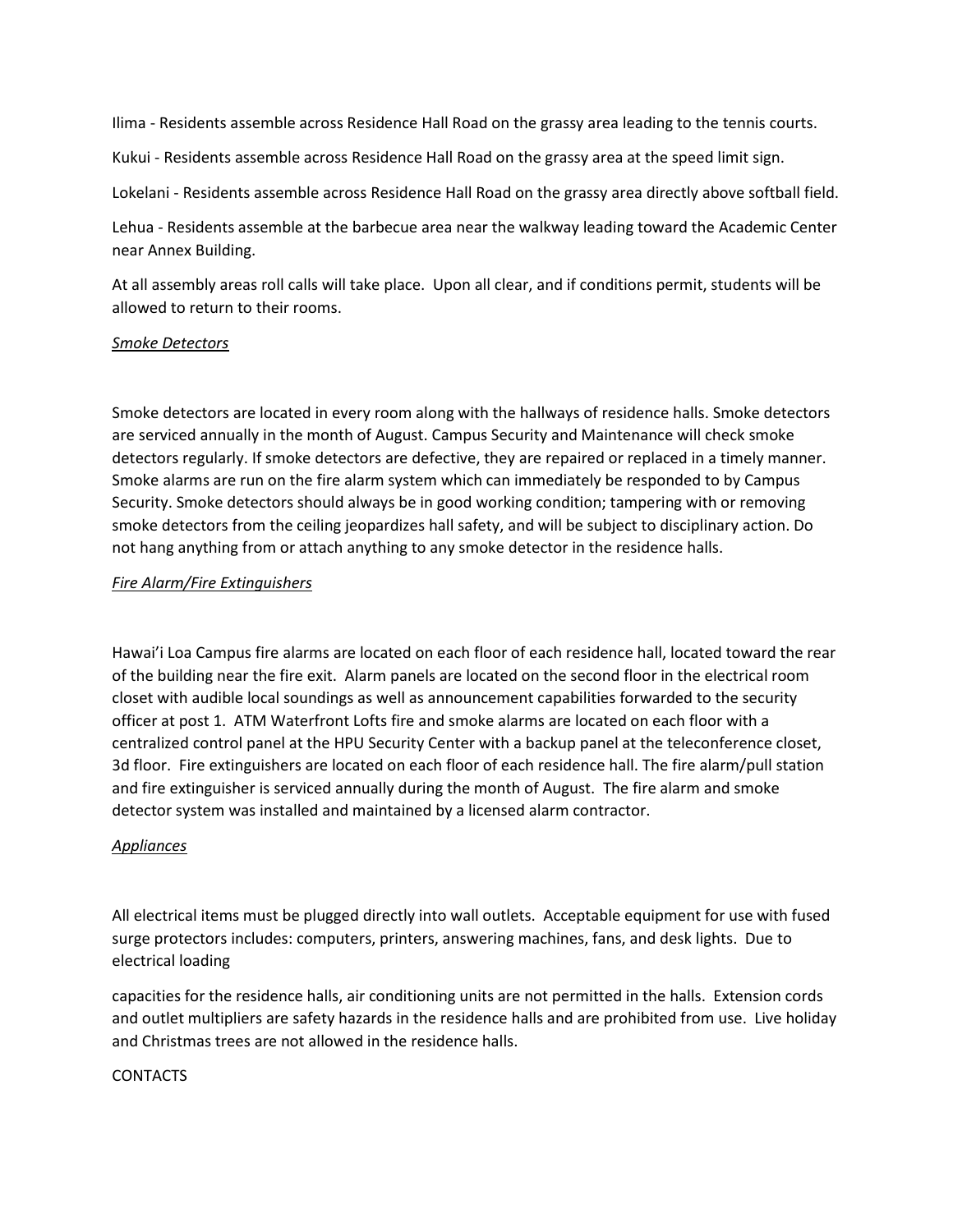Ilima - Residents assemble across Residence Hall Road on the grassy area leading to the tennis courts.

Kukui - Residents assemble across Residence Hall Road on the grassy area at the speed limit sign.

Lokelani - Residents assemble across Residence Hall Road on the grassy area directly above softball field.

Lehua - Residents assemble at the barbecue area near the walkway leading toward the Academic Center near Annex Building.

At all assembly areas roll calls will take place. Upon all clear, and if conditions permit, students will be allowed to return to their rooms.

#### *Smoke Detectors*

Smoke detectors are located in every room along with the hallways of residence halls. Smoke detectors are serviced annually in the month of August. Campus Security and Maintenance will check smoke detectors regularly. If smoke detectors are defective, they are repaired or replaced in a timely manner. Smoke alarms are run on the fire alarm system which can immediately be responded to by Campus Security. Smoke detectors should always be in good working condition; tampering with or removing smoke detectors from the ceiling jeopardizes hall safety, and will be subject to disciplinary action. Do not hang anything from or attach anything to any smoke detector in the residence halls.

#### *Fire Alarm/Fire Extinguishers*

Hawai'i Loa Campus fire alarms are located on each floor of each residence hall, located toward the rear of the building near the fire exit. Alarm panels are located on the second floor in the electrical room closet with audible local soundings as well as announcement capabilities forwarded to the security officer at post 1. ATM Waterfront Lofts fire and smoke alarms are located on each floor with a centralized control panel at the HPU Security Center with a backup panel at the teleconference closet, 3d floor. Fire extinguishers are located on each floor of each residence hall. The fire alarm/pull station and fire extinguisher is serviced annually during the month of August. The fire alarm and smoke detector system was installed and maintained by a licensed alarm contractor.

#### *Appliances*

All electrical items must be plugged directly into wall outlets. Acceptable equipment for use with fused surge protectors includes: computers, printers, answering machines, fans, and desk lights. Due to electrical loading

capacities for the residence halls, air conditioning units are not permitted in the halls. Extension cords and outlet multipliers are safety hazards in the residence halls and are prohibited from use. Live holiday and Christmas trees are not allowed in the residence halls.

#### CONTACTS